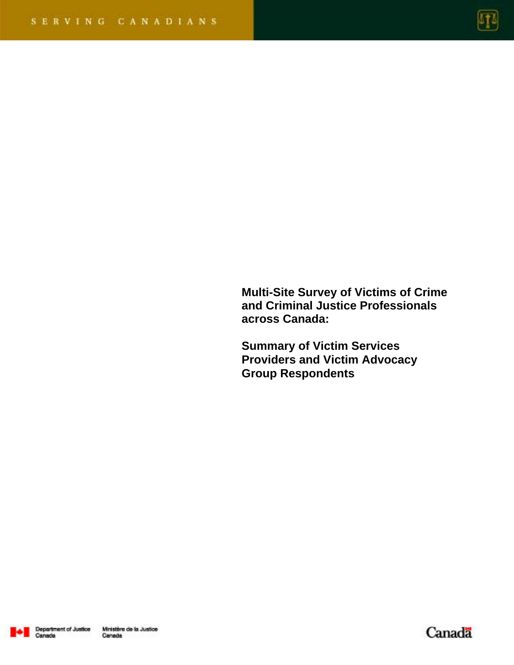

**Multi-Site Survey of Victims of Crime and Criminal Justice Professionals across Canada:** 

**Summary of Victim Services Providers and Victim Advocacy Group Respondents** 



Canada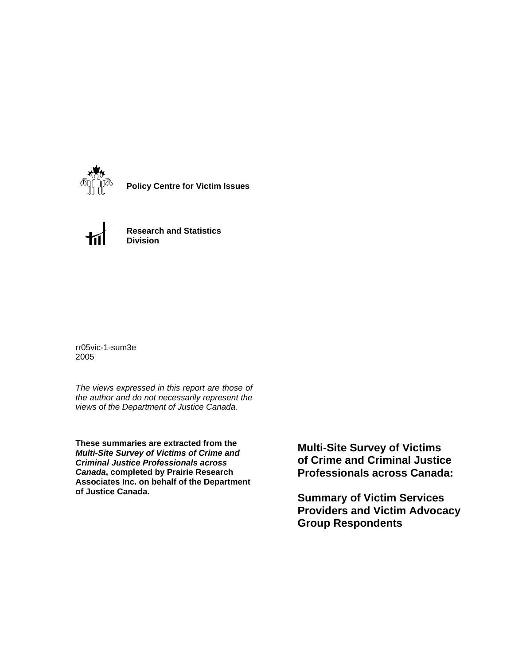

**Policy Centre for Victim Issues**



**Research and Statistics Division**

rr05vic-1-sum3e 2005

*The views expressed in this report are those of the author and do not necessarily represent the views of the Department of Justice Canada.*

**These summaries are extracted from the**  *Multi-Site Survey of Victims of Crime and Criminal Justice Professionals across Canada***, completed by Prairie Research Associates Inc. on behalf of the Department of Justice Canada.**

**Multi-Site Survey of Victims of Crime and Criminal Justice Professionals across Canada:** 

**Summary of Victim Services Providers and Victim Advocacy Group Respondents**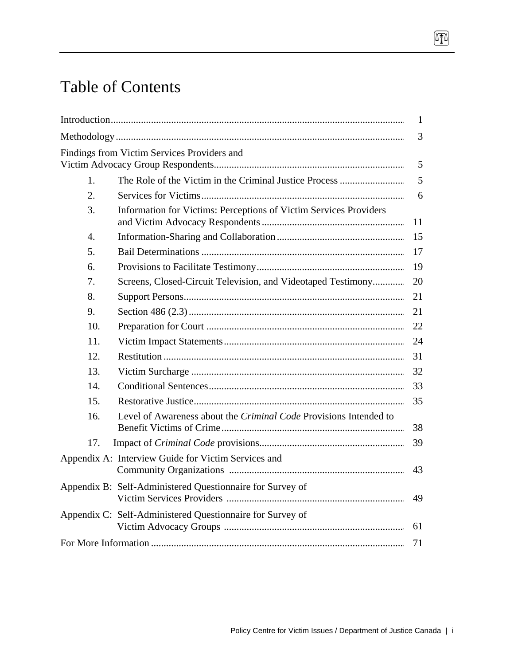# Table of Contents

|     |                                                                   | $\mathbf{1}$ |
|-----|-------------------------------------------------------------------|--------------|
|     |                                                                   | 3            |
|     | Findings from Victim Services Providers and                       | 5            |
| 1.  |                                                                   | 5            |
| 2.  |                                                                   | 6            |
| 3.  | Information for Victims: Perceptions of Victim Services Providers | 11           |
| 4.  |                                                                   | 15           |
| 5.  |                                                                   | 17           |
| 6.  |                                                                   | 19           |
| 7.  | Screens, Closed-Circuit Television, and Videotaped Testimony      | 20           |
| 8.  |                                                                   | 21           |
| 9.  |                                                                   | 21           |
| 10. |                                                                   |              |
| 11. |                                                                   | 24           |
| 12. |                                                                   | 31           |
| 13. |                                                                   | 32           |
| 14. |                                                                   | 33           |
| 15. |                                                                   | 35           |
| 16. | Level of Awareness about the Criminal Code Provisions Intended to | 38           |
| 17. |                                                                   | 39           |
|     | Appendix A: Interview Guide for Victim Services and               | 43           |
|     | Appendix B: Self-Administered Questionnaire for Survey of         | 49           |
|     | Appendix C: Self-Administered Questionnaire for Survey of         | 61           |
|     |                                                                   | 71           |
|     |                                                                   |              |

 $\Pi$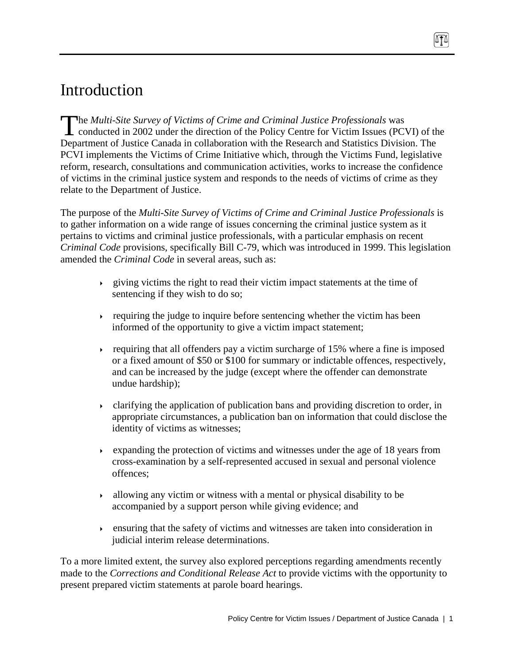# Introduction

he *Multi-Site Survey of Victims of Crime and Criminal Justice Professionals* was The Multi-Site Survey of Victims of Crime and Criminal Justice Professionals was<br>conducted in 2002 under the direction of the Policy Centre for Victim Issues (PCVI) of the Department of Justice Canada in collaboration with the Research and Statistics Division. The PCVI implements the Victims of Crime Initiative which, through the Victims Fund, legislative reform, research, consultations and communication activities, works to increase the confidence of victims in the criminal justice system and responds to the needs of victims of crime as they relate to the Department of Justice.

The purpose of the *Multi-Site Survey of Victims of Crime and Criminal Justice Professionals* is to gather information on a wide range of issues concerning the criminal justice system as it pertains to victims and criminal justice professionals, with a particular emphasis on recent *Criminal Code* provisions, specifically Bill C-79, which was introduced in 1999. This legislation amended the *Criminal Code* in several areas, such as:

- $\rightarrow$  giving victims the right to read their victim impact statements at the time of sentencing if they wish to do so;
- requiring the judge to inquire before sentencing whether the victim has been informed of the opportunity to give a victim impact statement;
- requiring that all offenders pay a victim surcharge of 15% where a fine is imposed or a fixed amount of \$50 or \$100 for summary or indictable offences, respectively, and can be increased by the judge (except where the offender can demonstrate undue hardship);
- clarifying the application of publication bans and providing discretion to order, in appropriate circumstances, a publication ban on information that could disclose the identity of victims as witnesses;
- Expanding the protection of victims and witnesses under the age of 18 years from cross-examination by a self-represented accused in sexual and personal violence offences;
- $\rightarrow$  allowing any victim or witness with a mental or physical disability to be accompanied by a support person while giving evidence; and
- ensuring that the safety of victims and witnesses are taken into consideration in judicial interim release determinations.

To a more limited extent, the survey also explored perceptions regarding amendments recently made to the *Corrections and Conditional Release Act* to provide victims with the opportunity to present prepared victim statements at parole board hearings.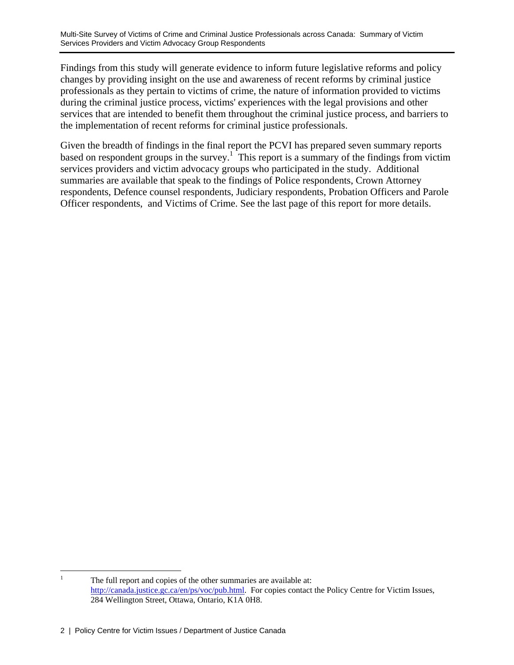Findings from this study will generate evidence to inform future legislative reforms and policy changes by providing insight on the use and awareness of recent reforms by criminal justice professionals as they pertain to victims of crime, the nature of information provided to victims during the criminal justice process, victims' experiences with the legal provisions and other services that are intended to benefit them throughout the criminal justice process, and barriers to the implementation of recent reforms for criminal justice professionals.

Given the breadth of findings in the final report the PCVI has prepared seven summary reports based on respondent groups in the survey.<sup>1</sup> This report is a summary of the findings from victim services providers and victim advocacy groups who participated in the study. Additional summaries are available that speak to the findings of Police respondents, Crown Attorney respondents, Defence counsel respondents, Judiciary respondents, Probation Officers and Parole Officer respondents, and Victims of Crime. See the last page of this report for more details.

 $\frac{1}{1}$  The full report and copies of the other summaries are available at: http://canada.justice.gc.ca/en/ps/voc/pub.html. For copies contact the Policy Centre for Victim Issues, 284 Wellington Street, Ottawa, Ontario, K1A 0H8.

<sup>2 |</sup> Policy Centre for Victim Issues / Department of Justice Canada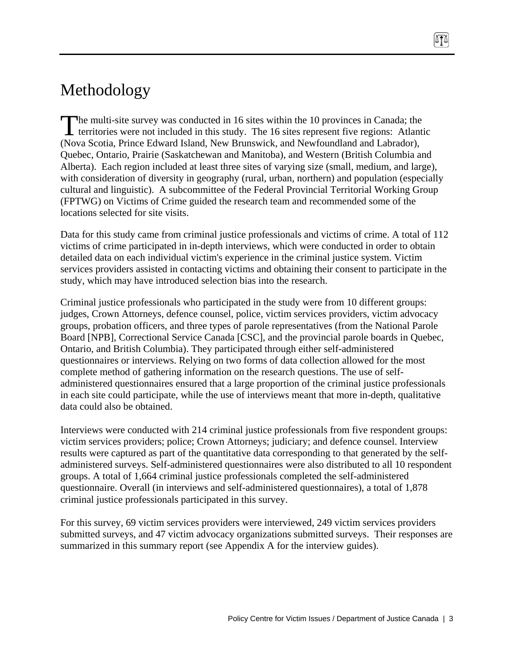# Methodology

The multi-site survey was conducted in 16 sites within the 10 provinces in Canada; the territories were not included in this study. The 16 sites represent five regions: Atlanti territories were not included in this study. The 16 sites represent five regions: Atlantic (Nova Scotia, Prince Edward Island, New Brunswick, and Newfoundland and Labrador), Quebec, Ontario, Prairie (Saskatchewan and Manitoba), and Western (British Columbia and Alberta). Each region included at least three sites of varying size (small, medium, and large), with consideration of diversity in geography (rural, urban, northern) and population (especially cultural and linguistic). A subcommittee of the Federal Provincial Territorial Working Group (FPTWG) on Victims of Crime guided the research team and recommended some of the locations selected for site visits.

Data for this study came from criminal justice professionals and victims of crime. A total of 112 victims of crime participated in in-depth interviews, which were conducted in order to obtain detailed data on each individual victim's experience in the criminal justice system. Victim services providers assisted in contacting victims and obtaining their consent to participate in the study, which may have introduced selection bias into the research.

Criminal justice professionals who participated in the study were from 10 different groups: judges, Crown Attorneys, defence counsel, police, victim services providers, victim advocacy groups, probation officers, and three types of parole representatives (from the National Parole Board [NPB], Correctional Service Canada [CSC], and the provincial parole boards in Quebec, Ontario, and British Columbia). They participated through either self-administered questionnaires or interviews. Relying on two forms of data collection allowed for the most complete method of gathering information on the research questions. The use of selfadministered questionnaires ensured that a large proportion of the criminal justice professionals in each site could participate, while the use of interviews meant that more in-depth, qualitative data could also be obtained.

Interviews were conducted with 214 criminal justice professionals from five respondent groups: victim services providers; police; Crown Attorneys; judiciary; and defence counsel. Interview results were captured as part of the quantitative data corresponding to that generated by the selfadministered surveys. Self-administered questionnaires were also distributed to all 10 respondent groups. A total of 1,664 criminal justice professionals completed the self-administered questionnaire. Overall (in interviews and self-administered questionnaires), a total of 1,878 criminal justice professionals participated in this survey.

For this survey, 69 victim services providers were interviewed, 249 victim services providers submitted surveys, and 47 victim advocacy organizations submitted surveys. Their responses are summarized in this summary report (see Appendix A for the interview guides).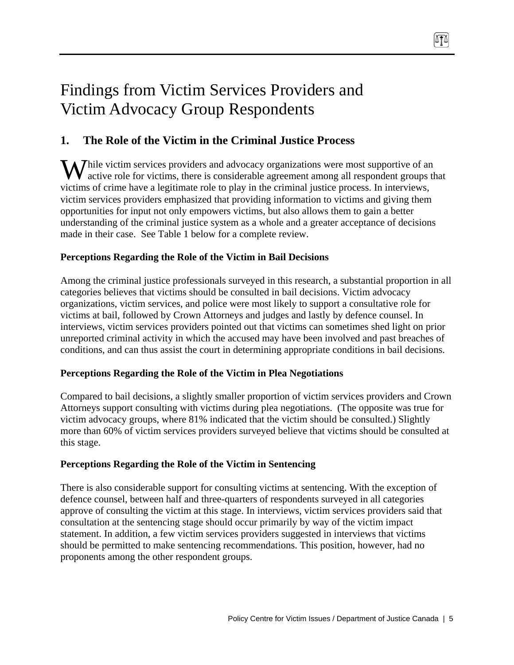# Findings from Victim Services Providers and Victim Advocacy Group Respondents

# **1. The Role of the Victim in the Criminal Justice Process**

While victim services providers and advocacy organizations were most supportive of an active role for victims, there is considerable agreement among all respondent groups the active role for victims, there is considerable agreement among all respondent groups that victims of crime have a legitimate role to play in the criminal justice process. In interviews, victim services providers emphasized that providing information to victims and giving them opportunities for input not only empowers victims, but also allows them to gain a better understanding of the criminal justice system as a whole and a greater acceptance of decisions made in their case. See Table 1 below for a complete review.

### **Perceptions Regarding the Role of the Victim in Bail Decisions**

Among the criminal justice professionals surveyed in this research, a substantial proportion in all categories believes that victims should be consulted in bail decisions. Victim advocacy organizations, victim services, and police were most likely to support a consultative role for victims at bail, followed by Crown Attorneys and judges and lastly by defence counsel. In interviews, victim services providers pointed out that victims can sometimes shed light on prior unreported criminal activity in which the accused may have been involved and past breaches of conditions, and can thus assist the court in determining appropriate conditions in bail decisions.

#### **Perceptions Regarding the Role of the Victim in Plea Negotiations**

Compared to bail decisions, a slightly smaller proportion of victim services providers and Crown Attorneys support consulting with victims during plea negotiations. (The opposite was true for victim advocacy groups, where 81% indicated that the victim should be consulted.) Slightly more than 60% of victim services providers surveyed believe that victims should be consulted at this stage.

#### **Perceptions Regarding the Role of the Victim in Sentencing**

There is also considerable support for consulting victims at sentencing. With the exception of defence counsel, between half and three-quarters of respondents surveyed in all categories approve of consulting the victim at this stage. In interviews, victim services providers said that consultation at the sentencing stage should occur primarily by way of the victim impact statement. In addition, a few victim services providers suggested in interviews that victims should be permitted to make sentencing recommendations. This position, however, had no proponents among the other respondent groups.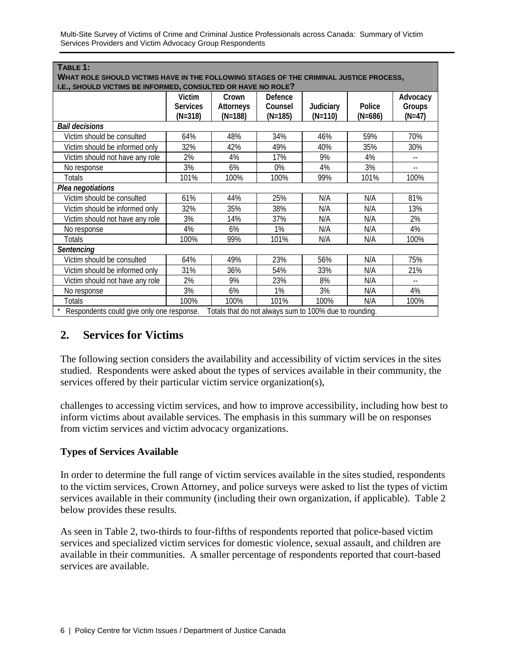Multi-Site Survey of Victims of Crime and Criminal Justice Professionals across Canada: Summary of Victim Services Providers and Victim Advocacy Group Respondents

| WHAT ROLE SHOULD VICTIMS HAVE IN THE FOLLOWING STAGES OF THE CRIMINAL JUSTICE PROCESS,              |                                        |                                        |                                 |                        |                     |                                |
|-----------------------------------------------------------------------------------------------------|----------------------------------------|----------------------------------------|---------------------------------|------------------------|---------------------|--------------------------------|
| I.E., SHOULD VICTIMS BE INFORMED, CONSULTED OR HAVE NO ROLE?                                        |                                        |                                        |                                 |                        |                     |                                |
|                                                                                                     | Victim<br><b>Services</b><br>$(N=318)$ | Crown<br><b>Attorneys</b><br>$(N=188)$ | Defence<br>Counsel<br>$(N=185)$ | Judiciary<br>$(N=110)$ | Police<br>$(N=686)$ | Advocacy<br>Groups<br>$(N=47)$ |
| <b>Bail decisions</b>                                                                               |                                        |                                        |                                 |                        |                     |                                |
| Victim should be consulted                                                                          | 64%                                    | 48%                                    | 34%                             | 46%                    | 59%                 | 70%                            |
| Victim should be informed only                                                                      | 32%                                    | 42%                                    | 49%                             | 40%                    | 35%                 | 30%                            |
| Victim should not have any role                                                                     | 2%                                     | 4%                                     | 17%                             | 9%                     | 4%                  | $\overline{\phantom{a}}$ .     |
| No response                                                                                         | 3%                                     | 6%                                     | 0%                              | 4%                     | 3%                  | $-$                            |
| Totals                                                                                              | 101%                                   | 100%                                   | 100%                            | 99%                    | 101%                | 100%                           |
| Plea negotiations                                                                                   |                                        |                                        |                                 |                        |                     |                                |
| Victim should be consulted                                                                          | 61%                                    | 44%                                    | 25%                             | N/A                    | N/A                 | 81%                            |
| Victim should be informed only                                                                      | 32%                                    | 35%                                    | 38%                             | N/A                    | N/A                 | 13%                            |
| Victim should not have any role                                                                     | 3%                                     | 14%                                    | 37%                             | N/A                    | N/A                 | 2%                             |
| No response                                                                                         | 4%                                     | 6%                                     | 1%                              | N/A                    | N/A                 | 4%                             |
| Totals                                                                                              | 100%                                   | 99%                                    | 101%                            | N/A                    | N/A                 | 100%                           |
| Sentencing                                                                                          |                                        |                                        |                                 |                        |                     |                                |
| Victim should be consulted                                                                          | 64%                                    | 49%                                    | 23%                             | 56%                    | N/A                 | 75%                            |
| Victim should be informed only                                                                      | 31%                                    | 36%                                    | 54%                             | 33%                    | N/A                 | 21%                            |
| Victim should not have any role                                                                     | 2%                                     | 9%                                     | 23%                             | 8%                     | N/A                 | $\overline{\phantom{a}}$       |
| No response                                                                                         | 3%                                     | 6%                                     | 1%                              | 3%                     | N/A                 | 4%                             |
| Totals                                                                                              | 100%                                   | 100%                                   | 101%                            | 100%                   | N/A                 | 100%                           |
| Totals that do not always sum to 100% due to rounding.<br>Respondents could give only one response. |                                        |                                        |                                 |                        |                     |                                |

# **2. Services for Victims**

**TABLE 1:** 

The following section considers the availability and accessibility of victim services in the sites studied. Respondents were asked about the types of services available in their community, the services offered by their particular victim service organization(s),

challenges to accessing victim services, and how to improve accessibility, including how best to inform victims about available services. The emphasis in this summary will be on responses from victim services and victim advocacy organizations.

#### **Types of Services Available**

In order to determine the full range of victim services available in the sites studied, respondents to the victim services, Crown Attorney, and police surveys were asked to list the types of victim services available in their community (including their own organization, if applicable). Table 2 below provides these results.

As seen in Table 2, two-thirds to four-fifths of respondents reported that police-based victim services and specialized victim services for domestic violence, sexual assault, and children are available in their communities. A smaller percentage of respondents reported that court-based services are available.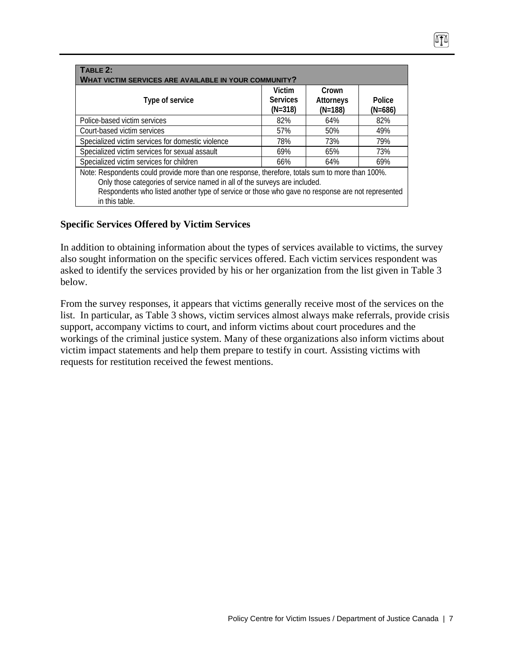| TABLE 2:                                                                                         |                                                              |           |           |  |  |  |  |
|--------------------------------------------------------------------------------------------------|--------------------------------------------------------------|-----------|-----------|--|--|--|--|
|                                                                                                  |                                                              |           |           |  |  |  |  |
|                                                                                                  | <b>WHAT VICTIM SERVICES ARE AVAILABLE IN YOUR COMMUNITY?</b> |           |           |  |  |  |  |
|                                                                                                  | Victim                                                       | Crown     |           |  |  |  |  |
| Type of service                                                                                  | <b>Services</b>                                              | Attorneys | Police    |  |  |  |  |
|                                                                                                  | $(N=318)$                                                    | $(N=188)$ | $(N=686)$ |  |  |  |  |
| Police-based victim services                                                                     | 82%                                                          | 64%       | 82%       |  |  |  |  |
| Court-based victim services                                                                      | 57%                                                          | 50%       | 49%       |  |  |  |  |
| Specialized victim services for domestic violence                                                | 78%                                                          | 73%       | 79%       |  |  |  |  |
| Specialized victim services for sexual assault                                                   | 69%                                                          | 65%       | 73%       |  |  |  |  |
| Specialized victim services for children                                                         | 66%                                                          | 64%       | 69%       |  |  |  |  |
| Note: Respondents could provide more than one response, therefore, totals sum to more than 100%. |                                                              |           |           |  |  |  |  |
| Only those categories of service named in all of the surveys are included.                       |                                                              |           |           |  |  |  |  |
| Respondents who listed another type of service or those who gave no response are not represented |                                                              |           |           |  |  |  |  |
| in this table.                                                                                   |                                                              |           |           |  |  |  |  |

### **Specific Services Offered by Victim Services**

In addition to obtaining information about the types of services available to victims, the survey also sought information on the specific services offered. Each victim services respondent was asked to identify the services provided by his or her organization from the list given in Table 3 below.

From the survey responses, it appears that victims generally receive most of the services on the list. In particular, as Table 3 shows, victim services almost always make referrals, provide crisis support, accompany victims to court, and inform victims about court procedures and the workings of the criminal justice system. Many of these organizations also inform victims about victim impact statements and help them prepare to testify in court. Assisting victims with requests for restitution received the fewest mentions.

Ơ∆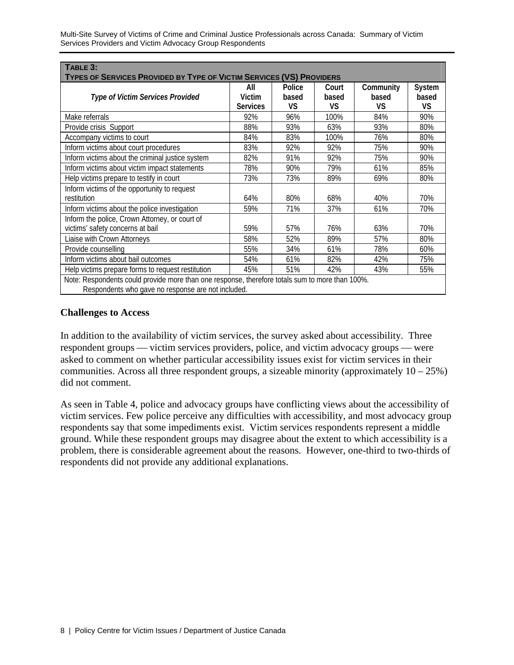Multi-Site Survey of Victims of Crime and Criminal Justice Professionals across Canada: Summary of Victim Services Providers and Victim Advocacy Group Respondents

| TABLE 3:<br>TYPES OF SERVICES PROVIDED BY TYPE OF VICTIM SERVICES (VS) PROVIDERS |                                                                                                 |                       |                      |                          |                              |  |  |  |
|----------------------------------------------------------------------------------|-------------------------------------------------------------------------------------------------|-----------------------|----------------------|--------------------------|------------------------------|--|--|--|
| Type of Victim Services Provided                                                 | All<br>Victim<br><b>Services</b>                                                                | Police<br>based<br>VS | Court<br>based<br>VS | Community<br>based<br>VS | System<br>based<br><b>VS</b> |  |  |  |
| Make referrals                                                                   | 92%                                                                                             | 96%                   | 100%                 | 84%                      | 90%                          |  |  |  |
| Provide crisis Support                                                           | 88%                                                                                             | 93%                   | 63%                  | 93%                      | 80%                          |  |  |  |
| Accompany victims to court                                                       | 84%                                                                                             | 83%                   | 100%                 | 76%                      | 80%                          |  |  |  |
| Inform victims about court procedures                                            | 83%                                                                                             | 92%                   | 92%                  | 75%                      | 90%                          |  |  |  |
| Inform victims about the criminal justice system                                 | 82%                                                                                             | 91%                   | 92%                  | 75%                      | 90%                          |  |  |  |
| Inform victims about victim impact statements                                    | 78%                                                                                             | 90%                   | 79%                  | 61%                      | 85%                          |  |  |  |
| Help victims prepare to testify in court                                         | 73%                                                                                             | 73%                   | 89%                  | 69%                      | 80%                          |  |  |  |
| Inform victims of the opportunity to request                                     |                                                                                                 |                       |                      |                          |                              |  |  |  |
| restitution                                                                      | 64%                                                                                             | 80%                   | 68%                  | 40%                      | 70%                          |  |  |  |
| Inform victims about the police investigation                                    | 59%                                                                                             | 71%                   | 37%                  | 61%                      | 70%                          |  |  |  |
| Inform the police, Crown Attorney, or court of                                   |                                                                                                 |                       |                      |                          |                              |  |  |  |
| victims' safety concerns at bail                                                 | 59%                                                                                             | 57%                   | 76%                  | 63%                      | 70%                          |  |  |  |
| Liaise with Crown Attorneys                                                      | 58%                                                                                             | 52%                   | 89%                  | 57%                      | 80%                          |  |  |  |
| Provide counselling                                                              | 55%                                                                                             | 34%                   | 61%                  | 78%                      | 60%                          |  |  |  |
| Inform victims about bail outcomes                                               | 54%                                                                                             | 61%                   | 82%                  | 42%                      | 75%                          |  |  |  |
| Help victims prepare forms to request restitution                                | 45%                                                                                             | 51%                   | 42%                  | 43%                      | 55%                          |  |  |  |
| Respondents who gave no response are not included.                               | Note: Respondents could provide more than one response, therefore totals sum to more than 100%. |                       |                      |                          |                              |  |  |  |

#### **Challenges to Access**

In addition to the availability of victim services, the survey asked about accessibility. Three respondent groups — victim services providers, police, and victim advocacy groups — were asked to comment on whether particular accessibility issues exist for victim services in their communities. Across all three respondent groups, a sizeable minority (approximately  $10 - 25\%$ ) did not comment.

As seen in Table 4, police and advocacy groups have conflicting views about the accessibility of victim services. Few police perceive any difficulties with accessibility, and most advocacy group respondents say that some impediments exist. Victim services respondents represent a middle ground. While these respondent groups may disagree about the extent to which accessibility is a problem, there is considerable agreement about the reasons. However, one-third to two-thirds of respondents did not provide any additional explanations.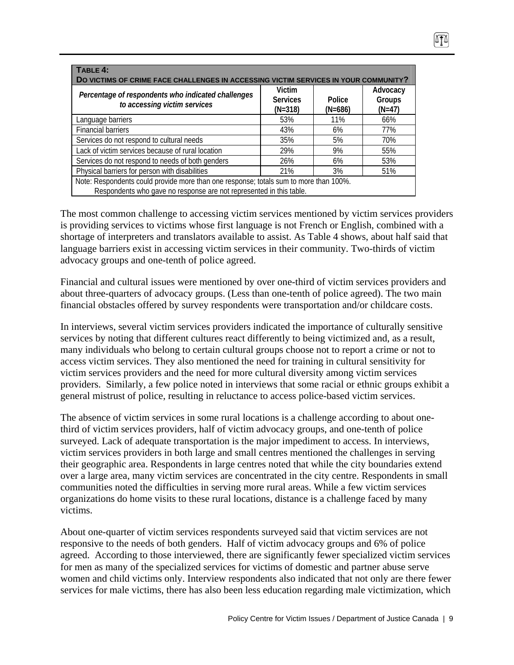| TABLE 4:<br>DO VICTIMS OF CRIME FACE CHALLENGES IN ACCESSING VICTIM SERVICES IN YOUR COMMUNITY?                                                              |                                        |                     |                                |  |  |  |
|--------------------------------------------------------------------------------------------------------------------------------------------------------------|----------------------------------------|---------------------|--------------------------------|--|--|--|
| Percentage of respondents who indicated challenges<br>to accessing victim services                                                                           | Victim<br><b>Services</b><br>$(N=318)$ | Police<br>$(N=686)$ | Advocacy<br>Groups<br>$(N=47)$ |  |  |  |
| Language barriers                                                                                                                                            | 53%                                    | 11%                 | 66%                            |  |  |  |
| <b>Financial barriers</b>                                                                                                                                    | 43%                                    | 6%                  | 77%                            |  |  |  |
| Services do not respond to cultural needs                                                                                                                    | 35%                                    | 5%                  | 70%                            |  |  |  |
| Lack of victim services because of rural location                                                                                                            | 29%                                    | 9%                  | 55%                            |  |  |  |
| Services do not respond to needs of both genders                                                                                                             | 26%                                    | 6%                  | 53%                            |  |  |  |
| Physical barriers for person with disabilities<br>21%<br>3%<br>51%                                                                                           |                                        |                     |                                |  |  |  |
| Note: Respondents could provide more than one response; totals sum to more than 100%.<br>Respondents who gave no response are not represented in this table. |                                        |                     |                                |  |  |  |

The most common challenge to accessing victim services mentioned by victim services providers is providing services to victims whose first language is not French or English, combined with a shortage of interpreters and translators available to assist. As Table 4 shows, about half said that language barriers exist in accessing victim services in their community. Two-thirds of victim advocacy groups and one-tenth of police agreed.

Financial and cultural issues were mentioned by over one-third of victim services providers and about three-quarters of advocacy groups. (Less than one-tenth of police agreed). The two main financial obstacles offered by survey respondents were transportation and/or childcare costs.

In interviews, several victim services providers indicated the importance of culturally sensitive services by noting that different cultures react differently to being victimized and, as a result, many individuals who belong to certain cultural groups choose not to report a crime or not to access victim services. They also mentioned the need for training in cultural sensitivity for victim services providers and the need for more cultural diversity among victim services providers. Similarly, a few police noted in interviews that some racial or ethnic groups exhibit a general mistrust of police, resulting in reluctance to access police-based victim services.

The absence of victim services in some rural locations is a challenge according to about onethird of victim services providers, half of victim advocacy groups, and one-tenth of police surveyed. Lack of adequate transportation is the major impediment to access. In interviews, victim services providers in both large and small centres mentioned the challenges in serving their geographic area. Respondents in large centres noted that while the city boundaries extend over a large area, many victim services are concentrated in the city centre. Respondents in small communities noted the difficulties in serving more rural areas. While a few victim services organizations do home visits to these rural locations, distance is a challenge faced by many victims.

About one-quarter of victim services respondents surveyed said that victim services are not responsive to the needs of both genders. Half of victim advocacy groups and 6% of police agreed. According to those interviewed, there are significantly fewer specialized victim services for men as many of the specialized services for victims of domestic and partner abuse serve women and child victims only. Interview respondents also indicated that not only are there fewer services for male victims, there has also been less education regarding male victimization, which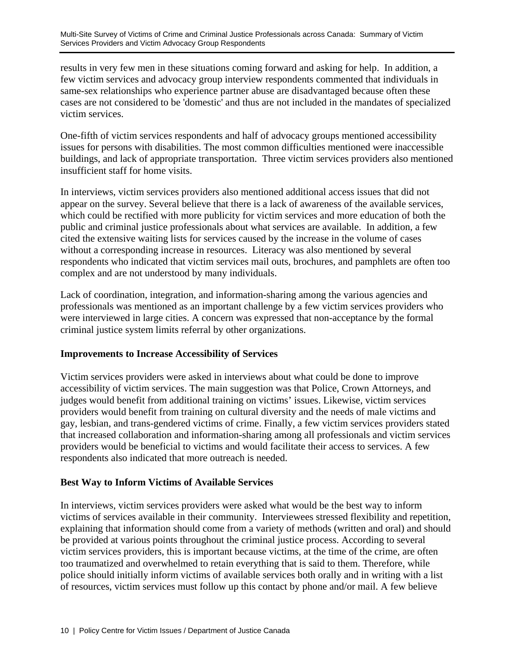results in very few men in these situations coming forward and asking for help. In addition, a few victim services and advocacy group interview respondents commented that individuals in same-sex relationships who experience partner abuse are disadvantaged because often these cases are not considered to be 'domestic' and thus are not included in the mandates of specialized victim services.

One-fifth of victim services respondents and half of advocacy groups mentioned accessibility issues for persons with disabilities. The most common difficulties mentioned were inaccessible buildings, and lack of appropriate transportation. Three victim services providers also mentioned insufficient staff for home visits.

In interviews, victim services providers also mentioned additional access issues that did not appear on the survey. Several believe that there is a lack of awareness of the available services, which could be rectified with more publicity for victim services and more education of both the public and criminal justice professionals about what services are available. In addition, a few cited the extensive waiting lists for services caused by the increase in the volume of cases without a corresponding increase in resources. Literacy was also mentioned by several respondents who indicated that victim services mail outs, brochures, and pamphlets are often too complex and are not understood by many individuals.

Lack of coordination, integration, and information-sharing among the various agencies and professionals was mentioned as an important challenge by a few victim services providers who were interviewed in large cities. A concern was expressed that non-acceptance by the formal criminal justice system limits referral by other organizations.

#### **Improvements to Increase Accessibility of Services**

Victim services providers were asked in interviews about what could be done to improve accessibility of victim services. The main suggestion was that Police, Crown Attorneys, and judges would benefit from additional training on victims' issues. Likewise, victim services providers would benefit from training on cultural diversity and the needs of male victims and gay, lesbian, and trans-gendered victims of crime. Finally, a few victim services providers stated that increased collaboration and information-sharing among all professionals and victim services providers would be beneficial to victims and would facilitate their access to services. A few respondents also indicated that more outreach is needed.

## **Best Way to Inform Victims of Available Services**

In interviews, victim services providers were asked what would be the best way to inform victims of services available in their community. Interviewees stressed flexibility and repetition, explaining that information should come from a variety of methods (written and oral) and should be provided at various points throughout the criminal justice process. According to several victim services providers, this is important because victims, at the time of the crime, are often too traumatized and overwhelmed to retain everything that is said to them. Therefore, while police should initially inform victims of available services both orally and in writing with a list of resources, victim services must follow up this contact by phone and/or mail. A few believe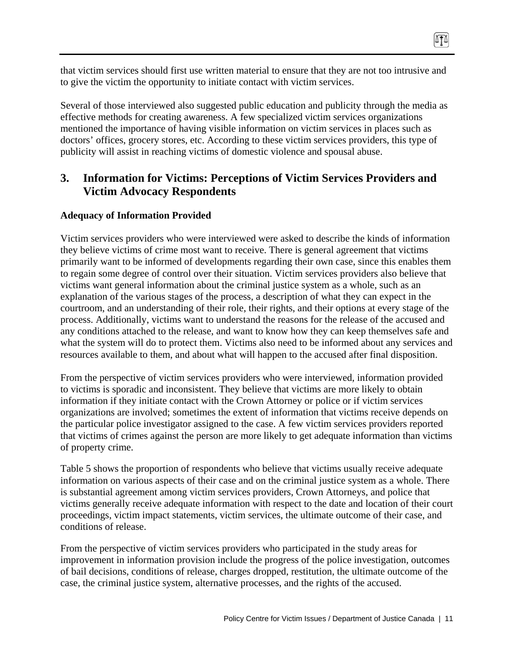that victim services should first use written material to ensure that they are not too intrusive and to give the victim the opportunity to initiate contact with victim services.

Several of those interviewed also suggested public education and publicity through the media as effective methods for creating awareness. A few specialized victim services organizations mentioned the importance of having visible information on victim services in places such as doctors' offices, grocery stores, etc. According to these victim services providers, this type of publicity will assist in reaching victims of domestic violence and spousal abuse.

# **3. Information for Victims: Perceptions of Victim Services Providers and Victim Advocacy Respondents**

## **Adequacy of Information Provided**

Victim services providers who were interviewed were asked to describe the kinds of information they believe victims of crime most want to receive. There is general agreement that victims primarily want to be informed of developments regarding their own case, since this enables them to regain some degree of control over their situation. Victim services providers also believe that victims want general information about the criminal justice system as a whole, such as an explanation of the various stages of the process, a description of what they can expect in the courtroom, and an understanding of their role, their rights, and their options at every stage of the process. Additionally, victims want to understand the reasons for the release of the accused and any conditions attached to the release, and want to know how they can keep themselves safe and what the system will do to protect them. Victims also need to be informed about any services and resources available to them, and about what will happen to the accused after final disposition.

From the perspective of victim services providers who were interviewed, information provided to victims is sporadic and inconsistent. They believe that victims are more likely to obtain information if they initiate contact with the Crown Attorney or police or if victim services organizations are involved; sometimes the extent of information that victims receive depends on the particular police investigator assigned to the case. A few victim services providers reported that victims of crimes against the person are more likely to get adequate information than victims of property crime.

Table 5 shows the proportion of respondents who believe that victims usually receive adequate information on various aspects of their case and on the criminal justice system as a whole. There is substantial agreement among victim services providers, Crown Attorneys, and police that victims generally receive adequate information with respect to the date and location of their court proceedings, victim impact statements, victim services, the ultimate outcome of their case, and conditions of release.

From the perspective of victim services providers who participated in the study areas for improvement in information provision include the progress of the police investigation, outcomes of bail decisions, conditions of release, charges dropped, restitution, the ultimate outcome of the case, the criminal justice system, alternative processes, and the rights of the accused.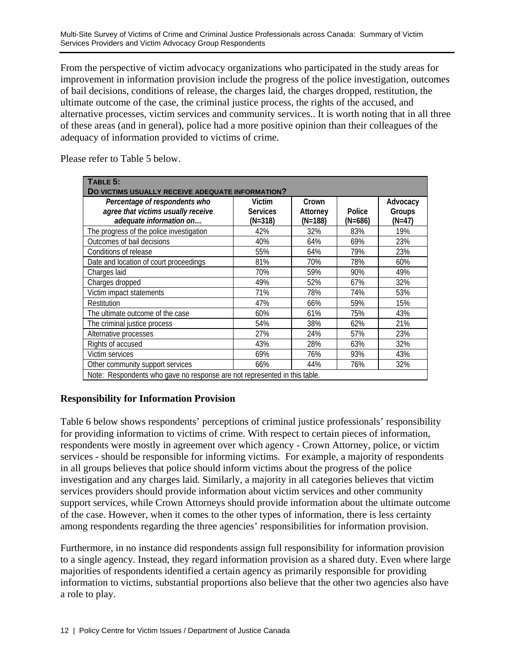From the perspective of victim advocacy organizations who participated in the study areas for improvement in information provision include the progress of the police investigation, outcomes of bail decisions, conditions of release, the charges laid, the charges dropped, restitution, the ultimate outcome of the case, the criminal justice process, the rights of the accused, and alternative processes, victim services and community services.. It is worth noting that in all three of these areas (and in general), police had a more positive opinion than their colleagues of the adequacy of information provided to victims of crime.

Please refer to Table 5 below.

| TABLE 5:                                                                  |                 |           |           |          |  |  |  |
|---------------------------------------------------------------------------|-----------------|-----------|-----------|----------|--|--|--|
| DO VICTIMS USUALLY RECEIVE ADEQUATE INFORMATION?                          |                 |           |           |          |  |  |  |
| Percentage of respondents who                                             | Victim          | Crown     |           | Advocacy |  |  |  |
| agree that victims usually receive                                        | <b>Services</b> | Attorney  | Police    | Groups   |  |  |  |
| adequate information on                                                   | (N=318)         | $(N=188)$ | $(N=686)$ | $(N=47)$ |  |  |  |
| The progress of the police investigation                                  | 42%             | 32%       | 83%       | 19%      |  |  |  |
| Outcomes of bail decisions                                                | 40%             | 64%       | 69%       | 23%      |  |  |  |
| Conditions of release                                                     | 55%             | 64%       | 79%       | 23%      |  |  |  |
| Date and location of court proceedings                                    | 81%             | 70%       | 78%       | 60%      |  |  |  |
| Charges laid                                                              | 70%             | 59%       | 90%       | 49%      |  |  |  |
| Charges dropped                                                           | 49%             | 52%       | 67%       | 32%      |  |  |  |
| Victim impact statements                                                  | 71%             | 78%       | 74%       | 53%      |  |  |  |
| Restitution                                                               | 47%             | 66%       | 59%       | 15%      |  |  |  |
| The ultimate outcome of the case                                          | 60%             | 61%       | 75%       | 43%      |  |  |  |
| The criminal justice process                                              | 54%             | 38%       | 62%       | 21%      |  |  |  |
| Alternative processes                                                     | 27%             | 24%       | 57%       | 23%      |  |  |  |
| Rights of accused                                                         | 43%             | 28%       | 63%       | 32%      |  |  |  |
| Victim services                                                           | 69%             | 76%       | 93%       | 43%      |  |  |  |
| Other community support services                                          | 66%             | 44%       | 76%       | 32%      |  |  |  |
| Note: Respondents who gave no response are not represented in this table. |                 |           |           |          |  |  |  |

## **Responsibility for Information Provision**

Table 6 below shows respondents' perceptions of criminal justice professionals' responsibility for providing information to victims of crime. With respect to certain pieces of information, respondents were mostly in agreement over which agency - Crown Attorney, police, or victim services - should be responsible for informing victims. For example, a majority of respondents in all groups believes that police should inform victims about the progress of the police investigation and any charges laid. Similarly, a majority in all categories believes that victim services providers should provide information about victim services and other community support services, while Crown Attorneys should provide information about the ultimate outcome of the case. However, when it comes to the other types of information, there is less certainty among respondents regarding the three agencies' responsibilities for information provision.

Furthermore, in no instance did respondents assign full responsibility for information provision to a single agency. Instead, they regard information provision as a shared duty. Even where large majorities of respondents identified a certain agency as primarily responsible for providing information to victims, substantial proportions also believe that the other two agencies also have a role to play.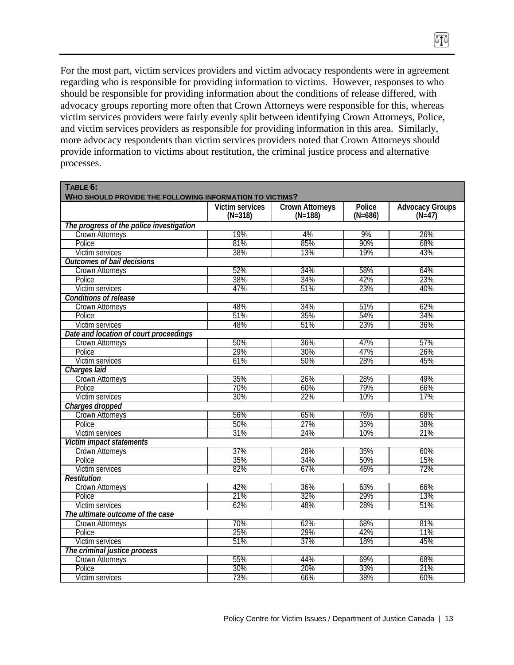For the most part, victim services providers and victim advocacy respondents were in agreement regarding who is responsible for providing information to victims. However, responses to who should be responsible for providing information about the conditions of release differed, with advocacy groups reporting more often that Crown Attorneys were responsible for this, whereas victim services providers were fairly evenly split between identifying Crown Attorneys, Police, and victim services providers as responsible for providing information in this area. Similarly, more advocacy respondents than victim services providers noted that Crown Attorneys should provide information to victims about restitution, the criminal justice process and alternative processes.

n

|                                                             | <b>Victim services</b> | <b>Crown Attorneys</b><br>$(N=188)$ | Police<br>$(N=686)$ | <b>Advocacy Groups</b><br>$(N=47)$ |
|-------------------------------------------------------------|------------------------|-------------------------------------|---------------------|------------------------------------|
|                                                             | $(N=318)$              |                                     |                     |                                    |
| The progress of the police investigation<br>Crown Attorneys | 19%                    | 4%                                  | 9%                  | 26%                                |
| Police                                                      | 81%                    | 85%                                 | 90%                 | 68%                                |
| Victim services                                             | 38%                    | 13%                                 | 19%                 | 43%                                |
| <b>Outcomes of bail decisions</b>                           |                        |                                     |                     |                                    |
|                                                             | 52%                    | 34%                                 | 58%                 | 64%                                |
| <b>Crown Attorneys</b><br>Police                            | 38%                    | 34%                                 | 42%                 | 23%                                |
|                                                             | 47%                    | 51%                                 | 23%                 | 40%                                |
| Victim services                                             |                        |                                     |                     |                                    |
| <b>Conditions of release</b>                                |                        |                                     |                     |                                    |
| <b>Crown Attorneys</b>                                      | 48%                    | 34%                                 | 51%                 | 62%<br>34%                         |
| Police                                                      | 51%                    | 35%                                 | 54%                 |                                    |
| Victim services                                             | 48%                    | 51%                                 | 23%                 | 36%                                |
| Date and location of court proceedings                      |                        |                                     |                     |                                    |
| <b>Crown Attorneys</b>                                      | 50%                    | 36%                                 | 47%                 | 57%                                |
| Police                                                      | 29%                    | 30%                                 | 47%                 | 26%                                |
| Victim services                                             | 61%                    | 50%                                 | 28%                 | 45%                                |
| Charges laid                                                |                        |                                     |                     |                                    |
| Crown Attorneys                                             | 35%                    | 26%                                 | 28%                 | 49%                                |
| Police                                                      | 70%                    | 60%                                 | 79%                 | 66%                                |
| Victim services                                             | 30%                    | 22%                                 | 10%                 | 17%                                |
| Charges dropped                                             |                        |                                     |                     |                                    |
| Crown Attorneys                                             | 56%                    | 65%                                 | 76%                 | 68%                                |
| Police                                                      | 50%                    | 27%                                 | 35%                 | 38%                                |
| Victim services                                             | 31%                    | $\frac{24\%}{24\%}$                 | 10%                 | 21%                                |
| Victim impact statements                                    |                        |                                     |                     |                                    |
| Crown Attorneys                                             | 37%                    | 28%                                 | 35%                 | 60%                                |
| Police                                                      | 35%                    | 34%                                 | 50%                 | 15%                                |
| Victim services                                             | 82%                    | 67%                                 | 46%                 | 72%                                |
| <b>Restitution</b>                                          |                        |                                     |                     |                                    |
| Crown Attorneys                                             | 42%                    | 36%                                 | 63%                 | 66%                                |
| Police                                                      | 21%                    | 32%                                 | 29%                 | 13%                                |
| Victim services                                             | 62%                    | 48%                                 | 28%                 | 51%                                |
| The ultimate outcome of the case                            |                        |                                     |                     |                                    |
| <b>Crown Attorneys</b>                                      | 70%                    | 62%                                 | 68%                 | 81%                                |
| Police                                                      | 25%                    | 29%                                 | 42%                 | 11%                                |
| Victim services                                             | 51%                    | 37%                                 | 18%                 | 45%                                |
| The criminal justice process                                |                        |                                     |                     |                                    |
| Crown Attorneys                                             | 55%                    | 44%                                 | 69%                 | 68%                                |
| Police                                                      | 30%                    | 20%                                 | 33%                 | 21%                                |
| Victim services                                             | 73%                    | 66%                                 | 38%                 | 60%                                |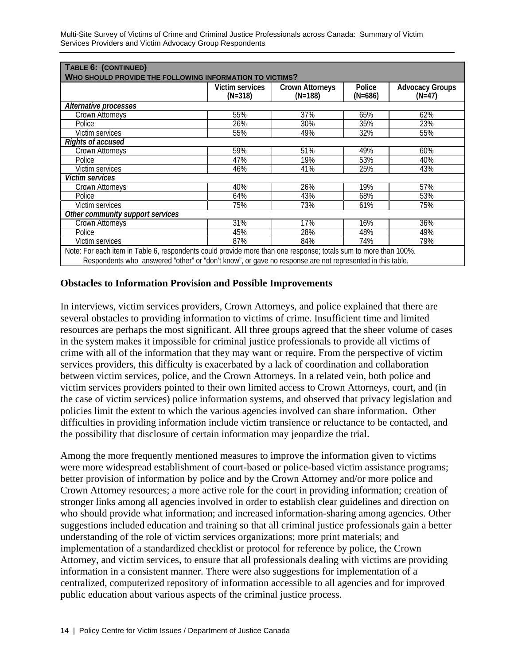Multi-Site Survey of Victims of Crime and Criminal Justice Professionals across Canada: Summary of Victim Services Providers and Victim Advocacy Group Respondents

| WHO SHOULD PROVIDE THE FOLLOWING INFORMATION TO VICTIMS? | <b>Crown Attorneys</b><br>Police<br><b>Advocacy Groups</b><br>Victim services |           |           |          |  |  |
|----------------------------------------------------------|-------------------------------------------------------------------------------|-----------|-----------|----------|--|--|
|                                                          | $(N=318)$                                                                     | $(N=188)$ | $(N=686)$ | $(N=47)$ |  |  |
| Alternative processes                                    |                                                                               |           |           |          |  |  |
| Crown Attorneys                                          | 55%                                                                           | 37%       | 65%       | 62%      |  |  |
| Police                                                   | 26%                                                                           | 30%       | 35%       | 23%      |  |  |
| Victim services                                          | 55%                                                                           | 49%       | 32%       | 55%      |  |  |
| <b>Rights of accused</b>                                 |                                                                               |           |           |          |  |  |
| Crown Attorneys                                          | 59%                                                                           | 51%       | 49%       | 60%      |  |  |
| Police                                                   | 47%                                                                           | 19%       | 53%       | 40%      |  |  |
| Victim services                                          | 46%                                                                           | 41%       | 25%       | 43%      |  |  |
| <i>Victim services</i>                                   |                                                                               |           |           |          |  |  |
| Crown Attorneys                                          | 40%                                                                           | 26%       | 19%       | 57%      |  |  |
| Police                                                   | 64%                                                                           | 43%       | 68%       | 53%      |  |  |
| Victim services                                          | 75%                                                                           | 73%       | 61%       | 75%      |  |  |
| Other community support services                         |                                                                               |           |           |          |  |  |
| Crown Attorneys                                          | 31%                                                                           | 17%       | 16%       | 36%      |  |  |
| Police                                                   | 45%                                                                           | 28%       | 48%       | 49%      |  |  |
| Victim services                                          | 87%                                                                           | 84%       | 74%       | 79%      |  |  |

#### **Obstacles to Information Provision and Possible Improvements**

In interviews, victim services providers, Crown Attorneys, and police explained that there are several obstacles to providing information to victims of crime. Insufficient time and limited resources are perhaps the most significant. All three groups agreed that the sheer volume of cases in the system makes it impossible for criminal justice professionals to provide all victims of crime with all of the information that they may want or require. From the perspective of victim services providers, this difficulty is exacerbated by a lack of coordination and collaboration between victim services, police, and the Crown Attorneys. In a related vein, both police and victim services providers pointed to their own limited access to Crown Attorneys, court, and (in the case of victim services) police information systems, and observed that privacy legislation and policies limit the extent to which the various agencies involved can share information. Other difficulties in providing information include victim transience or reluctance to be contacted, and the possibility that disclosure of certain information may jeopardize the trial.

Among the more frequently mentioned measures to improve the information given to victims were more widespread establishment of court-based or police-based victim assistance programs; better provision of information by police and by the Crown Attorney and/or more police and Crown Attorney resources; a more active role for the court in providing information; creation of stronger links among all agencies involved in order to establish clear guidelines and direction on who should provide what information; and increased information-sharing among agencies. Other suggestions included education and training so that all criminal justice professionals gain a better understanding of the role of victim services organizations; more print materials; and implementation of a standardized checklist or protocol for reference by police, the Crown Attorney, and victim services, to ensure that all professionals dealing with victims are providing information in a consistent manner. There were also suggestions for implementation of a centralized, computerized repository of information accessible to all agencies and for improved public education about various aspects of the criminal justice process.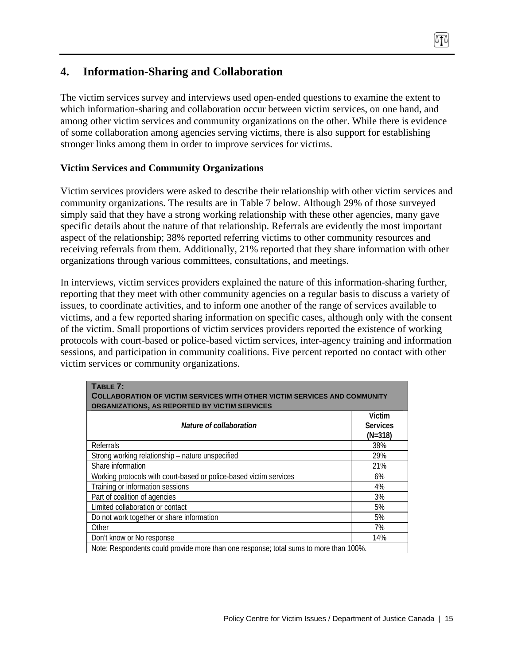# **4. Information-Sharing and Collaboration**

The victim services survey and interviews used open-ended questions to examine the extent to which information-sharing and collaboration occur between victim services, on one hand, and among other victim services and community organizations on the other. While there is evidence of some collaboration among agencies serving victims, there is also support for establishing stronger links among them in order to improve services for victims.

### **Victim Services and Community Organizations**

Victim services providers were asked to describe their relationship with other victim services and community organizations. The results are in Table 7 below. Although 29% of those surveyed simply said that they have a strong working relationship with these other agencies, many gave specific details about the nature of that relationship. Referrals are evidently the most important aspect of the relationship; 38% reported referring victims to other community resources and receiving referrals from them. Additionally, 21% reported that they share information with other organizations through various committees, consultations, and meetings.

In interviews, victim services providers explained the nature of this information-sharing further, reporting that they meet with other community agencies on a regular basis to discuss a variety of issues, to coordinate activities, and to inform one another of the range of services available to victims, and a few reported sharing information on specific cases, although only with the consent of the victim. Small proportions of victim services providers reported the existence of working protocols with court-based or police-based victim services, inter-agency training and information sessions, and participation in community coalitions. Five percent reported no contact with other victim services or community organizations.

| TABLE 7:<br><b>COLLABORATION OF VICTIM SERVICES WITH OTHER VICTIM SERVICES AND COMMUNITY</b><br>ORGANIZATIONS, AS REPORTED BY VICTIM SERVICES |                                        |  |  |  |
|-----------------------------------------------------------------------------------------------------------------------------------------------|----------------------------------------|--|--|--|
| Nature of collaboration                                                                                                                       | Victim<br><b>Services</b><br>$(N=318)$ |  |  |  |
| Referrals                                                                                                                                     | 38%                                    |  |  |  |
| Strong working relationship - nature unspecified                                                                                              | 29%                                    |  |  |  |
| Share information                                                                                                                             | 21%                                    |  |  |  |
| Working protocols with court-based or police-based victim services                                                                            | 6%                                     |  |  |  |
| Training or information sessions                                                                                                              | 4%                                     |  |  |  |
| Part of coalition of agencies                                                                                                                 | 3%                                     |  |  |  |
| Limited collaboration or contact                                                                                                              | 5%                                     |  |  |  |
| Do not work together or share information                                                                                                     | 5%                                     |  |  |  |
| Other                                                                                                                                         | 7%                                     |  |  |  |
| Don't know or No response                                                                                                                     | 14%                                    |  |  |  |
| Note: Respondents could provide more than one response; total sums to more than 100%.                                                         |                                        |  |  |  |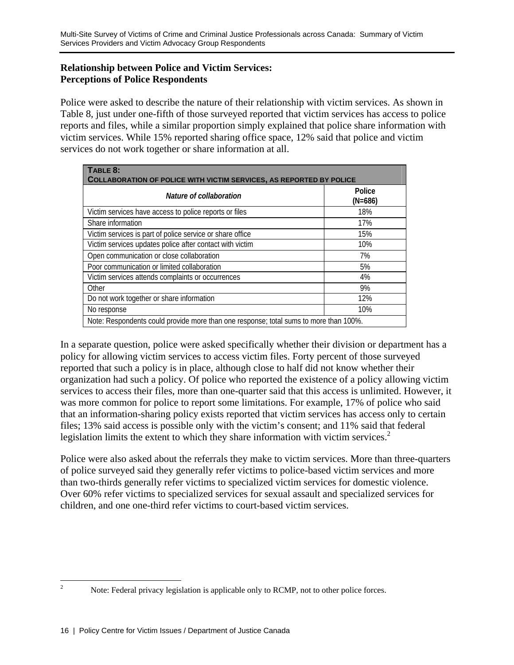## **Relationship between Police and Victim Services: Perceptions of Police Respondents**

Police were asked to describe the nature of their relationship with victim services. As shown in Table 8, just under one-fifth of those surveyed reported that victim services has access to police reports and files, while a similar proportion simply explained that police share information with victim services. While 15% reported sharing office space, 12% said that police and victim services do not work together or share information at all.

| TABLE 8:                                                                              |                     |  |  |  |  |  |
|---------------------------------------------------------------------------------------|---------------------|--|--|--|--|--|
| <b>COLLABORATION OF POLICE WITH VICTIM SERVICES, AS REPORTED BY POLICE</b>            |                     |  |  |  |  |  |
| Nature of collaboration                                                               | Police<br>$(N=686)$ |  |  |  |  |  |
| Victim services have access to police reports or files                                | 18%                 |  |  |  |  |  |
| Share information                                                                     | 17%                 |  |  |  |  |  |
| Victim services is part of police service or share office                             | 15%                 |  |  |  |  |  |
| Victim services updates police after contact with victim                              | 10%                 |  |  |  |  |  |
| Open communication or close collaboration                                             | 7%                  |  |  |  |  |  |
| Poor communication or limited collaboration                                           | 5%                  |  |  |  |  |  |
| Victim services attends complaints or occurrences                                     | 4%                  |  |  |  |  |  |
| Other                                                                                 | 9%                  |  |  |  |  |  |
| Do not work together or share information                                             | 12%                 |  |  |  |  |  |
| No response                                                                           | 10%                 |  |  |  |  |  |
| Note: Respondents could provide more than one response; total sums to more than 100%. |                     |  |  |  |  |  |

In a separate question, police were asked specifically whether their division or department has a policy for allowing victim services to access victim files. Forty percent of those surveyed reported that such a policy is in place, although close to half did not know whether their organization had such a policy. Of police who reported the existence of a policy allowing victim services to access their files, more than one-quarter said that this access is unlimited. However, it was more common for police to report some limitations. For example, 17% of police who said that an information-sharing policy exists reported that victim services has access only to certain files; 13% said access is possible only with the victim's consent; and 11% said that federal legislation limits the extent to which they share information with victim services.<sup>2</sup>

Police were also asked about the referrals they make to victim services. More than three-quarters of police surveyed said they generally refer victims to police-based victim services and more than two-thirds generally refer victims to specialized victim services for domestic violence. Over 60% refer victims to specialized services for sexual assault and specialized services for children, and one one-third refer victims to court-based victim services.

 $\frac{1}{2}$ 

Note: Federal privacy legislation is applicable only to RCMP, not to other police forces.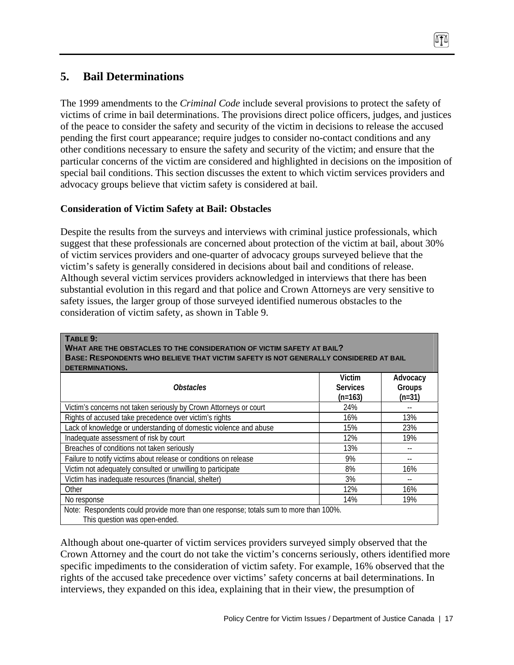# **5. Bail Determinations**

**TABLE 9:** 

The 1999 amendments to the *Criminal Code* include several provisions to protect the safety of victims of crime in bail determinations. The provisions direct police officers, judges, and justices of the peace to consider the safety and security of the victim in decisions to release the accused pending the first court appearance; require judges to consider no-contact conditions and any other conditions necessary to ensure the safety and security of the victim; and ensure that the particular concerns of the victim are considered and highlighted in decisions on the imposition of special bail conditions. This section discusses the extent to which victim services providers and advocacy groups believe that victim safety is considered at bail.

# **Consideration of Victim Safety at Bail: Obstacles**

Despite the results from the surveys and interviews with criminal justice professionals, which suggest that these professionals are concerned about protection of the victim at bail, about 30% of victim services providers and one-quarter of advocacy groups surveyed believe that the victim's safety is generally considered in decisions about bail and conditions of release. Although several victim services providers acknowledged in interviews that there has been substantial evolution in this regard and that police and Crown Attorneys are very sensitive to safety issues, the larger group of those surveyed identified numerous obstacles to the consideration of victim safety, as shown in Table 9.

| <b>Obstacles</b>                                                  | Victim<br><b>Services</b> | Advocacy<br>Groups |
|-------------------------------------------------------------------|---------------------------|--------------------|
|                                                                   | $(n=163)$                 | $(n=31)$           |
| Victim's concerns not taken seriously by Crown Attorneys or court | 24%                       |                    |
| Rights of accused take precedence over victim's rights            | 16%                       | 13%                |
| Lack of knowledge or understanding of domestic violence and abuse | 15%                       | 23%                |
| Inadequate assessment of risk by court                            | 12%                       | 19%                |
| Breaches of conditions not taken seriously                        | 13%                       |                    |
| Failure to notify victims about release or conditions on release  | 9%                        |                    |
| Victim not adequately consulted or unwilling to participate       | 8%                        | 16%                |
| Victim has inadequate resources (financial, shelter)              | 3%                        |                    |
| Other                                                             | 12%                       | 16%                |
| No response                                                       | 14%                       | 19%                |

Although about one-quarter of victim services providers surveyed simply observed that the Crown Attorney and the court do not take the victim's concerns seriously, others identified more specific impediments to the consideration of victim safety. For example, 16% observed that the rights of the accused take precedence over victims' safety concerns at bail determinations. In interviews, they expanded on this idea, explaining that in their view, the presumption of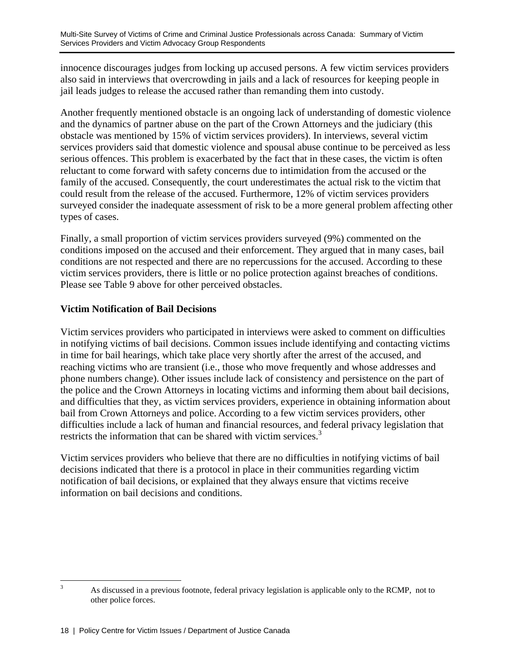innocence discourages judges from locking up accused persons. A few victim services providers also said in interviews that overcrowding in jails and a lack of resources for keeping people in jail leads judges to release the accused rather than remanding them into custody.

Another frequently mentioned obstacle is an ongoing lack of understanding of domestic violence and the dynamics of partner abuse on the part of the Crown Attorneys and the judiciary (this obstacle was mentioned by 15% of victim services providers). In interviews, several victim services providers said that domestic violence and spousal abuse continue to be perceived as less serious offences. This problem is exacerbated by the fact that in these cases, the victim is often reluctant to come forward with safety concerns due to intimidation from the accused or the family of the accused. Consequently, the court underestimates the actual risk to the victim that could result from the release of the accused. Furthermore, 12% of victim services providers surveyed consider the inadequate assessment of risk to be a more general problem affecting other types of cases.

Finally, a small proportion of victim services providers surveyed (9%) commented on the conditions imposed on the accused and their enforcement. They argued that in many cases, bail conditions are not respected and there are no repercussions for the accused. According to these victim services providers, there is little or no police protection against breaches of conditions. Please see Table 9 above for other perceived obstacles.

## **Victim Notification of Bail Decisions**

Victim services providers who participated in interviews were asked to comment on difficulties in notifying victims of bail decisions. Common issues include identifying and contacting victims in time for bail hearings, which take place very shortly after the arrest of the accused, and reaching victims who are transient (i.e., those who move frequently and whose addresses and phone numbers change). Other issues include lack of consistency and persistence on the part of the police and the Crown Attorneys in locating victims and informing them about bail decisions, and difficulties that they, as victim services providers, experience in obtaining information about bail from Crown Attorneys and police. According to a few victim services providers, other difficulties include a lack of human and financial resources, and federal privacy legislation that restricts the information that can be shared with victim services.<sup>3</sup>

Victim services providers who believe that there are no difficulties in notifying victims of bail decisions indicated that there is a protocol in place in their communities regarding victim notification of bail decisions, or explained that they always ensure that victims receive information on bail decisions and conditions.

<sup>&</sup>lt;sup>2</sup><br>3 As discussed in a previous footnote, federal privacy legislation is applicable only to the RCMP, not to other police forces.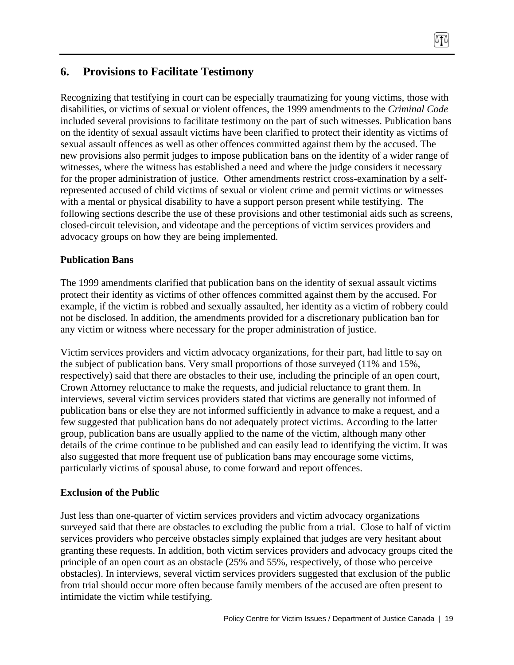# **6. Provisions to Facilitate Testimony**

Recognizing that testifying in court can be especially traumatizing for young victims, those with disabilities, or victims of sexual or violent offences, the 1999 amendments to the *Criminal Code*  included several provisions to facilitate testimony on the part of such witnesses. Publication bans on the identity of sexual assault victims have been clarified to protect their identity as victims of sexual assault offences as well as other offences committed against them by the accused. The new provisions also permit judges to impose publication bans on the identity of a wider range of witnesses, where the witness has established a need and where the judge considers it necessary for the proper administration of justice. Other amendments restrict cross-examination by a selfrepresented accused of child victims of sexual or violent crime and permit victims or witnesses with a mental or physical disability to have a support person present while testifying. The following sections describe the use of these provisions and other testimonial aids such as screens, closed-circuit television, and videotape and the perceptions of victim services providers and advocacy groups on how they are being implemented.

吓

#### **Publication Bans**

The 1999 amendments clarified that publication bans on the identity of sexual assault victims protect their identity as victims of other offences committed against them by the accused. For example, if the victim is robbed and sexually assaulted, her identity as a victim of robbery could not be disclosed. In addition, the amendments provided for a discretionary publication ban for any victim or witness where necessary for the proper administration of justice.

Victim services providers and victim advocacy organizations, for their part, had little to say on the subject of publication bans. Very small proportions of those surveyed (11% and 15%, respectively) said that there are obstacles to their use, including the principle of an open court, Crown Attorney reluctance to make the requests, and judicial reluctance to grant them. In interviews, several victim services providers stated that victims are generally not informed of publication bans or else they are not informed sufficiently in advance to make a request, and a few suggested that publication bans do not adequately protect victims. According to the latter group, publication bans are usually applied to the name of the victim, although many other details of the crime continue to be published and can easily lead to identifying the victim. It was also suggested that more frequent use of publication bans may encourage some victims, particularly victims of spousal abuse, to come forward and report offences.

#### **Exclusion of the Public**

Just less than one-quarter of victim services providers and victim advocacy organizations surveyed said that there are obstacles to excluding the public from a trial. Close to half of victim services providers who perceive obstacles simply explained that judges are very hesitant about granting these requests. In addition, both victim services providers and advocacy groups cited the principle of an open court as an obstacle (25% and 55%, respectively, of those who perceive obstacles). In interviews, several victim services providers suggested that exclusion of the public from trial should occur more often because family members of the accused are often present to intimidate the victim while testifying.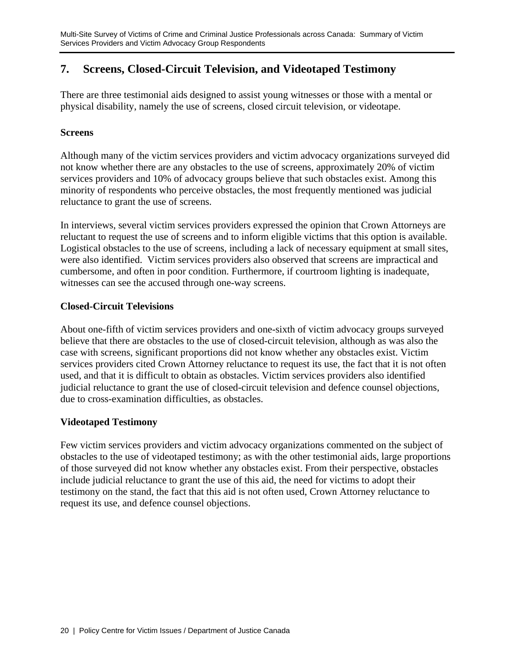# **7. Screens, Closed-Circuit Television, and Videotaped Testimony**

There are three testimonial aids designed to assist young witnesses or those with a mental or physical disability, namely the use of screens, closed circuit television, or videotape.

### **Screens**

Although many of the victim services providers and victim advocacy organizations surveyed did not know whether there are any obstacles to the use of screens, approximately 20% of victim services providers and 10% of advocacy groups believe that such obstacles exist. Among this minority of respondents who perceive obstacles, the most frequently mentioned was judicial reluctance to grant the use of screens.

In interviews, several victim services providers expressed the opinion that Crown Attorneys are reluctant to request the use of screens and to inform eligible victims that this option is available. Logistical obstacles to the use of screens, including a lack of necessary equipment at small sites, were also identified. Victim services providers also observed that screens are impractical and cumbersome, and often in poor condition. Furthermore, if courtroom lighting is inadequate, witnesses can see the accused through one-way screens.

### **Closed-Circuit Televisions**

About one-fifth of victim services providers and one-sixth of victim advocacy groups surveyed believe that there are obstacles to the use of closed-circuit television, although as was also the case with screens, significant proportions did not know whether any obstacles exist. Victim services providers cited Crown Attorney reluctance to request its use, the fact that it is not often used, and that it is difficult to obtain as obstacles. Victim services providers also identified judicial reluctance to grant the use of closed-circuit television and defence counsel objections, due to cross-examination difficulties, as obstacles.

## **Videotaped Testimony**

Few victim services providers and victim advocacy organizations commented on the subject of obstacles to the use of videotaped testimony; as with the other testimonial aids, large proportions of those surveyed did not know whether any obstacles exist. From their perspective, obstacles include judicial reluctance to grant the use of this aid, the need for victims to adopt their testimony on the stand, the fact that this aid is not often used, Crown Attorney reluctance to request its use, and defence counsel objections.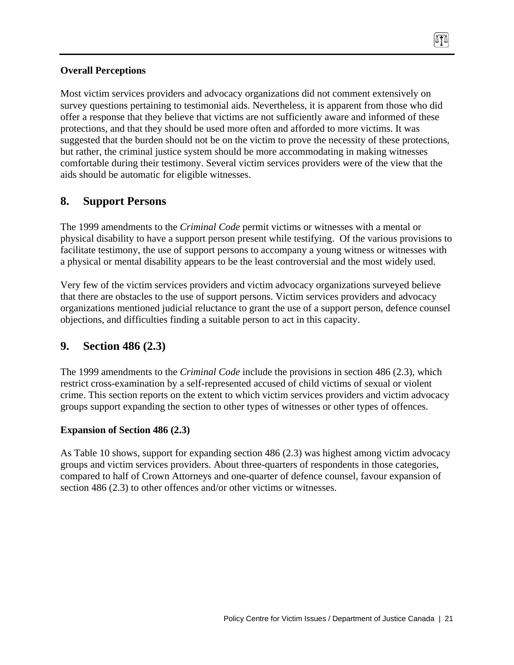## **Overall Perceptions**

Most victim services providers and advocacy organizations did not comment extensively on survey questions pertaining to testimonial aids. Nevertheless, it is apparent from those who did offer a response that they believe that victims are not sufficiently aware and informed of these protections, and that they should be used more often and afforded to more victims. It was suggested that the burden should not be on the victim to prove the necessity of these protections, but rather, the criminal justice system should be more accommodating in making witnesses comfortable during their testimony. Several victim services providers were of the view that the aids should be automatic for eligible witnesses.

# **8. Support Persons**

The 1999 amendments to the *Criminal Code* permit victims or witnesses with a mental or physical disability to have a support person present while testifying. Of the various provisions to facilitate testimony, the use of support persons to accompany a young witness or witnesses with a physical or mental disability appears to be the least controversial and the most widely used.

Very few of the victim services providers and victim advocacy organizations surveyed believe that there are obstacles to the use of support persons. Victim services providers and advocacy organizations mentioned judicial reluctance to grant the use of a support person, defence counsel objections, and difficulties finding a suitable person to act in this capacity.

# **9. Section 486 (2.3)**

The 1999 amendments to the *Criminal Code* include the provisions in section 486 (2.3), which restrict cross-examination by a self-represented accused of child victims of sexual or violent crime. This section reports on the extent to which victim services providers and victim advocacy groups support expanding the section to other types of witnesses or other types of offences.

## **Expansion of Section 486 (2.3)**

As Table 10 shows, support for expanding section 486 (2.3) was highest among victim advocacy groups and victim services providers. About three-quarters of respondents in those categories, compared to half of Crown Attorneys and one-quarter of defence counsel, favour expansion of section 486 (2.3) to other offences and/or other victims or witnesses.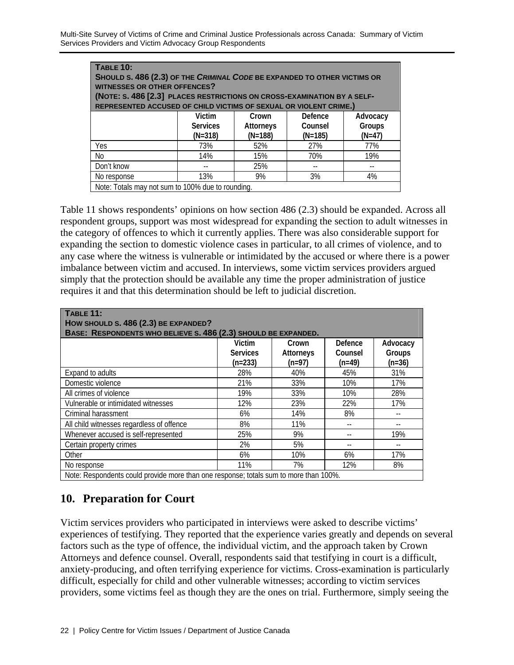Multi-Site Survey of Victims of Crime and Criminal Justice Professionals across Canada: Summary of Victim Services Providers and Victim Advocacy Group Respondents

| TABLE 10:<br>SHOULD S. 486 (2.3) OF THE CRIMINAL CODE BE EXPANDED TO OTHER VICTIMS OR<br><b>WITNESSES OR OTHER OFFENCES?</b><br>(NOTE: S. 486 [2.3] PLACES RESTRICTIONS ON CROSS-EXAMINATION BY A SELF-<br>REPRESENTED ACCUSED OF CHILD VICTIMS OF SEXUAL OR VIOLENT CRIME.) |                                        |                                        |                                 |                                |  |  |  |
|------------------------------------------------------------------------------------------------------------------------------------------------------------------------------------------------------------------------------------------------------------------------------|----------------------------------------|----------------------------------------|---------------------------------|--------------------------------|--|--|--|
|                                                                                                                                                                                                                                                                              | Victim<br><b>Services</b><br>$(N=318)$ | Crown<br><b>Attorneys</b><br>$(N=188)$ | Defence<br>Counsel<br>$(N=185)$ | Advocacy<br>Groups<br>$(N=47)$ |  |  |  |
| Yes                                                                                                                                                                                                                                                                          | 73%                                    | 52%                                    | 27%                             | 77%                            |  |  |  |
| <b>No</b>                                                                                                                                                                                                                                                                    | 14%                                    | 15%                                    | 70%                             | 19%                            |  |  |  |
| Don't know                                                                                                                                                                                                                                                                   |                                        | 25%                                    |                                 |                                |  |  |  |
| No response                                                                                                                                                                                                                                                                  | 13%                                    | 9%                                     | 3%                              | 4%                             |  |  |  |
| Note: Totals may not sum to 100% due to rounding.                                                                                                                                                                                                                            |                                        |                                        |                                 |                                |  |  |  |

Table 11 shows respondents' opinions on how section 486 (2.3) should be expanded. Across all respondent groups, support was most widespread for expanding the section to adult witnesses in the category of offences to which it currently applies. There was also considerable support for expanding the section to domestic violence cases in particular, to all crimes of violence, and to any case where the witness is vulnerable or intimidated by the accused or where there is a power imbalance between victim and accused. In interviews, some victim services providers argued simply that the protection should be available any time the proper administration of justice requires it and that this determination should be left to judicial discretion.

| TABLE 11:<br>HOW SHOULD S. 486 (2.3) BE EXPANDED?<br>BASE: RESPONDENTS WHO BELIEVE S. 486 (2.3) SHOULD BE EXPANDED. |                                        |                                       |                                       |                                |  |
|---------------------------------------------------------------------------------------------------------------------|----------------------------------------|---------------------------------------|---------------------------------------|--------------------------------|--|
|                                                                                                                     | Victim<br><b>Services</b><br>$(n=233)$ | Crown<br><b>Attorneys</b><br>$(n=97)$ | <b>Defence</b><br>Counsel<br>$(n=49)$ | Advocacy<br>Groups<br>$(n=36)$ |  |
| Expand to adults                                                                                                    | 28%                                    | 40%                                   | 45%                                   | 31%                            |  |
| Domestic violence                                                                                                   | 21%                                    | 33%                                   | 10%                                   | 17%                            |  |
| All crimes of violence                                                                                              | 19%                                    | 33%                                   | 10%                                   | 28%                            |  |
| Vulnerable or intimidated witnesses                                                                                 | 12%                                    | 23%                                   | 22%                                   | 17%                            |  |
| Criminal harassment                                                                                                 | 6%                                     | 14%                                   | 8%                                    |                                |  |
| All child witnesses regardless of offence                                                                           | 8%                                     | 11%                                   |                                       |                                |  |
| Whenever accused is self-represented                                                                                | 25%                                    | 9%                                    |                                       | 19%                            |  |
| Certain property crimes                                                                                             | 2%                                     | 5%                                    |                                       |                                |  |
| Other                                                                                                               | 6%                                     | 10%                                   | 6%                                    | 17%                            |  |
| No response                                                                                                         | 11%                                    | 7%                                    | 12%                                   | 8%                             |  |
| Note: Respondents could provide more than one response; totals sum to more than 100%.                               |                                        |                                       |                                       |                                |  |

# **10. Preparation for Court**

Victim services providers who participated in interviews were asked to describe victims' experiences of testifying. They reported that the experience varies greatly and depends on several factors such as the type of offence, the individual victim, and the approach taken by Crown Attorneys and defence counsel. Overall, respondents said that testifying in court is a difficult, anxiety-producing, and often terrifying experience for victims. Cross-examination is particularly difficult, especially for child and other vulnerable witnesses; according to victim services providers, some victims feel as though they are the ones on trial. Furthermore, simply seeing the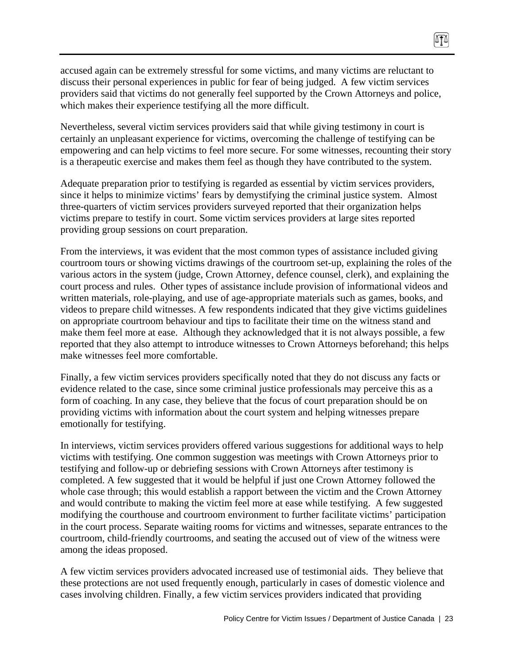accused again can be extremely stressful for some victims, and many victims are reluctant to discuss their personal experiences in public for fear of being judged. A few victim services providers said that victims do not generally feel supported by the Crown Attorneys and police, which makes their experience testifying all the more difficult.

Nevertheless, several victim services providers said that while giving testimony in court is certainly an unpleasant experience for victims, overcoming the challenge of testifying can be empowering and can help victims to feel more secure. For some witnesses, recounting their story is a therapeutic exercise and makes them feel as though they have contributed to the system.

Adequate preparation prior to testifying is regarded as essential by victim services providers, since it helps to minimize victims' fears by demystifying the criminal justice system. Almost three-quarters of victim services providers surveyed reported that their organization helps victims prepare to testify in court. Some victim services providers at large sites reported providing group sessions on court preparation.

From the interviews, it was evident that the most common types of assistance included giving courtroom tours or showing victims drawings of the courtroom set-up, explaining the roles of the various actors in the system (judge, Crown Attorney, defence counsel, clerk), and explaining the court process and rules. Other types of assistance include provision of informational videos and written materials, role-playing, and use of age-appropriate materials such as games, books, and videos to prepare child witnesses. A few respondents indicated that they give victims guidelines on appropriate courtroom behaviour and tips to facilitate their time on the witness stand and make them feel more at ease. Although they acknowledged that it is not always possible, a few reported that they also attempt to introduce witnesses to Crown Attorneys beforehand; this helps make witnesses feel more comfortable.

Finally, a few victim services providers specifically noted that they do not discuss any facts or evidence related to the case, since some criminal justice professionals may perceive this as a form of coaching. In any case, they believe that the focus of court preparation should be on providing victims with information about the court system and helping witnesses prepare emotionally for testifying.

In interviews, victim services providers offered various suggestions for additional ways to help victims with testifying. One common suggestion was meetings with Crown Attorneys prior to testifying and follow-up or debriefing sessions with Crown Attorneys after testimony is completed. A few suggested that it would be helpful if just one Crown Attorney followed the whole case through; this would establish a rapport between the victim and the Crown Attorney and would contribute to making the victim feel more at ease while testifying. A few suggested modifying the courthouse and courtroom environment to further facilitate victims' participation in the court process. Separate waiting rooms for victims and witnesses, separate entrances to the courtroom, child-friendly courtrooms, and seating the accused out of view of the witness were among the ideas proposed.

A few victim services providers advocated increased use of testimonial aids. They believe that these protections are not used frequently enough, particularly in cases of domestic violence and cases involving children. Finally, a few victim services providers indicated that providing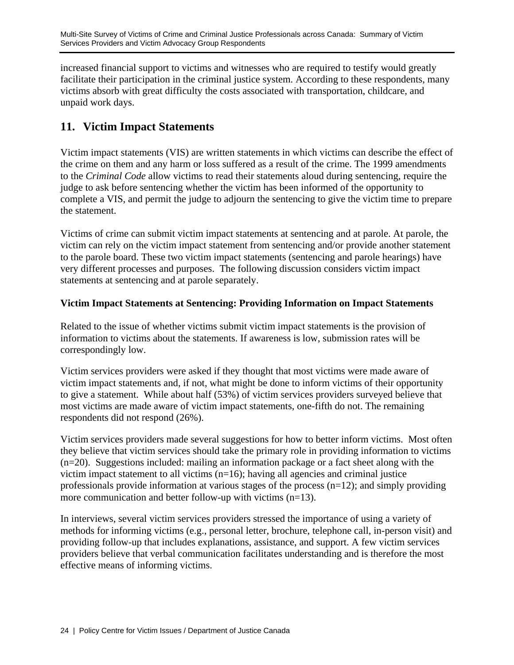increased financial support to victims and witnesses who are required to testify would greatly facilitate their participation in the criminal justice system. According to these respondents, many victims absorb with great difficulty the costs associated with transportation, childcare, and unpaid work days.

# **11. Victim Impact Statements**

Victim impact statements (VIS) are written statements in which victims can describe the effect of the crime on them and any harm or loss suffered as a result of the crime. The 1999 amendments to the *Criminal Code* allow victims to read their statements aloud during sentencing, require the judge to ask before sentencing whether the victim has been informed of the opportunity to complete a VIS, and permit the judge to adjourn the sentencing to give the victim time to prepare the statement.

Victims of crime can submit victim impact statements at sentencing and at parole. At parole, the victim can rely on the victim impact statement from sentencing and/or provide another statement to the parole board. These two victim impact statements (sentencing and parole hearings) have very different processes and purposes. The following discussion considers victim impact statements at sentencing and at parole separately.

## **Victim Impact Statements at Sentencing: Providing Information on Impact Statements**

Related to the issue of whether victims submit victim impact statements is the provision of information to victims about the statements. If awareness is low, submission rates will be correspondingly low.

Victim services providers were asked if they thought that most victims were made aware of victim impact statements and, if not, what might be done to inform victims of their opportunity to give a statement. While about half (53%) of victim services providers surveyed believe that most victims are made aware of victim impact statements, one-fifth do not. The remaining respondents did not respond (26%).

Victim services providers made several suggestions for how to better inform victims. Most often they believe that victim services should take the primary role in providing information to victims (n=20). Suggestions included: mailing an information package or a fact sheet along with the victim impact statement to all victims (n=16); having all agencies and criminal justice professionals provide information at various stages of the process (n=12); and simply providing more communication and better follow-up with victims (n=13).

In interviews, several victim services providers stressed the importance of using a variety of methods for informing victims (e.g., personal letter, brochure, telephone call, in-person visit) and providing follow-up that includes explanations, assistance, and support. A few victim services providers believe that verbal communication facilitates understanding and is therefore the most effective means of informing victims.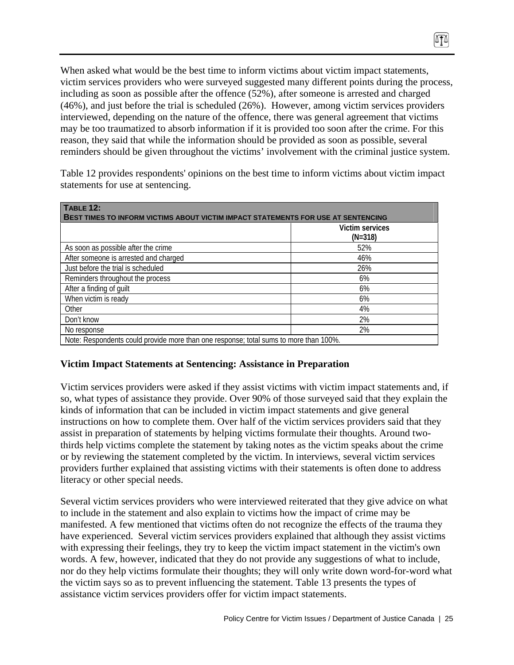When asked what would be the best time to inform victims about victim impact statements, victim services providers who were surveyed suggested many different points during the process, including as soon as possible after the offence (52%), after someone is arrested and charged (46%), and just before the trial is scheduled (26%). However, among victim services providers interviewed, depending on the nature of the offence, there was general agreement that victims may be too traumatized to absorb information if it is provided too soon after the crime. For this reason, they said that while the information should be provided as soon as possible, several reminders should be given throughout the victims' involvement with the criminal justice system.

Table 12 provides respondents' opinions on the best time to inform victims about victim impact statements for use at sentencing.

| TABLE 12:<br><b>BEST TIMES TO INFORM VICTIMS ABOUT VICTIM IMPACT STATEMENTS FOR USE AT SENTENCING</b> |                                     |  |  |  |
|-------------------------------------------------------------------------------------------------------|-------------------------------------|--|--|--|
|                                                                                                       | <b>Victim services</b><br>$(N=318)$ |  |  |  |
| As soon as possible after the crime                                                                   | 52%                                 |  |  |  |
| After someone is arrested and charged                                                                 | 46%                                 |  |  |  |
| Just before the trial is scheduled                                                                    | 26%                                 |  |  |  |
| Reminders throughout the process                                                                      | 6%                                  |  |  |  |
| After a finding of guilt                                                                              | 6%                                  |  |  |  |
| When victim is ready                                                                                  | 6%                                  |  |  |  |
| Other                                                                                                 | 4%                                  |  |  |  |
| Don't know                                                                                            | 2%                                  |  |  |  |
| No response                                                                                           | 2%                                  |  |  |  |
| Note: Respondents could provide more than one response; total sums to more than 100%.                 |                                     |  |  |  |

#### **Victim Impact Statements at Sentencing: Assistance in Preparation**

Victim services providers were asked if they assist victims with victim impact statements and, if so, what types of assistance they provide. Over 90% of those surveyed said that they explain the kinds of information that can be included in victim impact statements and give general instructions on how to complete them. Over half of the victim services providers said that they assist in preparation of statements by helping victims formulate their thoughts. Around twothirds help victims complete the statement by taking notes as the victim speaks about the crime or by reviewing the statement completed by the victim. In interviews, several victim services providers further explained that assisting victims with their statements is often done to address literacy or other special needs.

Several victim services providers who were interviewed reiterated that they give advice on what to include in the statement and also explain to victims how the impact of crime may be manifested. A few mentioned that victims often do not recognize the effects of the trauma they have experienced. Several victim services providers explained that although they assist victims with expressing their feelings, they try to keep the victim impact statement in the victim's own words. A few, however, indicated that they do not provide any suggestions of what to include, nor do they help victims formulate their thoughts; they will only write down word-for-word what the victim says so as to prevent influencing the statement. Table 13 presents the types of assistance victim services providers offer for victim impact statements.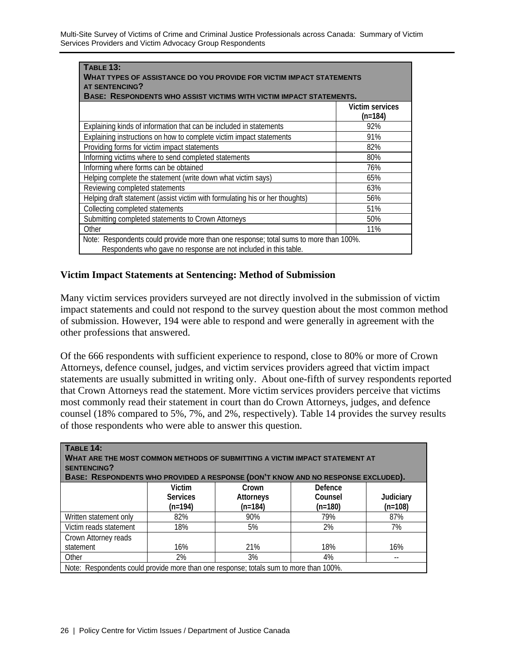| TABLE 13:<br>WHAT TYPES OF ASSISTANCE DO YOU PROVIDE FOR VICTIM IMPACT STATEMENTS                                                                         |                            |  |  |  |
|-----------------------------------------------------------------------------------------------------------------------------------------------------------|----------------------------|--|--|--|
| <b>AT SENTENCING?</b>                                                                                                                                     |                            |  |  |  |
| <b>BASE: RESPONDENTS WHO ASSIST VICTIMS WITH VICTIM IMPACT STATEMENTS.</b>                                                                                |                            |  |  |  |
|                                                                                                                                                           | Victim services<br>(n=184) |  |  |  |
| Explaining kinds of information that can be included in statements                                                                                        | 92%                        |  |  |  |
| Explaining instructions on how to complete victim impact statements                                                                                       | 91%                        |  |  |  |
| Providing forms for victim impact statements                                                                                                              | 82%                        |  |  |  |
| Informing victims where to send completed statements                                                                                                      | 80%                        |  |  |  |
| Informing where forms can be obtained                                                                                                                     | 76%                        |  |  |  |
| Helping complete the statement (write down what victim says)                                                                                              | 65%                        |  |  |  |
| Reviewing completed statements                                                                                                                            | 63%                        |  |  |  |
| Helping draft statement (assist victim with formulating his or her thoughts)                                                                              | 56%                        |  |  |  |
| Collecting completed statements                                                                                                                           | 51%                        |  |  |  |
| Submitting completed statements to Crown Attorneys                                                                                                        | 50%                        |  |  |  |
| Other                                                                                                                                                     | 11%                        |  |  |  |
| Note: Respondents could provide more than one response; total sums to more than 100%.<br>Respondents who gave no response are not included in this table. |                            |  |  |  |

## **Victim Impact Statements at Sentencing: Method of Submission**

Many victim services providers surveyed are not directly involved in the submission of victim impact statements and could not respond to the survey question about the most common method of submission. However, 194 were able to respond and were generally in agreement with the other professions that answered.

Of the 666 respondents with sufficient experience to respond, close to 80% or more of Crown Attorneys, defence counsel, judges, and victim services providers agreed that victim impact statements are usually submitted in writing only. About one-fifth of survey respondents reported that Crown Attorneys read the statement. More victim services providers perceive that victims most commonly read their statement in court than do Crown Attorneys, judges, and defence counsel (18% compared to 5%, 7%, and 2%, respectively). Table 14 provides the survey results of those respondents who were able to answer this question.

| TABLE 14:<br>WHAT ARE THE MOST COMMON METHODS OF SUBMITTING A VICTIM IMPACT STATEMENT AT<br><b>SENTENCING?</b><br>BASE: RESPONDENTS WHO PROVIDED A RESPONSE (DON'T KNOW AND NO RESPONSE EXCLUDED). |     |     |     |     |  |
|----------------------------------------------------------------------------------------------------------------------------------------------------------------------------------------------------|-----|-----|-----|-----|--|
| <b>Victim</b><br>Defence<br>Crown<br><b>Services</b><br>Counsel<br>Judiciary<br><b>Attorneys</b><br>$(n=108)$<br>$(n=194)$<br>$(n=184)$<br>$(n=180)$                                               |     |     |     |     |  |
| Written statement only                                                                                                                                                                             | 82% | 90% | 79% | 87% |  |
| Victim reads statement                                                                                                                                                                             | 18% | 5%  | 2%  | 7%  |  |
| Crown Attorney reads                                                                                                                                                                               |     |     |     |     |  |
| statement                                                                                                                                                                                          | 16% | 21% | 18% | 16% |  |
| Other                                                                                                                                                                                              | 2%  | 3%  | 4%  |     |  |
| Note: Respondents could provide more than one response; totals sum to more than 100%.                                                                                                              |     |     |     |     |  |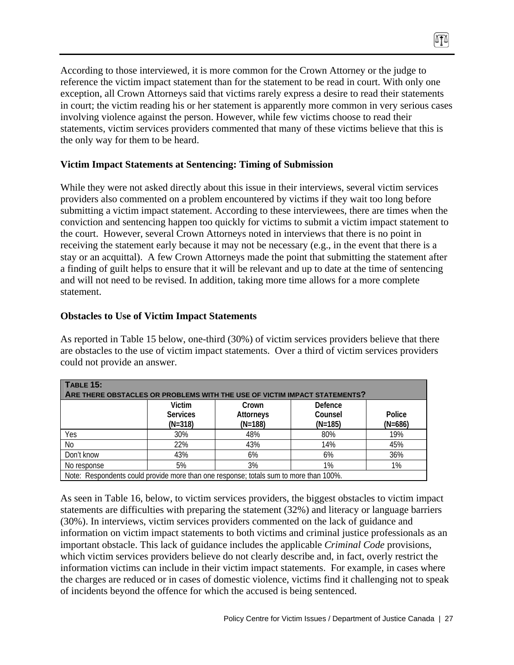According to those interviewed, it is more common for the Crown Attorney or the judge to reference the victim impact statement than for the statement to be read in court. With only one exception, all Crown Attorneys said that victims rarely express a desire to read their statements in court; the victim reading his or her statement is apparently more common in very serious cases involving violence against the person. However, while few victims choose to read their statements, victim services providers commented that many of these victims believe that this is the only way for them to be heard.

∏≬

## **Victim Impact Statements at Sentencing: Timing of Submission**

While they were not asked directly about this issue in their interviews, several victim services providers also commented on a problem encountered by victims if they wait too long before submitting a victim impact statement. According to these interviewees, there are times when the conviction and sentencing happen too quickly for victims to submit a victim impact statement to the court. However, several Crown Attorneys noted in interviews that there is no point in receiving the statement early because it may not be necessary (e.g., in the event that there is a stay or an acquittal). A few Crown Attorneys made the point that submitting the statement after a finding of guilt helps to ensure that it will be relevant and up to date at the time of sentencing and will not need to be revised. In addition, taking more time allows for a more complete statement.

#### **Obstacles to Use of Victim Impact Statements**

As reported in Table 15 below, one-third (30%) of victim services providers believe that there are obstacles to the use of victim impact statements. Over a third of victim services providers could not provide an answer.

| $\overline{ }$ TABLE 15:                                                              |                 |                  |           |           |  |
|---------------------------------------------------------------------------------------|-----------------|------------------|-----------|-----------|--|
| ARE THERE OBSTACLES OR PROBLEMS WITH THE USE OF VICTIM IMPACT STATEMENTS?             |                 |                  |           |           |  |
|                                                                                       | <b>Victim</b>   | Crown            | Defence   |           |  |
|                                                                                       | <b>Services</b> | <b>Attorneys</b> | Counsel   | Police    |  |
|                                                                                       | $(N=318)$       | $(N=188)$        | $(N=185)$ | $(N=686)$ |  |
| Yes                                                                                   | 30%             | 48%              | 80%       | 19%       |  |
| No                                                                                    | 22%             | 43%              | 14%       | 45%       |  |
| Don't know                                                                            | 43%             | 6%               | 6%        | 36%       |  |
| No response                                                                           | 5%              | 3%               | 1%        | 1%        |  |
| Note: Respondents could provide more than one response; totals sum to more than 100%. |                 |                  |           |           |  |

As seen in Table 16, below, to victim services providers, the biggest obstacles to victim impact statements are difficulties with preparing the statement (32%) and literacy or language barriers (30%). In interviews, victim services providers commented on the lack of guidance and information on victim impact statements to both victims and criminal justice professionals as an important obstacle. This lack of guidance includes the applicable *Criminal Code* provisions, which victim services providers believe do not clearly describe and, in fact, overly restrict the information victims can include in their victim impact statements. For example, in cases where the charges are reduced or in cases of domestic violence, victims find it challenging not to speak of incidents beyond the offence for which the accused is being sentenced.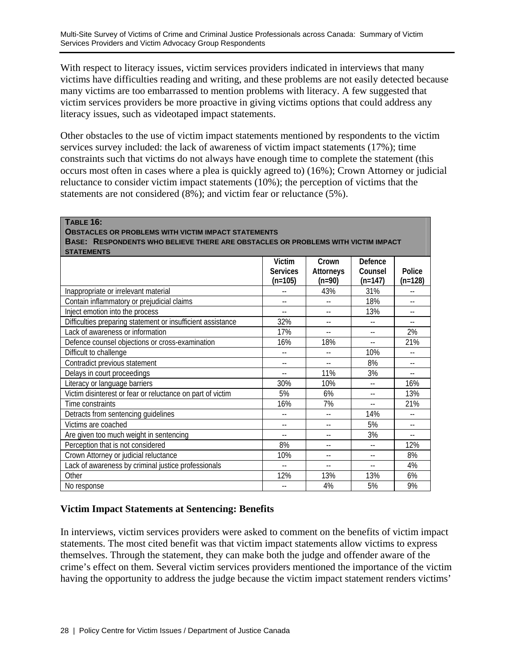With respect to literacy issues, victim services providers indicated in interviews that many victims have difficulties reading and writing, and these problems are not easily detected because many victims are too embarrassed to mention problems with literacy. A few suggested that victim services providers be more proactive in giving victims options that could address any literacy issues, such as videotaped impact statements.

Other obstacles to the use of victim impact statements mentioned by respondents to the victim services survey included: the lack of awareness of victim impact statements (17%); time constraints such that victims do not always have enough time to complete the statement (this occurs most often in cases where a plea is quickly agreed to) (16%); Crown Attorney or judicial reluctance to consider victim impact statements (10%); the perception of victims that the statements are not considered (8%); and victim fear or reluctance (5%).

**TABLE 16: OBSTACLES OR PROBLEMS WITH VICTIM IMPACT STATEMENTS**

**BASE: RESPONDENTS WHO BELIEVE THERE ARE OBSTACLES OR PROBLEMS WITH VICTIM IMPACT** 

| <b>STATEMENTS</b>                                           |                 |                            |           |                |  |
|-------------------------------------------------------------|-----------------|----------------------------|-----------|----------------|--|
|                                                             | <b>Victim</b>   | Crown                      | Defence   |                |  |
|                                                             | <b>Services</b> | <b>Attorneys</b>           | Counsel   | Police         |  |
|                                                             | $(n=105)$       | $(n=90)$                   | $(n=147)$ | $(n=128)$      |  |
| Inappropriate or irrelevant material                        |                 | 43%                        | 31%       |                |  |
| Contain inflammatory or prejudicial claims                  | $-1$            | $-$                        | 18%       | $\overline{a}$ |  |
| Inject emotion into the process                             | $\overline{a}$  | $-$                        | 13%       | $-1$           |  |
| Difficulties preparing statement or insufficient assistance | 32%             | $-$                        | $-$       | $-$            |  |
| Lack of awareness or information                            | 17%             | $-$                        | $-$       | 2%             |  |
| Defence counsel objections or cross-examination             | 16%             | 18%                        | $-1$      | 21%            |  |
| Difficult to challenge                                      |                 |                            | 10%       |                |  |
| Contradict previous statement                               | $- -$           | $\overline{\phantom{a}}$ . | 8%        | $-1$           |  |
| Delays in court proceedings                                 | $-1$            | 11%                        | 3%        | $-1$           |  |
| Literacy or language barriers                               | 30%             | 10%                        |           | 16%            |  |
| Victim disinterest or fear or reluctance on part of victim  | 5%              | 6%                         |           | 13%            |  |
| Time constraints                                            | 16%             | 7%                         | $-$       | 21%            |  |
| Detracts from sentencing guidelines                         | $-1$            | $-$                        | 14%       |                |  |
| Victims are coached                                         | $- -$           |                            | 5%        | $-$            |  |
| Are given too much weight in sentencing                     | $- -$           | $-$                        | 3%        | $-1$           |  |
| Perception that is not considered                           | 8%              |                            | $-$       | 12%            |  |
| Crown Attorney or judicial reluctance                       | 10%             |                            |           | 8%             |  |
| Lack of awareness by criminal justice professionals         |                 |                            | --        | 4%             |  |
| Other                                                       | 12%             | 13%                        | 13%       | 6%             |  |
| No response                                                 |                 | 4%                         | 5%        | 9%             |  |

## **Victim Impact Statements at Sentencing: Benefits**

In interviews, victim services providers were asked to comment on the benefits of victim impact statements. The most cited benefit was that victim impact statements allow victims to express themselves. Through the statement, they can make both the judge and offender aware of the crime's effect on them. Several victim services providers mentioned the importance of the victim having the opportunity to address the judge because the victim impact statement renders victims'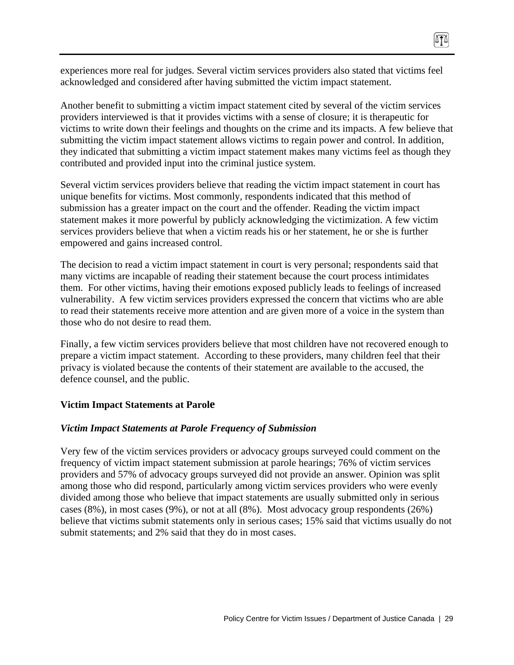experiences more real for judges. Several victim services providers also stated that victims feel acknowledged and considered after having submitted the victim impact statement.

∏≬

Another benefit to submitting a victim impact statement cited by several of the victim services providers interviewed is that it provides victims with a sense of closure; it is therapeutic for victims to write down their feelings and thoughts on the crime and its impacts. A few believe that submitting the victim impact statement allows victims to regain power and control. In addition, they indicated that submitting a victim impact statement makes many victims feel as though they contributed and provided input into the criminal justice system.

Several victim services providers believe that reading the victim impact statement in court has unique benefits for victims. Most commonly, respondents indicated that this method of submission has a greater impact on the court and the offender. Reading the victim impact statement makes it more powerful by publicly acknowledging the victimization. A few victim services providers believe that when a victim reads his or her statement, he or she is further empowered and gains increased control.

The decision to read a victim impact statement in court is very personal; respondents said that many victims are incapable of reading their statement because the court process intimidates them. For other victims, having their emotions exposed publicly leads to feelings of increased vulnerability. A few victim services providers expressed the concern that victims who are able to read their statements receive more attention and are given more of a voice in the system than those who do not desire to read them.

Finally, a few victim services providers believe that most children have not recovered enough to prepare a victim impact statement. According to these providers, many children feel that their privacy is violated because the contents of their statement are available to the accused, the defence counsel, and the public.

#### **Victim Impact Statements at Parole**

#### *Victim Impact Statements at Parole Frequency of Submission*

Very few of the victim services providers or advocacy groups surveyed could comment on the frequency of victim impact statement submission at parole hearings; 76% of victim services providers and 57% of advocacy groups surveyed did not provide an answer. Opinion was split among those who did respond, particularly among victim services providers who were evenly divided among those who believe that impact statements are usually submitted only in serious cases (8%), in most cases (9%), or not at all (8%). Most advocacy group respondents (26%) believe that victims submit statements only in serious cases; 15% said that victims usually do not submit statements; and 2% said that they do in most cases.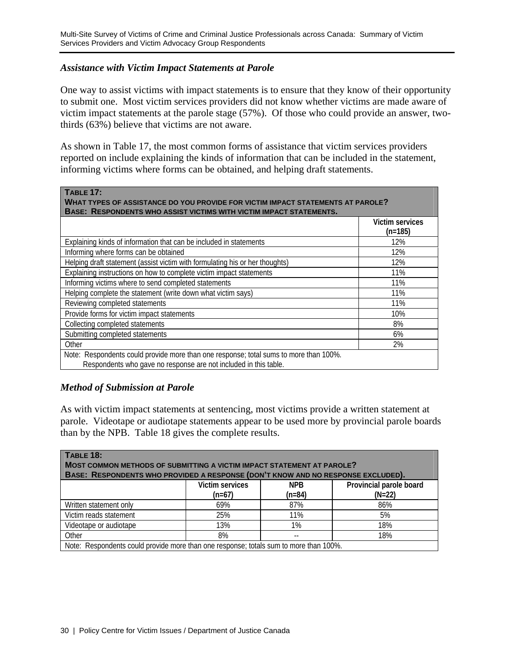#### *Assistance with Victim Impact Statements at Parole*

One way to assist victims with impact statements is to ensure that they know of their opportunity to submit one. Most victim services providers did not know whether victims are made aware of victim impact statements at the parole stage (57%). Of those who could provide an answer, twothirds (63%) believe that victims are not aware.

As shown in Table 17, the most common forms of assistance that victim services providers reported on include explaining the kinds of information that can be included in the statement, informing victims where forms can be obtained, and helping draft statements.

| <b>TABLE 17:</b><br>WHAT TYPES OF ASSISTANCE DO YOU PROVIDE FOR VICTIM IMPACT STATEMENTS AT PAROLE?<br><b>BASE: RESPONDENTS WHO ASSIST VICTIMS WITH VICTIM IMPACT STATEMENTS.</b> |                              |  |  |
|-----------------------------------------------------------------------------------------------------------------------------------------------------------------------------------|------------------------------|--|--|
|                                                                                                                                                                                   | Victim services<br>$(n=185)$ |  |  |
| Explaining kinds of information that can be included in statements                                                                                                                | 12%                          |  |  |
| Informing where forms can be obtained                                                                                                                                             | 12%                          |  |  |
| Helping draft statement (assist victim with formulating his or her thoughts)                                                                                                      | 12%                          |  |  |
| Explaining instructions on how to complete victim impact statements                                                                                                               | 11%                          |  |  |
| Informing victims where to send completed statements                                                                                                                              | 11%                          |  |  |
| Helping complete the statement (write down what victim says)                                                                                                                      | 11%                          |  |  |
| Reviewing completed statements                                                                                                                                                    | 11%                          |  |  |
| Provide forms for victim impact statements                                                                                                                                        | 10%                          |  |  |
| Collecting completed statements                                                                                                                                                   | 8%                           |  |  |
| Submitting completed statements                                                                                                                                                   | 6%                           |  |  |
| Other                                                                                                                                                                             | 2%                           |  |  |
| Note: Respondents could provide more than one response; total sums to more than 100%.<br>Respondents who gave no response are not included in this table.                         |                              |  |  |

#### *Method of Submission at Parole*

As with victim impact statements at sentencing, most victims provide a written statement at parole. Videotape or audiotape statements appear to be used more by provincial parole boards than by the NPB. Table 18 gives the complete results.

| TABLE 18:<br>MOST COMMON METHODS OF SUBMITTING A VICTIM IMPACT STATEMENT AT PAROLE?<br>BASE: RESPONDENTS WHO PROVIDED A RESPONSE (DON'T KNOW AND NO RESPONSE EXCLUDED). |                                                                                                     |     |     |  |  |  |  |
|-------------------------------------------------------------------------------------------------------------------------------------------------------------------------|-----------------------------------------------------------------------------------------------------|-----|-----|--|--|--|--|
|                                                                                                                                                                         | <b>Victim services</b><br>Provincial parole board<br><b>NPB</b><br>$(n=84)$<br>$(N=22)$<br>$(n=67)$ |     |     |  |  |  |  |
| Written statement only                                                                                                                                                  | 69%                                                                                                 | 87% | 86% |  |  |  |  |
| Victim reads statement                                                                                                                                                  | 25%                                                                                                 | 11% | 5%  |  |  |  |  |
| Videotape or audiotape                                                                                                                                                  | 13%                                                                                                 | 1%  | 18% |  |  |  |  |
| Other                                                                                                                                                                   | 8%                                                                                                  |     | 18% |  |  |  |  |
| Note: Respondents could provide more than one response; totals sum to more than 100%.                                                                                   |                                                                                                     |     |     |  |  |  |  |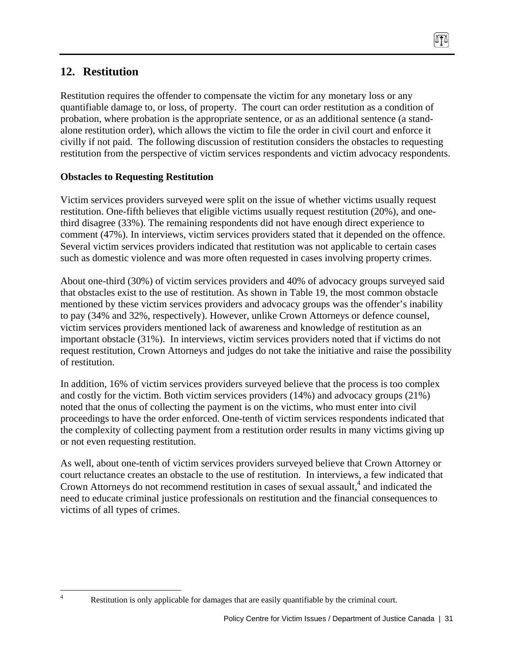# **12. Restitution**

 $\frac{1}{4}$ 

Restitution requires the offender to compensate the victim for any monetary loss or any quantifiable damage to, or loss, of property. The court can order restitution as a condition of probation, where probation is the appropriate sentence, or as an additional sentence (a standalone restitution order), which allows the victim to file the order in civil court and enforce it civilly if not paid. The following discussion of restitution considers the obstacles to requesting restitution from the perspective of victim services respondents and victim advocacy respondents.

# **Obstacles to Requesting Restitution**

Victim services providers surveyed were split on the issue of whether victims usually request restitution. One-fifth believes that eligible victims usually request restitution (20%), and onethird disagree (33%). The remaining respondents did not have enough direct experience to comment (47%). In interviews, victim services providers stated that it depended on the offence. Several victim services providers indicated that restitution was not applicable to certain cases such as domestic violence and was more often requested in cases involving property crimes.

About one-third (30%) of victim services providers and 40% of advocacy groups surveyed said that obstacles exist to the use of restitution. As shown in Table 19, the most common obstacle mentioned by these victim services providers and advocacy groups was the offender's inability to pay (34% and 32%, respectively). However, unlike Crown Attorneys or defence counsel, victim services providers mentioned lack of awareness and knowledge of restitution as an important obstacle (31%). In interviews, victim services providers noted that if victims do not request restitution, Crown Attorneys and judges do not take the initiative and raise the possibility of restitution.

In addition, 16% of victim services providers surveyed believe that the process is too complex and costly for the victim. Both victim services providers (14%) and advocacy groups (21%) noted that the onus of collecting the payment is on the victims, who must enter into civil proceedings to have the order enforced. One-tenth of victim services respondents indicated that the complexity of collecting payment from a restitution order results in many victims giving up or not even requesting restitution.

As well, about one-tenth of victim services providers surveyed believe that Crown Attorney or court reluctance creates an obstacle to the use of restitution. In interviews, a few indicated that Crown Attorneys do not recommend restitution in cases of sexual assault, $<sup>4</sup>$  and indicated the</sup> need to educate criminal justice professionals on restitution and the financial consequences to victims of all types of crimes.

Restitution is only applicable for damages that are easily quantifiable by the criminal court.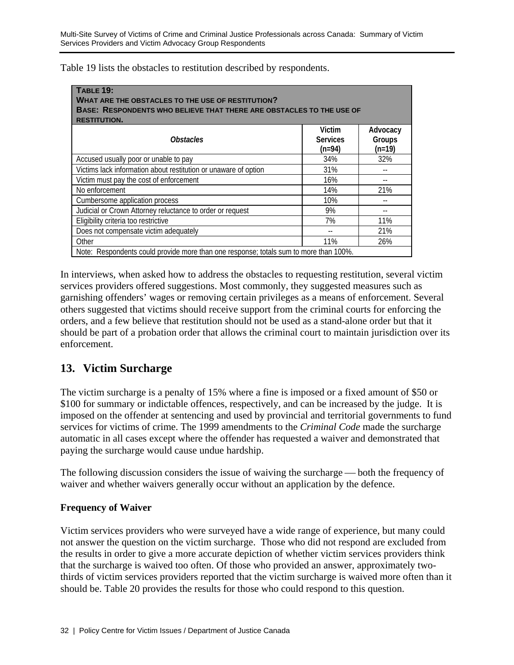Table 19 lists the obstacles to restitution described by respondents.

| $TABLE$ 19:<br><b>WHAT ARE THE OBSTACLES TO THE USE OF RESTITUTION?</b><br>BASE: RESPONDENTS WHO BELIEVE THAT THERE ARE OBSTACLES TO THE USE OF<br><b>RESTITUTION.</b> |                                     |                                |  |  |  |  |  |
|------------------------------------------------------------------------------------------------------------------------------------------------------------------------|-------------------------------------|--------------------------------|--|--|--|--|--|
| <i><b>Obstacles</b></i>                                                                                                                                                | Victim<br><b>Services</b><br>(n=94) | Advocacy<br>Groups<br>$(n=19)$ |  |  |  |  |  |
| Accused usually poor or unable to pay                                                                                                                                  | 34%                                 | 32%                            |  |  |  |  |  |
| Victims lack information about restitution or unaware of option                                                                                                        | 31%                                 |                                |  |  |  |  |  |
| Victim must pay the cost of enforcement                                                                                                                                | 16%                                 |                                |  |  |  |  |  |
| No enforcement                                                                                                                                                         | 14%                                 | 21%                            |  |  |  |  |  |
| Cumbersome application process                                                                                                                                         | 10%                                 |                                |  |  |  |  |  |
| Judicial or Crown Attorney reluctance to order or request                                                                                                              | 9%                                  |                                |  |  |  |  |  |
| Eligibility criteria too restrictive                                                                                                                                   | 7%                                  | 11%                            |  |  |  |  |  |
| Does not compensate victim adequately                                                                                                                                  |                                     | 21%                            |  |  |  |  |  |
| Other                                                                                                                                                                  | 11%                                 | 26%                            |  |  |  |  |  |
| Note: Respondents could provide more than one response; totals sum to more than 100%.                                                                                  |                                     |                                |  |  |  |  |  |

In interviews, when asked how to address the obstacles to requesting restitution, several victim services providers offered suggestions. Most commonly, they suggested measures such as garnishing offenders' wages or removing certain privileges as a means of enforcement. Several others suggested that victims should receive support from the criminal courts for enforcing the orders, and a few believe that restitution should not be used as a stand-alone order but that it should be part of a probation order that allows the criminal court to maintain jurisdiction over its enforcement.

# **13. Victim Surcharge**

The victim surcharge is a penalty of 15% where a fine is imposed or a fixed amount of \$50 or \$100 for summary or indictable offences, respectively, and can be increased by the judge. It is imposed on the offender at sentencing and used by provincial and territorial governments to fund services for victims of crime. The 1999 amendments to the *Criminal Code* made the surcharge automatic in all cases except where the offender has requested a waiver and demonstrated that paying the surcharge would cause undue hardship.

The following discussion considers the issue of waiving the surcharge — both the frequency of waiver and whether waivers generally occur without an application by the defence.

#### **Frequency of Waiver**

Victim services providers who were surveyed have a wide range of experience, but many could not answer the question on the victim surcharge. Those who did not respond are excluded from the results in order to give a more accurate depiction of whether victim services providers think that the surcharge is waived too often. Of those who provided an answer, approximately twothirds of victim services providers reported that the victim surcharge is waived more often than it should be. Table 20 provides the results for those who could respond to this question.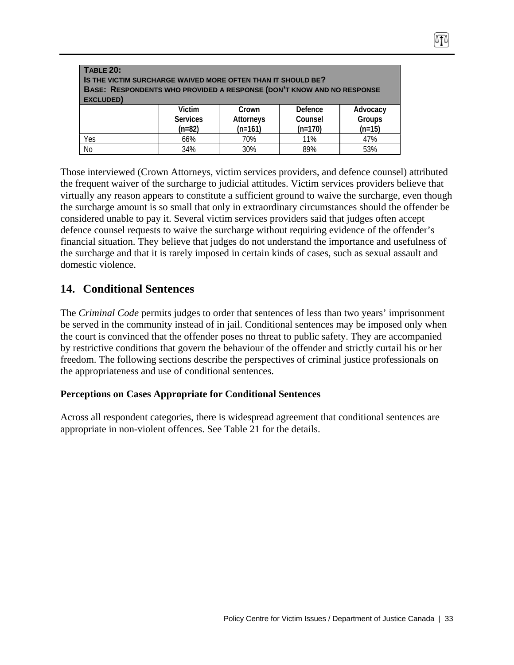| <b>TABLE 20:</b><br>IS THE VICTIM SURCHARGE WAIVED MORE OFTEN THAN IT SHOULD BE?<br>BASE: RESPONDENTS WHO PROVIDED A RESPONSE (DON'T KNOW AND NO RESPONSE<br>EXCLUDED) |                                              |                                 |                                 |                                |  |  |  |
|------------------------------------------------------------------------------------------------------------------------------------------------------------------------|----------------------------------------------|---------------------------------|---------------------------------|--------------------------------|--|--|--|
|                                                                                                                                                                        | <b>Victim</b><br><b>Services</b><br>$(n=82)$ | Crown<br>Attorneys<br>$(n=161)$ | Defence<br>Counsel<br>$(n=170)$ | Advocacy<br>Groups<br>$(n=15)$ |  |  |  |
| Yes                                                                                                                                                                    | 66%                                          | 70%                             | 11%                             | 47%                            |  |  |  |
| <b>No</b>                                                                                                                                                              | 34%                                          | 30%                             | 89%                             | 53%                            |  |  |  |

Those interviewed (Crown Attorneys, victim services providers, and defence counsel) attributed the frequent waiver of the surcharge to judicial attitudes. Victim services providers believe that virtually any reason appears to constitute a sufficient ground to waive the surcharge, even though the surcharge amount is so small that only in extraordinary circumstances should the offender be considered unable to pay it. Several victim services providers said that judges often accept defence counsel requests to waive the surcharge without requiring evidence of the offender's financial situation. They believe that judges do not understand the importance and usefulness of the surcharge and that it is rarely imposed in certain kinds of cases, such as sexual assault and domestic violence.

# **14. Conditional Sentences**

The *Criminal Code* permits judges to order that sentences of less than two years' imprisonment be served in the community instead of in jail. Conditional sentences may be imposed only when the court is convinced that the offender poses no threat to public safety. They are accompanied by restrictive conditions that govern the behaviour of the offender and strictly curtail his or her freedom. The following sections describe the perspectives of criminal justice professionals on the appropriateness and use of conditional sentences.

#### **Perceptions on Cases Appropriate for Conditional Sentences**

Across all respondent categories, there is widespread agreement that conditional sentences are appropriate in non-violent offences. See Table 21 for the details.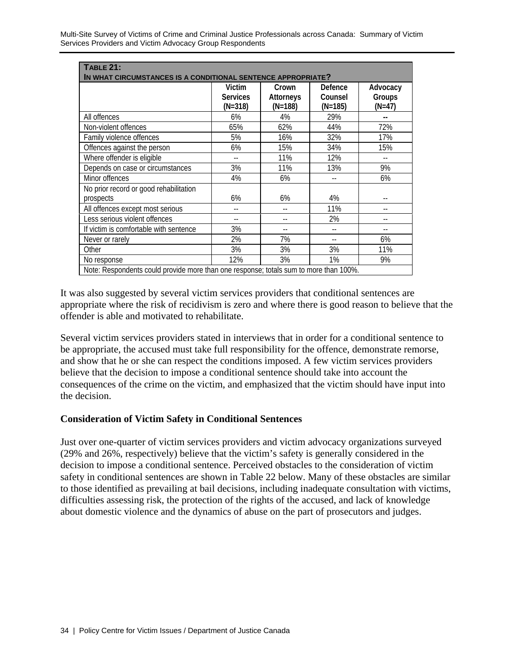| <b>TABLE 21:</b><br>IN WHAT CIRCUMSTANCES IS A CONDITIONAL SENTENCE APPROPRIATE?      |                                      |                               |                               |                                |  |  |  |  |
|---------------------------------------------------------------------------------------|--------------------------------------|-------------------------------|-------------------------------|--------------------------------|--|--|--|--|
|                                                                                       | Victim<br><b>Services</b><br>(N=318) | Crown<br>Attorneys<br>(N=188) | Defence<br>Counsel<br>(N=185) | Advocacy<br>Groups<br>$(N=47)$ |  |  |  |  |
| All offences                                                                          | 6%                                   | 4%                            | 29%                           | --                             |  |  |  |  |
| Non-violent offences                                                                  | 65%                                  | 62%                           | 44%                           | 72%                            |  |  |  |  |
| Family violence offences                                                              | 5%                                   | 16%                           | 32%                           | 17%                            |  |  |  |  |
| Offences against the person                                                           | 6%                                   | 15%                           | 34%                           | 15%                            |  |  |  |  |
| Where offender is eligible                                                            |                                      | 11%                           | 12%                           |                                |  |  |  |  |
| Depends on case or circumstances                                                      | 3%                                   | 11%                           | 13%                           | 9%                             |  |  |  |  |
| Minor offences                                                                        | 4%                                   | 6%                            |                               | 6%                             |  |  |  |  |
| No prior record or good rehabilitation<br>prospects                                   | 6%                                   | 6%                            | 4%                            |                                |  |  |  |  |
| All offences except most serious                                                      |                                      | --                            | 11%                           | --                             |  |  |  |  |
| Less serious violent offences                                                         |                                      |                               | 2%                            |                                |  |  |  |  |
| If victim is comfortable with sentence                                                | 3%                                   | $-$                           |                               |                                |  |  |  |  |
| Never or rarely                                                                       | 2%                                   | 7%                            |                               | 6%                             |  |  |  |  |
| Other                                                                                 | 3%                                   | 3%                            | 3%                            | 11%                            |  |  |  |  |
| No response                                                                           | 12%                                  | 3%                            | 1%                            | 9%                             |  |  |  |  |
| Note: Respondents could provide more than one response; totals sum to more than 100%. |                                      |                               |                               |                                |  |  |  |  |

It was also suggested by several victim services providers that conditional sentences are appropriate where the risk of recidivism is zero and where there is good reason to believe that the offender is able and motivated to rehabilitate.

Several victim services providers stated in interviews that in order for a conditional sentence to be appropriate, the accused must take full responsibility for the offence, demonstrate remorse, and show that he or she can respect the conditions imposed. A few victim services providers believe that the decision to impose a conditional sentence should take into account the consequences of the crime on the victim, and emphasized that the victim should have input into the decision.

#### **Consideration of Victim Safety in Conditional Sentences**

Just over one-quarter of victim services providers and victim advocacy organizations surveyed (29% and 26%, respectively) believe that the victim's safety is generally considered in the decision to impose a conditional sentence. Perceived obstacles to the consideration of victim safety in conditional sentences are shown in Table 22 below. Many of these obstacles are similar to those identified as prevailing at bail decisions, including inadequate consultation with victims, difficulties assessing risk, the protection of the rights of the accused, and lack of knowledge about domestic violence and the dynamics of abuse on the part of prosecutors and judges.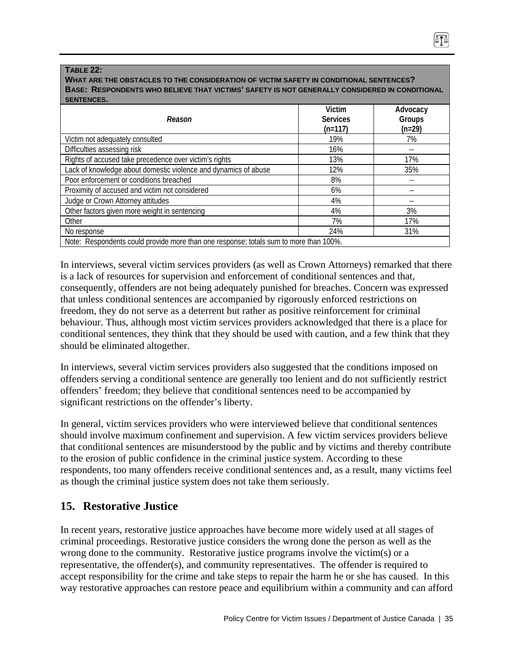#### **TABLE 22:**

**WHAT ARE THE OBSTACLES TO THE CONSIDERATION OF VICTIM SAFETY IN CONDITIONAL SENTENCES? BASE: RESPONDENTS WHO BELIEVE THAT VICTIMS' SAFETY IS NOT GENERALLY CONSIDERED IN CONDITIONAL SENTENCES.**

| Reason                                                                                | Victim<br><b>Services</b><br>$(n=117)$ | Advocacy<br>Groups<br>$(n=29)$ |
|---------------------------------------------------------------------------------------|----------------------------------------|--------------------------------|
| Victim not adequately consulted                                                       | 19%                                    | 7%                             |
| Difficulties assessing risk                                                           | 16%                                    |                                |
| Rights of accused take precedence over victim's rights                                | 13%                                    | 17%                            |
| Lack of knowledge about domestic violence and dynamics of abuse                       | 12%                                    | 35%                            |
| Poor enforcement or conditions breached                                               | 8%                                     |                                |
| Proximity of accused and victim not considered                                        | 6%                                     |                                |
| Judge or Crown Attorney attitudes                                                     | 4%                                     |                                |
| Other factors given more weight in sentencing                                         | 4%                                     | 3%                             |
| Other                                                                                 | 7%                                     | 17%                            |
| No response                                                                           | 24%                                    | 31%                            |
| Note: Respondents could provide more than one response; totals sum to more than 100%. |                                        |                                |

In interviews, several victim services providers (as well as Crown Attorneys) remarked that there is a lack of resources for supervision and enforcement of conditional sentences and that, consequently, offenders are not being adequately punished for breaches. Concern was expressed that unless conditional sentences are accompanied by rigorously enforced restrictions on freedom, they do not serve as a deterrent but rather as positive reinforcement for criminal behaviour. Thus, although most victim services providers acknowledged that there is a place for conditional sentences, they think that they should be used with caution, and a few think that they should be eliminated altogether.

In interviews, several victim services providers also suggested that the conditions imposed on offenders serving a conditional sentence are generally too lenient and do not sufficiently restrict offenders' freedom; they believe that conditional sentences need to be accompanied by significant restrictions on the offender's liberty.

In general, victim services providers who were interviewed believe that conditional sentences should involve maximum confinement and supervision. A few victim services providers believe that conditional sentences are misunderstood by the public and by victims and thereby contribute to the erosion of public confidence in the criminal justice system. According to these respondents, too many offenders receive conditional sentences and, as a result, many victims feel as though the criminal justice system does not take them seriously.

# **15. Restorative Justice**

In recent years, restorative justice approaches have become more widely used at all stages of criminal proceedings. Restorative justice considers the wrong done the person as well as the wrong done to the community. Restorative justice programs involve the victim(s) or a representative, the offender(s), and community representatives. The offender is required to accept responsibility for the crime and take steps to repair the harm he or she has caused. In this way restorative approaches can restore peace and equilibrium within a community and can afford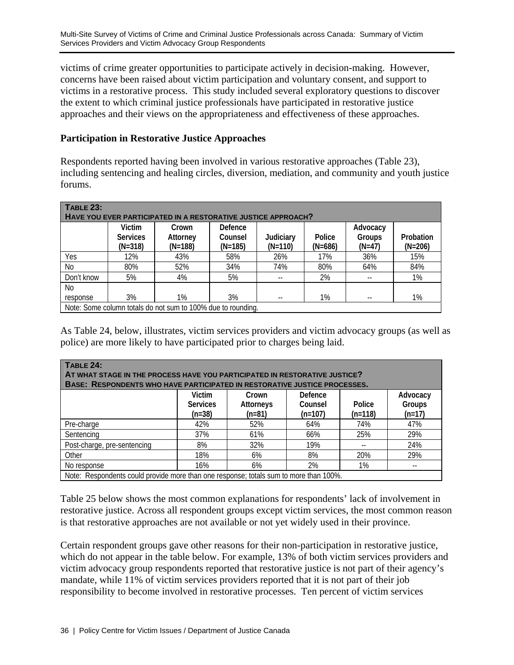victims of crime greater opportunities to participate actively in decision-making. However, concerns have been raised about victim participation and voluntary consent, and support to victims in a restorative process. This study included several exploratory questions to discover the extent to which criminal justice professionals have participated in restorative justice approaches and their views on the appropriateness and effectiveness of these approaches.

### **Participation in Restorative Justice Approaches**

Respondents reported having been involved in various restorative approaches (Table 23), including sentencing and healing circles, diversion, mediation, and community and youth justice forums.

| <b>TABLE 23:</b><br>HAVE YOU EVER PARTICIPATED IN A RESTORATIVE JUSTICE APPROACH? |                                        |                                |                                 |                        |                     |                                |                        |  |
|-----------------------------------------------------------------------------------|----------------------------------------|--------------------------------|---------------------------------|------------------------|---------------------|--------------------------------|------------------------|--|
|                                                                                   | Victim<br><b>Services</b><br>$(N=318)$ | Crown<br>Attorney<br>$(N=188)$ | Defence<br>Counsel<br>$(N=185)$ | Judiciary<br>$(N=110)$ | Police<br>$(N=686)$ | Advocacy<br>Groups<br>$(N=47)$ | Probation<br>$(N=206)$ |  |
| Yes                                                                               | 12%                                    | 43%                            | 58%                             | 26%                    | 17%                 | 36%                            | 15%                    |  |
| No                                                                                | 80%                                    | 52%                            | 34%                             | 74%                    | 80%                 | 64%                            | 84%                    |  |
| Don't know                                                                        | 5%                                     | 4%                             | 5%                              |                        | 2%                  | $- -$                          | 1%                     |  |
| No                                                                                |                                        |                                |                                 |                        |                     |                                |                        |  |
| response                                                                          | 3%                                     | 1%                             | 3%                              | --                     | 1%                  | $- -$                          | 1%                     |  |
| Note: Some column totals do not sum to 100% due to rounding.                      |                                        |                                |                                 |                        |                     |                                |                        |  |

As Table 24, below, illustrates, victim services providers and victim advocacy groups (as well as police) are more likely to have participated prior to charges being laid.

| TABLE 24:<br>AT WHAT STAGE IN THE PROCESS HAVE YOU PARTICIPATED IN RESTORATIVE JUSTICE?<br><b>BASE: RESPONDENTS WHO HAVE PARTICIPATED IN RESTORATIVE JUSTICE PROCESSES.</b> |                                                                                                                                                                     |     |     |     |     |  |  |  |  |
|-----------------------------------------------------------------------------------------------------------------------------------------------------------------------------|---------------------------------------------------------------------------------------------------------------------------------------------------------------------|-----|-----|-----|-----|--|--|--|--|
|                                                                                                                                                                             | Defence<br>Victim<br>Advocacy<br>Crown<br>Groups<br><b>Services</b><br>Attorneys<br>Police<br>Counsel<br>$(n=17)$<br>$(n=38)$<br>$(n=107)$<br>$(n=118)$<br>$(n=81)$ |     |     |     |     |  |  |  |  |
| Pre-charge                                                                                                                                                                  | 42%                                                                                                                                                                 | 52% | 64% | 74% | 47% |  |  |  |  |
| Sentencing                                                                                                                                                                  | 37%                                                                                                                                                                 | 61% | 66% | 25% | 29% |  |  |  |  |
| Post-charge, pre-sentencing                                                                                                                                                 | 8%                                                                                                                                                                  | 32% | 19% |     | 24% |  |  |  |  |
| Other                                                                                                                                                                       | 18%                                                                                                                                                                 | 6%  | 8%  | 20% | 29% |  |  |  |  |
| 2%<br>1%<br>6%<br>16%<br>No response                                                                                                                                        |                                                                                                                                                                     |     |     |     |     |  |  |  |  |
| Note: Respondents could provide more than one response; totals sum to more than 100%.                                                                                       |                                                                                                                                                                     |     |     |     |     |  |  |  |  |

Table 25 below shows the most common explanations for respondents' lack of involvement in restorative justice. Across all respondent groups except victim services, the most common reason is that restorative approaches are not available or not yet widely used in their province.

Certain respondent groups gave other reasons for their non-participation in restorative justice, which do not appear in the table below. For example, 13% of both victim services providers and victim advocacy group respondents reported that restorative justice is not part of their agency's mandate, while 11% of victim services providers reported that it is not part of their job responsibility to become involved in restorative processes. Ten percent of victim services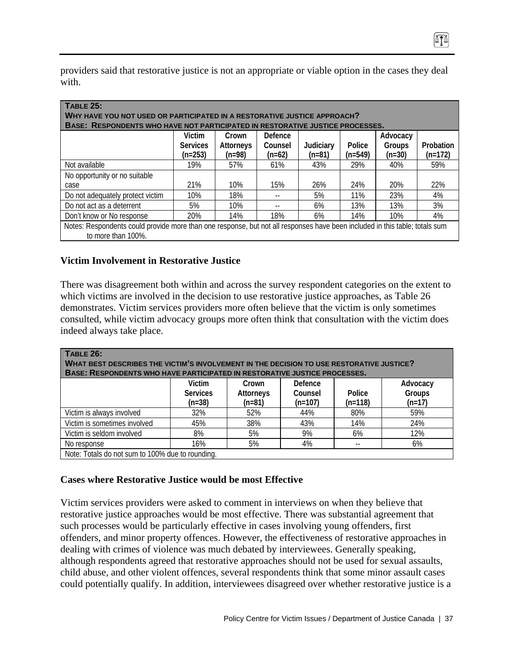providers said that restorative justice is not an appropriate or viable option in the cases they deal with.

| <b>TABLE 25:</b><br>WHY HAVE YOU NOT USED OR PARTICIPATED IN A RESTORATIVE JUSTICE APPROACH?<br>BASE: RESPONDENTS WHO HAVE NOT PARTICIPATED IN RESTORATIVE JUSTICE PROCESSES. |                                        |                                |                                |                       |                     |                                |                        |
|-------------------------------------------------------------------------------------------------------------------------------------------------------------------------------|----------------------------------------|--------------------------------|--------------------------------|-----------------------|---------------------|--------------------------------|------------------------|
|                                                                                                                                                                               | Victim<br><b>Services</b><br>$(n=253)$ | Crown<br>Attorneys<br>$(n=98)$ | Defence<br>Counsel<br>$(n=62)$ | Judiciary<br>$(n=81)$ | Police<br>$(n=549)$ | Advocacy<br>Groups<br>$(n=30)$ | Probation<br>$(n=172)$ |
| Not available                                                                                                                                                                 | 19%                                    | 57%                            | 61%                            | 43%                   | 29%                 | 40%                            | 59%                    |
| No opportunity or no suitable                                                                                                                                                 |                                        |                                |                                |                       |                     |                                |                        |
| case                                                                                                                                                                          | 21%                                    | 10%                            | 15%                            | 26%                   | 24%                 | 20%                            | 22%                    |
| Do not adequately protect victim                                                                                                                                              | 10%                                    | 18%                            |                                | 5%                    | 11%                 | 23%                            | 4%                     |
| Do not act as a deterrent                                                                                                                                                     | 5%                                     | 10%                            |                                | 6%                    | 13%                 | 13%                            | 3%                     |
| Don't know or No response                                                                                                                                                     | 20%                                    | 14%                            | 18%                            | 6%                    | 14%                 | 10%                            | 4%                     |
| Notes: Respondents could provide more than one response, but not all responses have been included in this table; totals sum<br>to more than 100%.                             |                                        |                                |                                |                       |                     |                                |                        |

### **Victim Involvement in Restorative Justice**

There was disagreement both within and across the survey respondent categories on the extent to which victims are involved in the decision to use restorative justice approaches, as Table 26 demonstrates. Victim services providers more often believe that the victim is only sometimes consulted, while victim advocacy groups more often think that consultation with the victim does indeed always take place.

| TABLE 26:<br><b>WHAT BEST DESCRIBES THE VICTIM'S INVOLVEMENT IN THE DECISION TO USE RESTORATIVE JUSTICE?</b><br><b>BASE: RESPONDENTS WHO HAVE PARTICIPATED IN RESTORATIVE JUSTICE PROCESSES.</b> |                 |           |           |           |          |  |  |  |
|--------------------------------------------------------------------------------------------------------------------------------------------------------------------------------------------------|-----------------|-----------|-----------|-----------|----------|--|--|--|
|                                                                                                                                                                                                  | <b>Victim</b>   | Crown     | Defence   |           | Advocacy |  |  |  |
|                                                                                                                                                                                                  | <b>Services</b> | Attorneys | Counsel   | Police    | Groups   |  |  |  |
|                                                                                                                                                                                                  | $(n=38)$        | $(n=81)$  | $(n=107)$ | $(n=118)$ | $(n=17)$ |  |  |  |
| Victim is always involved                                                                                                                                                                        | 32%             | 52%       | 44%       | 80%       | 59%      |  |  |  |
| Victim is sometimes involved                                                                                                                                                                     | 45%             | 38%       | 43%       | 14%       | 24%      |  |  |  |
| Victim is seldom involved                                                                                                                                                                        | 8%              | 5%        | 9%        | 6%        | 12%      |  |  |  |
| No response                                                                                                                                                                                      | 16%             | 5%        | 4%        | $- -$     | 6%       |  |  |  |
| Note: Totals do not sum to 100% due to rounding.                                                                                                                                                 |                 |           |           |           |          |  |  |  |

#### **Cases where Restorative Justice would be most Effective**

Victim services providers were asked to comment in interviews on when they believe that restorative justice approaches would be most effective. There was substantial agreement that such processes would be particularly effective in cases involving young offenders, first offenders, and minor property offences. However, the effectiveness of restorative approaches in dealing with crimes of violence was much debated by interviewees. Generally speaking, although respondents agreed that restorative approaches should not be used for sexual assaults, child abuse, and other violent offences, several respondents think that some minor assault cases could potentially qualify. In addition, interviewees disagreed over whether restorative justice is a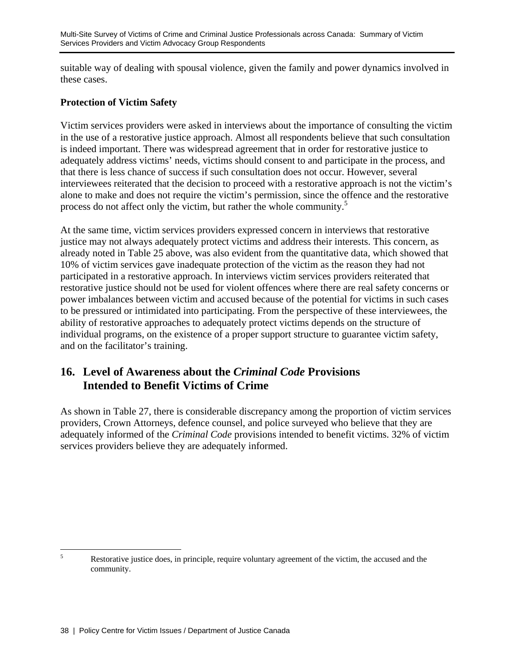suitable way of dealing with spousal violence, given the family and power dynamics involved in these cases.

### **Protection of Victim Safety**

Victim services providers were asked in interviews about the importance of consulting the victim in the use of a restorative justice approach. Almost all respondents believe that such consultation is indeed important. There was widespread agreement that in order for restorative justice to adequately address victims' needs, victims should consent to and participate in the process, and that there is less chance of success if such consultation does not occur. However, several interviewees reiterated that the decision to proceed with a restorative approach is not the victim's alone to make and does not require the victim's permission, since the offence and the restorative process do not affect only the victim, but rather the whole community.<sup>5</sup>

At the same time, victim services providers expressed concern in interviews that restorative justice may not always adequately protect victims and address their interests. This concern, as already noted in Table 25 above, was also evident from the quantitative data, which showed that 10% of victim services gave inadequate protection of the victim as the reason they had not participated in a restorative approach. In interviews victim services providers reiterated that restorative justice should not be used for violent offences where there are real safety concerns or power imbalances between victim and accused because of the potential for victims in such cases to be pressured or intimidated into participating. From the perspective of these interviewees, the ability of restorative approaches to adequately protect victims depends on the structure of individual programs, on the existence of a proper support structure to guarantee victim safety, and on the facilitator's training.

# **16. Level of Awareness about the** *Criminal Code* **Provisions Intended to Benefit Victims of Crime**

As shown in Table 27, there is considerable discrepancy among the proportion of victim services providers, Crown Attorneys, defence counsel, and police surveyed who believe that they are adequately informed of the *Criminal Code* provisions intended to benefit victims. 32% of victim services providers believe they are adequately informed.

 5 Restorative justice does, in principle, require voluntary agreement of the victim, the accused and the community.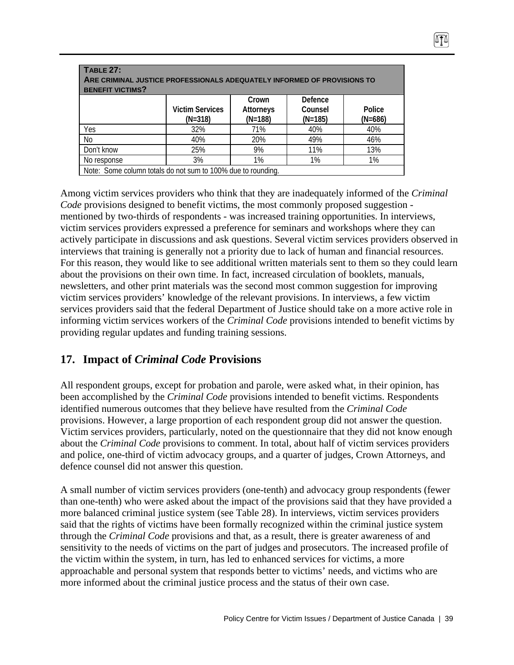| <b>TABLE 27:</b><br>ARE CRIMINAL JUSTICE PROFESSIONALS ADEQUATELY INFORMED OF PROVISIONS TO<br><b>BENEFIT VICTIMS?</b> |                                     |                                 |                                 |                     |  |  |  |  |
|------------------------------------------------------------------------------------------------------------------------|-------------------------------------|---------------------------------|---------------------------------|---------------------|--|--|--|--|
|                                                                                                                        | <b>Victim Services</b><br>$(N=318)$ | Crown<br>Attorneys<br>$(N=188)$ | Defence<br>Counsel<br>$(N=185)$ | Police<br>$(N=686)$ |  |  |  |  |
| Yes                                                                                                                    | 32%                                 | 71%                             | 40%                             | 40%                 |  |  |  |  |
| <b>No</b>                                                                                                              | 40%                                 | 20%                             | 49%                             | 46%                 |  |  |  |  |
| Don't know                                                                                                             | 25%                                 | 9%                              | 11%                             | 13%                 |  |  |  |  |
| 3%<br>1%<br>1%<br>1%<br>No response                                                                                    |                                     |                                 |                                 |                     |  |  |  |  |
| Note: Some column totals do not sum to 100% due to rounding.                                                           |                                     |                                 |                                 |                     |  |  |  |  |

Among victim services providers who think that they are inadequately informed of the *Criminal Code* provisions designed to benefit victims, the most commonly proposed suggestion mentioned by two-thirds of respondents - was increased training opportunities. In interviews, victim services providers expressed a preference for seminars and workshops where they can actively participate in discussions and ask questions. Several victim services providers observed in interviews that training is generally not a priority due to lack of human and financial resources. For this reason, they would like to see additional written materials sent to them so they could learn about the provisions on their own time. In fact, increased circulation of booklets, manuals, newsletters, and other print materials was the second most common suggestion for improving victim services providers' knowledge of the relevant provisions. In interviews, a few victim services providers said that the federal Department of Justice should take on a more active role in informing victim services workers of the *Criminal Code* provisions intended to benefit victims by providing regular updates and funding training sessions.

# **17. Impact of** *Criminal Code* **Provisions**

All respondent groups, except for probation and parole, were asked what, in their opinion, has been accomplished by the *Criminal Code* provisions intended to benefit victims. Respondents identified numerous outcomes that they believe have resulted from the *Criminal Code* provisions. However, a large proportion of each respondent group did not answer the question. Victim services providers, particularly, noted on the questionnaire that they did not know enough about the *Criminal Code* provisions to comment. In total, about half of victim services providers and police, one-third of victim advocacy groups, and a quarter of judges, Crown Attorneys, and defence counsel did not answer this question.

A small number of victim services providers (one-tenth) and advocacy group respondents (fewer than one-tenth) who were asked about the impact of the provisions said that they have provided a more balanced criminal justice system (see Table 28). In interviews, victim services providers said that the rights of victims have been formally recognized within the criminal justice system through the *Criminal Code* provisions and that, as a result, there is greater awareness of and sensitivity to the needs of victims on the part of judges and prosecutors. The increased profile of the victim within the system, in turn, has led to enhanced services for victims, a more approachable and personal system that responds better to victims' needs, and victims who are more informed about the criminal justice process and the status of their own case.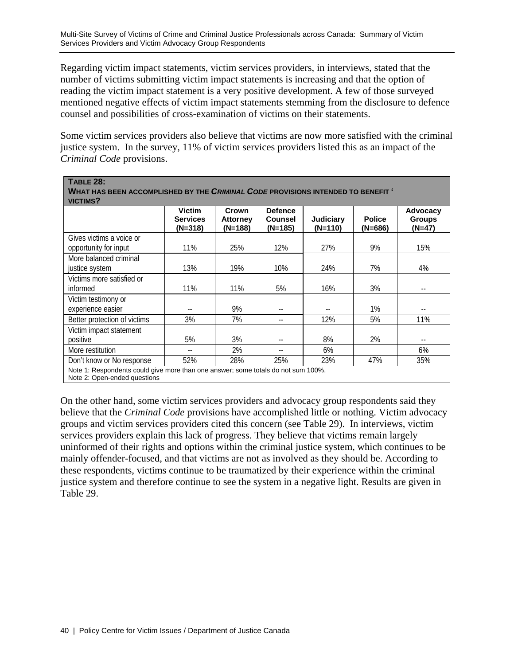Regarding victim impact statements, victim services providers, in interviews, stated that the number of victims submitting victim impact statements is increasing and that the option of reading the victim impact statement is a very positive development. A few of those surveyed mentioned negative effects of victim impact statements stemming from the disclosure to defence counsel and possibilities of cross-examination of victims on their statements.

Some victim services providers also believe that victims are now more satisfied with the criminal justice system. In the survey, 11% of victim services providers listed this as an impact of the *Criminal Code* provisions.

| <b>TABLE 28:</b><br>WHAT HAS BEEN ACCOMPLISHED BY THE CRIMINAL CODE PROVISIONS INTENDED TO BENEFIT '<br>VICTIMS? |                                               |                                     |                                             |                      |                          |                                     |  |  |
|------------------------------------------------------------------------------------------------------------------|-----------------------------------------------|-------------------------------------|---------------------------------------------|----------------------|--------------------------|-------------------------------------|--|--|
|                                                                                                                  | <b>Victim</b><br><b>Services</b><br>$(N=318)$ | Crown<br><b>Attorney</b><br>(N=188) | <b>Defence</b><br><b>Counsel</b><br>(N=185) | Judiciary<br>(N=110) | <b>Police</b><br>(N=686) | Advocacy<br><b>Groups</b><br>(N=47) |  |  |
| Gives victims a voice or                                                                                         |                                               |                                     |                                             |                      |                          |                                     |  |  |
| opportunity for input                                                                                            | 11%                                           | 25%                                 | 12%                                         | 27%                  | 9%                       | 15%                                 |  |  |
| More balanced criminal<br>justice system                                                                         | 13%                                           | 19%                                 | 10%                                         | 24%                  | 7%                       | 4%                                  |  |  |
| Victims more satisfied or<br>informed                                                                            | 11%                                           | 11%                                 | 5%                                          | 16%                  | 3%                       | $\overline{\phantom{m}}$            |  |  |
| Victim testimony or<br>experience easier                                                                         | $- -$                                         | 9%                                  | --                                          |                      | 1%                       | $- -$                               |  |  |
| Better protection of victims                                                                                     | 3%                                            | 7%                                  | --                                          | 12%                  | 5%                       | 11%                                 |  |  |
| Victim impact statement<br>positive                                                                              | 5%                                            | 3%                                  |                                             | 8%                   | 2%                       | $\overline{\phantom{a}}$            |  |  |
| More restitution                                                                                                 |                                               | 2%                                  | --                                          | 6%                   |                          | 6%                                  |  |  |
| Don't know or No response                                                                                        | 52%                                           | 28%                                 | 25%                                         | 23%                  | 47%                      | 35%                                 |  |  |
| Note 1: Respondents could give more than one answer; some totals do not sum 100%.                                |                                               |                                     |                                             |                      |                          |                                     |  |  |

Note 2: Open-ended questions

On the other hand, some victim services providers and advocacy group respondents said they believe that the *Criminal Code* provisions have accomplished little or nothing. Victim advocacy groups and victim services providers cited this concern (see Table 29). In interviews, victim services providers explain this lack of progress. They believe that victims remain largely uninformed of their rights and options within the criminal justice system, which continues to be mainly offender-focused, and that victims are not as involved as they should be. According to these respondents, victims continue to be traumatized by their experience within the criminal justice system and therefore continue to see the system in a negative light. Results are given in Table 29.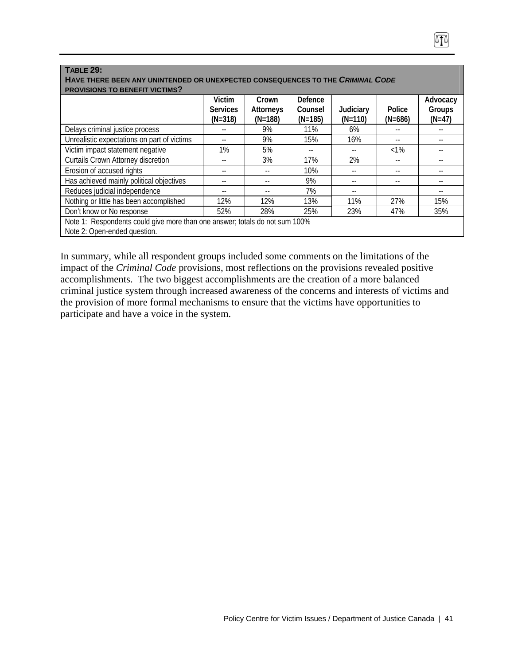| <b>TABLE 29:</b>                                                                                            |                                        |                                 |                                 |                          |                     |                                |  |  |
|-------------------------------------------------------------------------------------------------------------|----------------------------------------|---------------------------------|---------------------------------|--------------------------|---------------------|--------------------------------|--|--|
| HAVE THERE BEEN ANY UNINTENDED OR UNEXPECTED CONSEQUENCES TO THE CRIMINAL CODE                              |                                        |                                 |                                 |                          |                     |                                |  |  |
| <b>PROVISIONS TO BENEFIT VICTIMS?</b>                                                                       |                                        |                                 |                                 |                          |                     |                                |  |  |
|                                                                                                             | Victim<br><b>Services</b><br>$(N=318)$ | Crown<br>Attorneys<br>$(N=188)$ | Defence<br>Counsel<br>$(N=185)$ | Judiciary<br>$(N=110)$   | Police<br>$(N=686)$ | Advocacy<br>Groups<br>$(N=47)$ |  |  |
| Delays criminal justice process                                                                             |                                        | 9%                              | 11%                             | 6%                       | --                  | --                             |  |  |
| Unrealistic expectations on part of victims                                                                 |                                        | 9%                              | 15%                             | 16%                      | $- -$               |                                |  |  |
| Victim impact statement negative                                                                            | $1\%$                                  | 5%                              |                                 |                          | $<1\%$              |                                |  |  |
| <b>Curtails Crown Attorney discretion</b>                                                                   |                                        | 3%                              | 17%                             | 2%                       | --                  |                                |  |  |
| Erosion of accused rights                                                                                   |                                        |                                 | 10%                             | --                       | --                  |                                |  |  |
| Has achieved mainly political objectives                                                                    | --                                     | --                              | 9%                              | --                       | --                  |                                |  |  |
| Reduces judicial independence                                                                               | $\overline{\phantom{m}}$               | --                              | 7%                              | $\overline{\phantom{m}}$ |                     | $- -$                          |  |  |
| Nothing or little has been accomplished                                                                     | 12%                                    | 12%                             | 13%                             | 11%                      | 27%                 | 15%                            |  |  |
| Don't know or No response                                                                                   | 52%                                    | 28%                             | 25%                             | 23%                      | 47%                 | 35%                            |  |  |
| Note 1: Respondents could give more than one answer; totals do not sum 100%<br>Note 2: Open-ended question. |                                        |                                 |                                 |                          |                     |                                |  |  |

ITI

In summary, while all respondent groups included some comments on the limitations of the impact of the *Criminal Code* provisions, most reflections on the provisions revealed positive accomplishments. The two biggest accomplishments are the creation of a more balanced criminal justice system through increased awareness of the concerns and interests of victims and the provision of more formal mechanisms to ensure that the victims have opportunities to participate and have a voice in the system.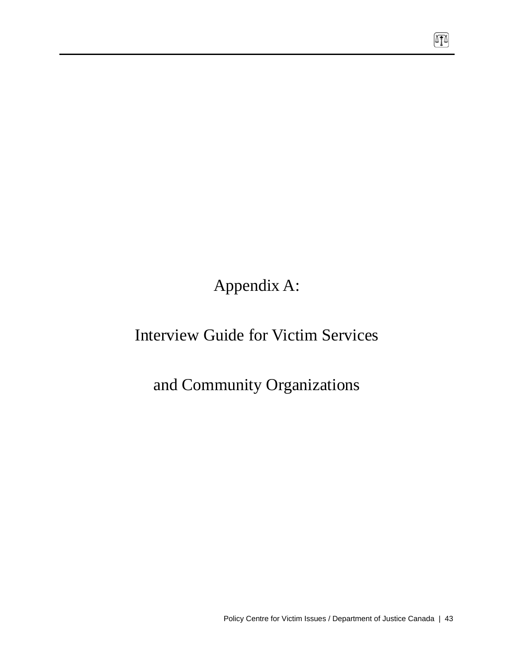Appendix A:

# Interview Guide for Victim Services

# and Community Organizations

 $\boxed{1}$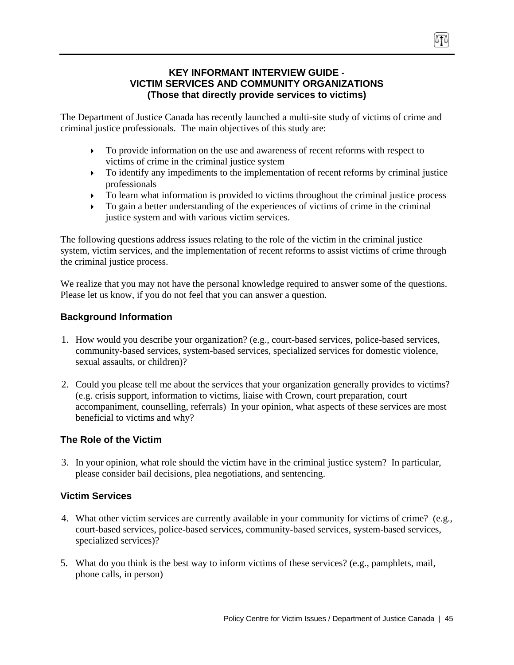#### **KEY INFORMANT INTERVIEW GUIDE - VICTIM SERVICES AND COMMUNITY ORGANIZATIONS (Those that directly provide services to victims)**

The Department of Justice Canada has recently launched a multi-site study of victims of crime and criminal justice professionals. The main objectives of this study are:

- $\triangleright$  To provide information on the use and awareness of recent reforms with respect to victims of crime in the criminal justice system
- $\triangleright$  To identify any impediments to the implementation of recent reforms by criminal justice professionals
- $\triangleright$  To learn what information is provided to victims throughout the criminal justice process
- $\triangleright$  To gain a better understanding of the experiences of victims of crime in the criminal justice system and with various victim services.

The following questions address issues relating to the role of the victim in the criminal justice system, victim services, and the implementation of recent reforms to assist victims of crime through the criminal justice process.

We realize that you may not have the personal knowledge required to answer some of the questions. Please let us know, if you do not feel that you can answer a question.

### **Background Information**

- 1. How would you describe your organization? (e.g., court-based services, police-based services, community-based services, system-based services, specialized services for domestic violence, sexual assaults, or children)?
- 2. Could you please tell me about the services that your organization generally provides to victims? (e.g. crisis support, information to victims, liaise with Crown, court preparation, court accompaniment, counselling, referrals) In your opinion, what aspects of these services are most beneficial to victims and why?

### **The Role of the Victim**

3. In your opinion, what role should the victim have in the criminal justice system? In particular, please consider bail decisions, plea negotiations, and sentencing.

#### **Victim Services**

- 4. What other victim services are currently available in your community for victims of crime? (e.g., court-based services, police-based services, community-based services, system-based services, specialized services)?
- 5. What do you think is the best way to inform victims of these services? (e.g., pamphlets, mail, phone calls, in person)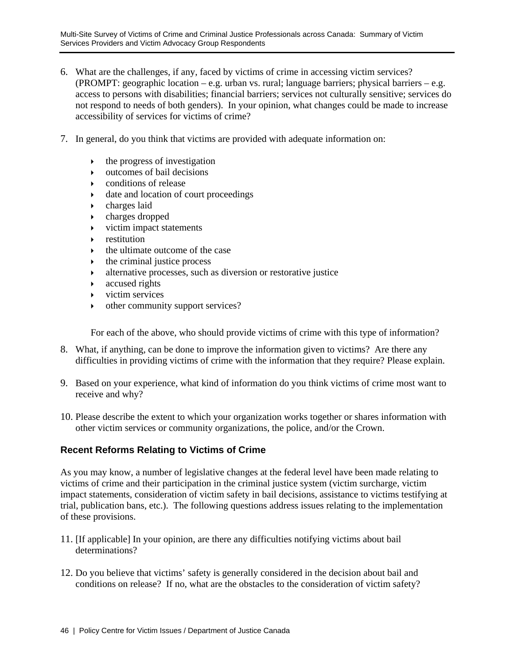- 6. What are the challenges, if any, faced by victims of crime in accessing victim services? (PROMPT: geographic location – e.g. urban vs. rural; language barriers; physical barriers – e.g. access to persons with disabilities; financial barriers; services not culturally sensitive; services do not respond to needs of both genders). In your opinion, what changes could be made to increase accessibility of services for victims of crime?
- 7. In general, do you think that victims are provided with adequate information on:
	- $\rightarrow$  the progress of investigation
	- $\rightarrow$  outcomes of bail decisions
	- $\triangleright$  conditions of release
	- $\rightarrow$  date and location of court proceedings
	- $\rightarrow$  charges laid
	- $\rightarrow$  charges dropped
	- ` victim impact statements
	- ` restitution
	- ` the ultimate outcome of the case
	- $\rightarrow$  the criminal justice process
	- ` alternative processes, such as diversion or restorative justice
	- $\triangleright$  accused rights
	- $\triangleright$  victim services
	- $\rightarrow$  other community support services?

For each of the above, who should provide victims of crime with this type of information?

- 8. What, if anything, can be done to improve the information given to victims? Are there any difficulties in providing victims of crime with the information that they require? Please explain.
- 9. Based on your experience, what kind of information do you think victims of crime most want to receive and why?
- 10. Please describe the extent to which your organization works together or shares information with other victim services or community organizations, the police, and/or the Crown.

#### **Recent Reforms Relating to Victims of Crime**

As you may know, a number of legislative changes at the federal level have been made relating to victims of crime and their participation in the criminal justice system (victim surcharge, victim impact statements, consideration of victim safety in bail decisions, assistance to victims testifying at trial, publication bans, etc.). The following questions address issues relating to the implementation of these provisions.

- 11. [If applicable] In your opinion, are there any difficulties notifying victims about bail determinations?
- 12. Do you believe that victims' safety is generally considered in the decision about bail and conditions on release? If no, what are the obstacles to the consideration of victim safety?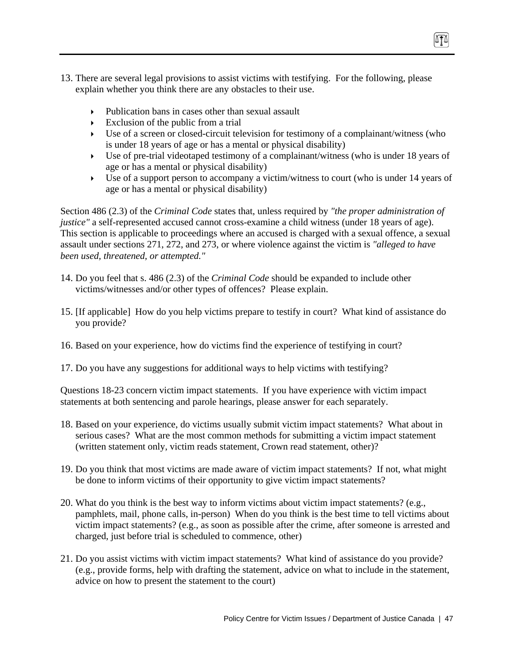- 13. There are several legal provisions to assist victims with testifying. For the following, please explain whether you think there are any obstacles to their use.
	- $\triangleright$  Publication bans in cases other than sexual assault
	- $\triangleright$  Exclusion of the public from a trial
	- $\triangleright$  Use of a screen or closed-circuit television for testimony of a complainant/witness (who is under 18 years of age or has a mental or physical disability)
	- $\triangleright$  Use of pre-trial videotaped testimony of a complainant/witness (who is under 18 years of age or has a mental or physical disability)
	- $\triangleright$  Use of a support person to accompany a victim/witness to court (who is under 14 years of age or has a mental or physical disability)

Section 486 (2.3) of the *Criminal Code* states that, unless required by *"the proper administration of justice"* a self-represented accused cannot cross-examine a child witness (under 18 years of age). This section is applicable to proceedings where an accused is charged with a sexual offence, a sexual assault under sections 271, 272, and 273, or where violence against the victim is *"alleged to have been used, threatened, or attempted."* 

- 14. Do you feel that s. 486 (2.3) of the *Criminal Code* should be expanded to include other victims/witnesses and/or other types of offences? Please explain.
- 15. [If applicable] How do you help victims prepare to testify in court? What kind of assistance do you provide?
- 16. Based on your experience, how do victims find the experience of testifying in court?
- 17. Do you have any suggestions for additional ways to help victims with testifying?

Questions 18-23 concern victim impact statements. If you have experience with victim impact statements at both sentencing and parole hearings, please answer for each separately.

- 18. Based on your experience, do victims usually submit victim impact statements? What about in serious cases? What are the most common methods for submitting a victim impact statement (written statement only, victim reads statement, Crown read statement, other)?
- 19. Do you think that most victims are made aware of victim impact statements? If not, what might be done to inform victims of their opportunity to give victim impact statements?
- 20. What do you think is the best way to inform victims about victim impact statements? (e.g., pamphlets, mail, phone calls, in-person) When do you think is the best time to tell victims about victim impact statements? (e.g., as soon as possible after the crime, after someone is arrested and charged, just before trial is scheduled to commence, other)
- 21. Do you assist victims with victim impact statements? What kind of assistance do you provide? (e.g., provide forms, help with drafting the statement, advice on what to include in the statement, advice on how to present the statement to the court)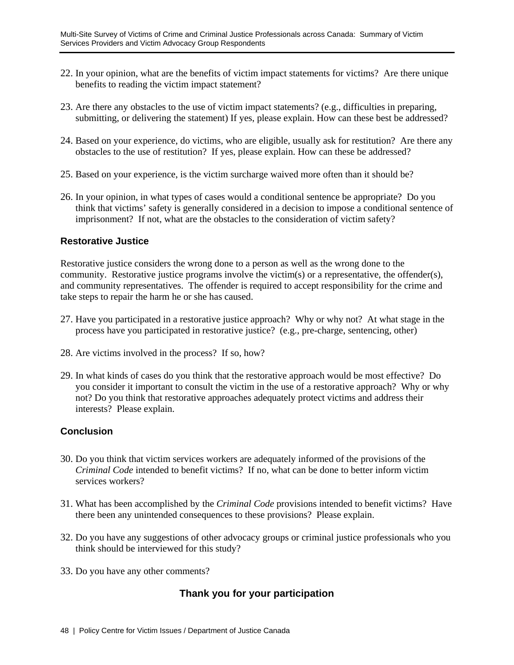- 22. In your opinion, what are the benefits of victim impact statements for victims? Are there unique benefits to reading the victim impact statement?
- 23. Are there any obstacles to the use of victim impact statements? (e.g., difficulties in preparing, submitting, or delivering the statement) If yes, please explain. How can these best be addressed?
- 24. Based on your experience, do victims, who are eligible, usually ask for restitution? Are there any obstacles to the use of restitution? If yes, please explain. How can these be addressed?
- 25. Based on your experience, is the victim surcharge waived more often than it should be?
- 26. In your opinion, in what types of cases would a conditional sentence be appropriate? Do you think that victims' safety is generally considered in a decision to impose a conditional sentence of imprisonment? If not, what are the obstacles to the consideration of victim safety?

#### **Restorative Justice**

Restorative justice considers the wrong done to a person as well as the wrong done to the community. Restorative justice programs involve the victim(s) or a representative, the offender(s), and community representatives. The offender is required to accept responsibility for the crime and take steps to repair the harm he or she has caused.

- 27. Have you participated in a restorative justice approach? Why or why not? At what stage in the process have you participated in restorative justice? (e.g., pre-charge, sentencing, other)
- 28. Are victims involved in the process? If so, how?
- 29. In what kinds of cases do you think that the restorative approach would be most effective? Do you consider it important to consult the victim in the use of a restorative approach? Why or why not? Do you think that restorative approaches adequately protect victims and address their interests? Please explain.

#### **Conclusion**

- 30. Do you think that victim services workers are adequately informed of the provisions of the *Criminal Code* intended to benefit victims? If no, what can be done to better inform victim services workers?
- 31. What has been accomplished by the *Criminal Code* provisions intended to benefit victims? Have there been any unintended consequences to these provisions? Please explain.
- 32. Do you have any suggestions of other advocacy groups or criminal justice professionals who you think should be interviewed for this study?
- 33. Do you have any other comments?

# **Thank you for your participation**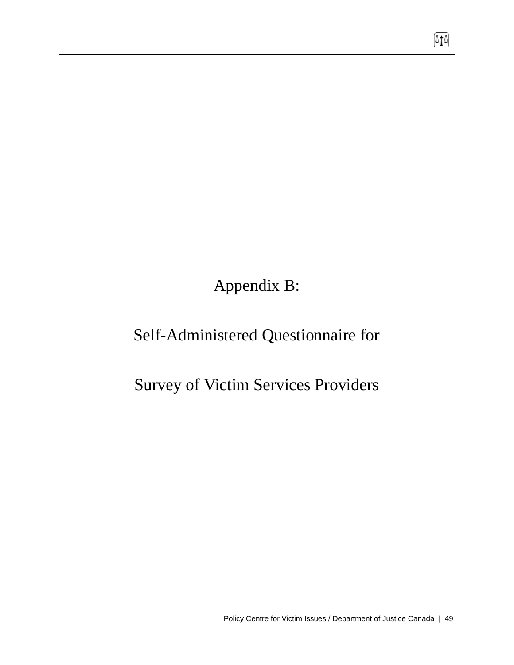Appendix B:

# Self-Administered Questionnaire for

# Survey of Victim Services Providers

 $\boxed{\Gamma}$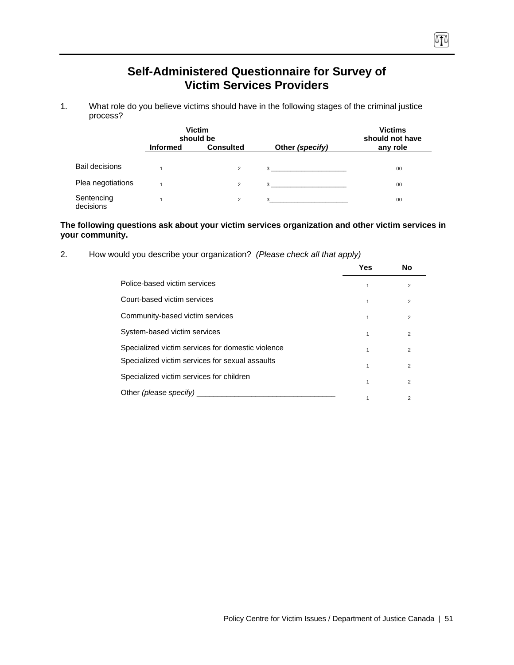# **Self-Administered Questionnaire for Survey of Victim Services Providers**

n

1. What role do you believe victims should have in the following stages of the criminal justice process?

|                         |                 | <b>Victim</b><br>should be |                                | <b>Victims</b><br>should not have |
|-------------------------|-----------------|----------------------------|--------------------------------|-----------------------------------|
|                         | <b>Informed</b> | <b>Consulted</b>           | Other (specify)                | any role                          |
| <b>Bail decisions</b>   |                 | $\overline{2}$             | $3 \left( \frac{1}{2} \right)$ | 00                                |
| Plea negotiations       |                 | $\overline{2}$             | $3^{\circ}$                    | 00                                |
| Sentencing<br>decisions |                 | $\overline{2}$             | $3 \overline{3}$               | 00                                |

#### **The following questions ask about your victim services organization and other victim services in your community.**

2. How would you describe your organization? *(Please check all that apply)*

|                                                   | Yes | <b>No</b>      |  |
|---------------------------------------------------|-----|----------------|--|
| Police-based victim services                      | 1   | $\overline{2}$ |  |
| Court-based victim services                       |     | $\overline{2}$ |  |
| Community-based victim services                   | 1   | $\overline{2}$ |  |
| System-based victim services                      | 1   | $\overline{2}$ |  |
| Specialized victim services for domestic violence | 1   | $\overline{2}$ |  |
| Specialized victim services for sexual assaults   | 1   | $\overline{2}$ |  |
| Specialized victim services for children          | 1   | $\mathcal{P}$  |  |
| Other (please specify)                            |     | 2              |  |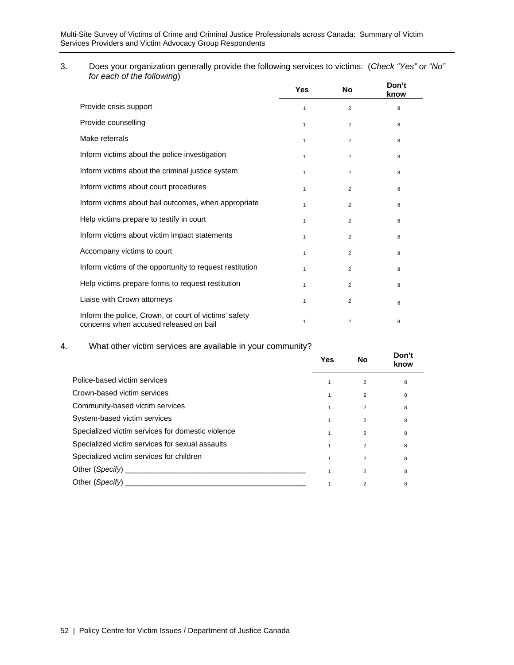3. Does your organization generally provide the following services to victims: (*Check "Yes" or "No" for each of the following*)

|                                                                                                 | Yes          | <b>No</b>      | Don't<br>know |
|-------------------------------------------------------------------------------------------------|--------------|----------------|---------------|
| Provide crisis support                                                                          | 1            | $\overline{2}$ | 8             |
| Provide counselling                                                                             | 1            | $\overline{2}$ | 8             |
| Make referrals                                                                                  | 1            | $\overline{2}$ | 8             |
| Inform victims about the police investigation                                                   | $\mathbf{1}$ | $\overline{2}$ | 8             |
| Inform victims about the criminal justice system                                                | $\mathbf{1}$ | $\overline{2}$ | 8             |
| Inform victims about court procedures                                                           | $\mathbf{1}$ | $\overline{2}$ | 8             |
| Inform victims about bail outcomes, when appropriate                                            | 1            | $\overline{2}$ | 8             |
| Help victims prepare to testify in court                                                        | 1            | $\overline{2}$ | 8             |
| Inform victims about victim impact statements                                                   | 1            | $\overline{2}$ | 8             |
| Accompany victims to court                                                                      | 1            | $\overline{2}$ | 8             |
| Inform victims of the opportunity to request restitution                                        | 1            | $\overline{2}$ | 8             |
| Help victims prepare forms to request restitution                                               | 1            | 2              | 8             |
| Liaise with Crown attorneys                                                                     | 1            | $\overline{2}$ | 8             |
| Inform the police, Crown, or court of victims' safety<br>concerns when accused released on bail | 1            | 2              | 8             |

#### 4. What other victim services are available in your community?

|                                                   | Yes          | No             | Don't<br>know |
|---------------------------------------------------|--------------|----------------|---------------|
| Police-based victim services                      |              | $\overline{2}$ | 8             |
| Crown-based victim services                       |              | $\overline{2}$ | 8             |
| Community-based victim services                   | 1            | $\overline{2}$ | 8             |
| System-based victim services                      |              | 2              | 8             |
| Specialized victim services for domestic violence | $\mathbf{1}$ | $\overline{2}$ | 8             |
| Specialized victim services for sexual assaults   |              | $\overline{2}$ | 8             |
| Specialized victim services for children          |              | $\overline{2}$ | 8             |
|                                                   |              | 2              | 8             |
| Other (Specify)                                   |              | 2              | 8             |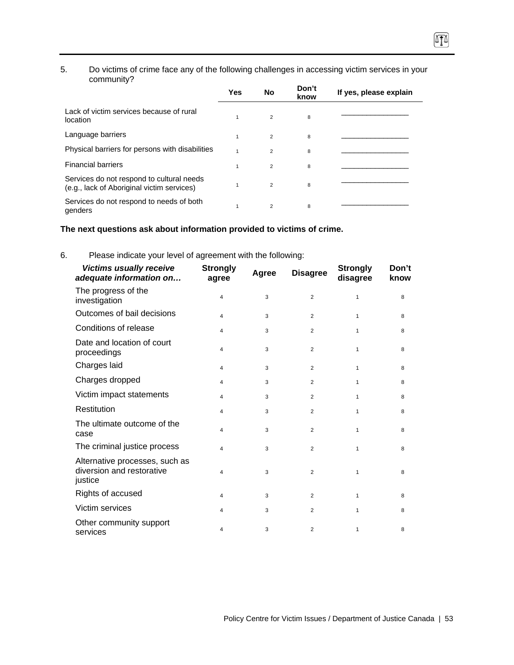#### 5. Do victims of crime face any of the following challenges in accessing victim services in your community?

硒

|                                                                                         | Yes | No             | Don't<br>know | If yes, please explain |
|-----------------------------------------------------------------------------------------|-----|----------------|---------------|------------------------|
| Lack of victim services because of rural<br>location                                    | 1   | $\overline{2}$ | 8             |                        |
| Language barriers                                                                       | 1   | $\overline{2}$ | 8             |                        |
| Physical barriers for persons with disabilities                                         |     | $\mathfrak{p}$ | 8             |                        |
| <b>Financial barriers</b>                                                               |     | $\overline{2}$ | 8             |                        |
| Services do not respond to cultural needs<br>(e.g., lack of Aboriginal victim services) |     | $\overline{2}$ | 8             |                        |
| Services do not respond to needs of both<br>genders                                     |     | $\overline{2}$ | 8             |                        |

#### **The next questions ask about information provided to victims of crime.**

| <b>Victims usually receive</b><br>adequate information on              | <b>Strongly</b><br>agree | Agree | <b>Disagree</b> | <b>Strongly</b><br>disagree | Don't<br>know |
|------------------------------------------------------------------------|--------------------------|-------|-----------------|-----------------------------|---------------|
| The progress of the<br>investigation                                   | $\overline{4}$           | 3     | $\overline{2}$  | 1                           | 8             |
| Outcomes of bail decisions                                             | $\overline{4}$           | 3     | $\overline{2}$  | $\mathbf{1}$                | 8             |
| Conditions of release                                                  | $\overline{4}$           | 3     | $\overline{2}$  | 1                           | 8             |
| Date and location of court<br>proceedings                              | $\overline{4}$           | 3     | $\overline{2}$  | 1                           | 8             |
| Charges laid                                                           | 4                        | 3     | $\overline{2}$  | $\mathbf{1}$                | 8             |
| Charges dropped                                                        | $\overline{4}$           | 3     | 2               | 1                           | 8             |
| Victim impact statements                                               | $\overline{4}$           | 3     | $\overline{2}$  | 1                           | 8             |
| Restitution                                                            | 4                        | 3     | 2               | 1                           | 8             |
| The ultimate outcome of the<br>case                                    | 4                        | 3     | 2               | 1                           | 8             |
| The criminal justice process                                           | $\overline{4}$           | 3     | 2               | 1                           | 8             |
| Alternative processes, such as<br>diversion and restorative<br>justice | 4                        | 3     | $\overline{2}$  | 1                           | 8             |
| Rights of accused                                                      | $\overline{4}$           | 3     | $\overline{2}$  | $\mathbf{1}$                | 8             |
| Victim services                                                        | 4                        | 3     | $\overline{2}$  | 1                           | 8             |
| Other community support<br>services                                    | 4                        | 3     | $\overline{2}$  | $\mathbf{1}$                | 8             |

6. Please indicate your level of agreement with the following: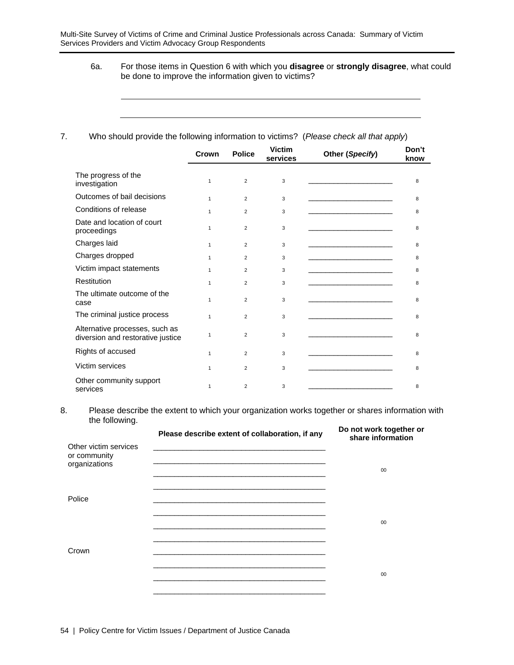6a. For those items in Question 6 with which you **disagree** or **strongly disagree**, what could be done to improve the information given to victims?

#### 7. Who should provide the following information to victims? (*Please check all that apply*)

|                                                                     | Crown        | <b>Police</b>  | <b>Victim</b><br>services | Other (Specify) | Don't<br>know |
|---------------------------------------------------------------------|--------------|----------------|---------------------------|-----------------|---------------|
| The progress of the<br>investigation                                | $\mathbf{1}$ | 2              | 3                         |                 | 8             |
| Outcomes of bail decisions                                          | $\mathbf{1}$ | 2              | 3                         |                 | 8             |
| Conditions of release                                               | $\mathbf{1}$ | $\overline{2}$ | 3                         |                 | 8             |
| Date and location of court<br>proceedings                           | $\mathbf{1}$ | $\overline{2}$ | 3                         |                 | 8             |
| Charges laid                                                        | $\mathbf{1}$ | $\overline{2}$ | 3                         |                 | 8             |
| Charges dropped                                                     | $\mathbf{1}$ | $\overline{2}$ | 3                         |                 | 8             |
| Victim impact statements                                            | $\mathbf{1}$ | $\overline{2}$ | 3                         |                 | 8             |
| Restitution                                                         | $\mathbf{1}$ | $\overline{2}$ | 3                         |                 | 8             |
| The ultimate outcome of the<br>case                                 | $\mathbf{1}$ | $\overline{2}$ | 3                         |                 | 8             |
| The criminal justice process                                        | $\mathbf{1}$ | $\overline{2}$ | 3                         |                 | 8             |
| Alternative processes, such as<br>diversion and restorative justice | 1            | $\overline{2}$ | 3                         |                 | 8             |
| Rights of accused                                                   | $\mathbf{1}$ | $\overline{2}$ | 3                         |                 | 8             |
| Victim services                                                     | $\mathbf{1}$ | $\overline{2}$ | 3                         |                 | 8             |
| Other community support<br>services                                 | 1            | $\overline{2}$ | 3                         |                 | 8             |

8. Please describe the extent to which your organization works together or shares information with the following.

| Please describe extent of collaboration, if any<br><u> 1989 - Johann Stoff, amerikansk politiker (* 1908)</u> | Do not work together or<br>share information |
|---------------------------------------------------------------------------------------------------------------|----------------------------------------------|
|                                                                                                               | 00                                           |
| <u> 1989 - Johann Stoff, amerikansk politiker (d. 1989)</u>                                                   | 00                                           |
|                                                                                                               |                                              |
|                                                                                                               | 00                                           |
|                                                                                                               |                                              |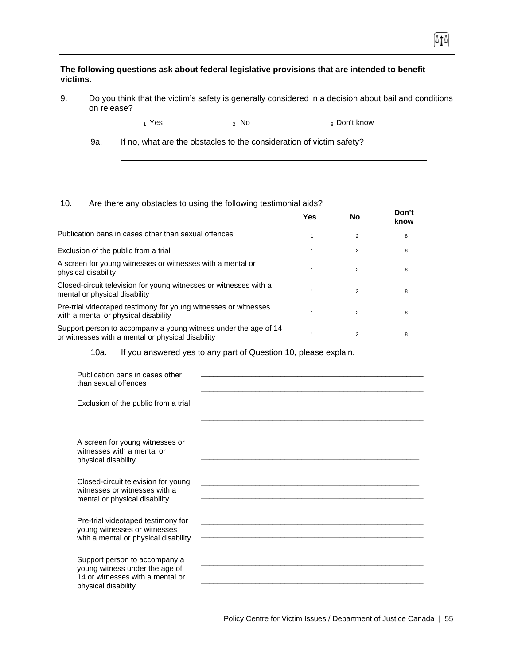**The following questions ask about federal legislative provisions that are intended to benefit victims.** 

9. Do you think that the victim's safety is generally considered in a decision about bail and conditions on release?

ITI

 $_1$  Yes  $_2$  No  $_3$  Don't know

9a. If no, what are the obstacles to the consideration of victim safety?

10. Are there any obstacles to using the following testimonial aids?

|                                                                                                                      | <b>Yes</b> | No             | Don't<br>know |
|----------------------------------------------------------------------------------------------------------------------|------------|----------------|---------------|
| Publication bans in cases other than sexual offences                                                                 |            | $\overline{2}$ | 8             |
| Exclusion of the public from a trial                                                                                 |            | 2              | 8             |
| A screen for young witnesses or witnesses with a mental or<br>physical disability                                    |            | $\overline{2}$ | 8             |
| Closed-circuit television for young witnesses or witnesses with a<br>mental or physical disability                   |            | $\overline{2}$ | 8             |
| Pre-trial videotaped testimony for young witnesses or witnesses<br>with a mental or physical disability              |            | $\overline{2}$ | 8             |
| Support person to accompany a young witness under the age of 14<br>or witnesses with a mental or physical disability |            | $\overline{2}$ | 8             |

10a. If you answered yes to any part of Question 10, please explain.

| Publication bans in cases other<br>than sexual offences                                                                    |                                                                                                                                                                                                                                              |  |
|----------------------------------------------------------------------------------------------------------------------------|----------------------------------------------------------------------------------------------------------------------------------------------------------------------------------------------------------------------------------------------|--|
| Exclusion of the public from a trial                                                                                       |                                                                                                                                                                                                                                              |  |
|                                                                                                                            |                                                                                                                                                                                                                                              |  |
| A screen for young witnesses or<br>witnesses with a mental or<br>physical disability                                       | <u> 1989 - Johann Stoff, amerikansk politiker (d. 1989)</u>                                                                                                                                                                                  |  |
| Closed-circuit television for young<br>witnesses or witnesses with a<br>mental or physical disability                      | <u> 1989 - Johann Stoff, amerikansk politiker (d. 1989)</u>                                                                                                                                                                                  |  |
| Pre-trial videotaped testimony for<br>young witnesses or witnesses<br>with a mental or physical disability                 | <u> 1989 - Johann Stein, marwolaethau a bhann an t-Amhair ann an t-Amhair an t-Amhair an t-Amhair an t-Amhair an</u><br><u> 1989 - Jan James James James James James James James James James James James James James James James James J</u> |  |
| Support person to accompany a<br>young witness under the age of<br>14 or witnesses with a mental or<br>physical disability |                                                                                                                                                                                                                                              |  |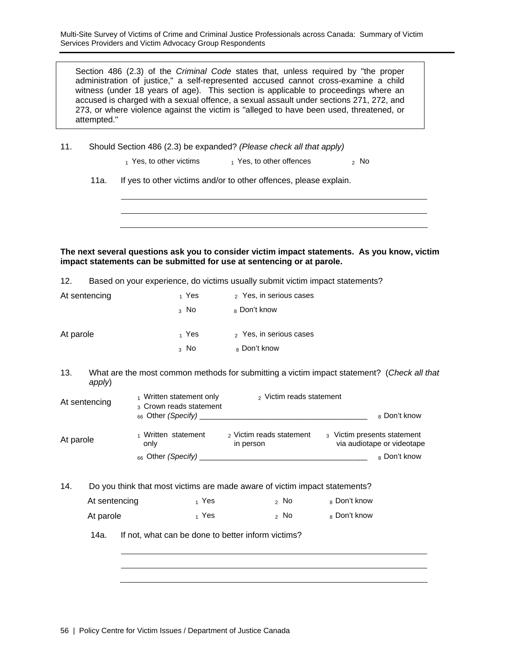Multi-Site Survey of Victims of Crime and Criminal Justice Professionals across Canada: Summary of Victim Services Providers and Victim Advocacy Group Respondents

Section 486 (2.3) of the *Criminal Code* states that, unless required by "the proper administration of justice," a self-represented accused cannot cross-examine a child witness (under 18 years of age). This section is applicable to proceedings where an accused is charged with a sexual offence, a sexual assault under sections 271, 272, and 273, or where violence against the victim is "alleged to have been used, threatened, or attempted."

- 11. Should Section 486 (2.3) be expanded? *(Please check all that apply)* 
	- $_1$  Yes, to other victims  $_1$  Yes, to other offences  $_2$  No
	- 11a. If yes to other victims and/or to other offences, please explain.

**The next several questions ask you to consider victim impact statements. As you know, victim impact statements can be submitted for use at sentencing or at parole.** 

12. Based on your experience, do victims usually submit victim impact statements?

| At sentencing | 1 Yes  | 2 Yes, in serious cases |
|---------------|--------|-------------------------|
|               | $3$ No | <sub>8</sub> Don't know |
| At parole     | 1 Yes  | 2 Yes, in serious cases |
|               | $3$ No | 8 Don't know            |

13. What are the most common methods for submitting a victim impact statement? (*Check all that apply*)

| At sentencing | 1 Written statement only<br>3 Crown reads statement<br>$_{66}$ Other (Specify) _____ | <sub>2</sub> Victim reads statement              | 8 Don't know                                              |
|---------------|--------------------------------------------------------------------------------------|--------------------------------------------------|-----------------------------------------------------------|
| At parole     | 1 Written statement<br>only                                                          | <sub>2</sub> Victim reads statement<br>in person | 3 Victim presents statement<br>via audiotape or videotape |
|               | $_{66}$ Other (Specify)                                                              |                                                  | <sub>8</sub> Don't know                                   |

14. Do you think that most victims are made aware of victim impact statements?

| At sentencing | 1 Yes | ,No  | 8 Don't know |
|---------------|-------|------|--------------|
| At parole     | 1 Yes | 2 No | 8 Don't know |

14a. If not, what can be done to better inform victims?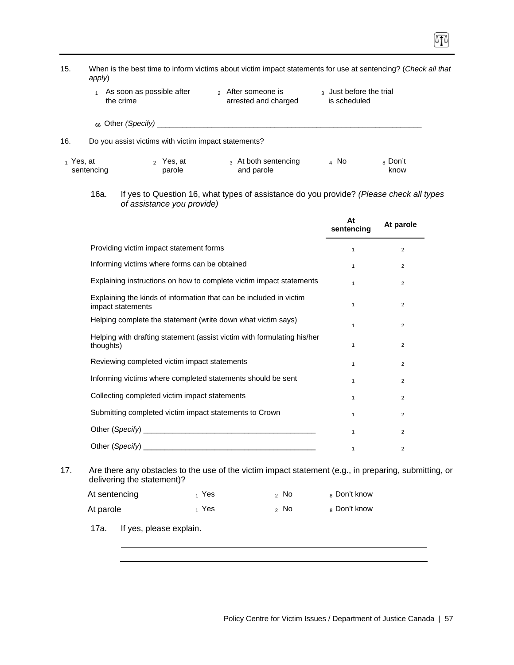| 15.          | When is the best time to inform victims about victim impact statements for use at sentencing? (Check all that<br>apply) |                                                                                         |                                         |                            |  |  |  |
|--------------|-------------------------------------------------------------------------------------------------------------------------|-----------------------------------------------------------------------------------------|-----------------------------------------|----------------------------|--|--|--|
|              | As soon as possible after<br>the crime                                                                                  | 2 After someone is<br>arrested and charged                                              | 3 Just before the trial<br>is scheduled |                            |  |  |  |
|              |                                                                                                                         |                                                                                         |                                         |                            |  |  |  |
| 16.          | Do you assist victims with victim impact statements?                                                                    |                                                                                         |                                         |                            |  |  |  |
| $_1$ Yes, at | $_2$ Yes, at<br>sentencing<br>parole                                                                                    | 3 At both sentencing<br>and parole                                                      | $4$ No                                  | <sub>8</sub> Don't<br>know |  |  |  |
|              | 16a.<br>of assistance you provide)                                                                                      | If yes to Question 16, what types of assistance do you provide? (Please check all types |                                         |                            |  |  |  |
|              |                                                                                                                         |                                                                                         | At<br>sentencing                        | At parole                  |  |  |  |
|              | Providing victim impact statement forms                                                                                 |                                                                                         | $\mathbf{1}$                            | $\overline{c}$             |  |  |  |
|              | Informing victims where forms can be obtained                                                                           |                                                                                         | $\mathbf{1}$                            | $\overline{2}$             |  |  |  |
|              |                                                                                                                         | Explaining instructions on how to complete victim impact statements                     | $\mathbf{1}$                            | $\overline{2}$             |  |  |  |
|              | impact statements                                                                                                       | Explaining the kinds of information that can be included in victim                      | $\mathbf{1}$                            | $\overline{2}$             |  |  |  |
|              |                                                                                                                         | Helping complete the statement (write down what victim says)                            | $\mathbf{1}$                            | $\overline{2}$             |  |  |  |
|              | thoughts)                                                                                                               | Helping with drafting statement (assist victim with formulating his/her                 | $\mathbf{1}$                            | $\overline{2}$             |  |  |  |
|              | Reviewing completed victim impact statements                                                                            |                                                                                         | $\mathbf{1}$                            | $\overline{2}$             |  |  |  |
|              |                                                                                                                         | Informing victims where completed statements should be sent                             | $\mathbf{1}$                            | $\overline{2}$             |  |  |  |

| momming victims where completed statements should be sent                                                                                                                                                                      |  |
|--------------------------------------------------------------------------------------------------------------------------------------------------------------------------------------------------------------------------------|--|
| Collecting completed victim impact statements                                                                                                                                                                                  |  |
| Submitting completed victim impact statements to Crown                                                                                                                                                                         |  |
|                                                                                                                                                                                                                                |  |
| Other (Specify) and the contract of the contract of the contract of the contract of the contract of the contract of the contract of the contract of the contract of the contract of the contract of the contract of the contra |  |

17. Are there any obstacles to the use of the victim impact statement (e.g., in preparing, submitting, or delivering the statement)?

| At sentencing | 1 Yes | ,No | 8 Don't know |
|---------------|-------|-----|--------------|
| At parole     | 1 Yes | ,No | 8 Don't know |

17a. If yes, please explain.

(ITA)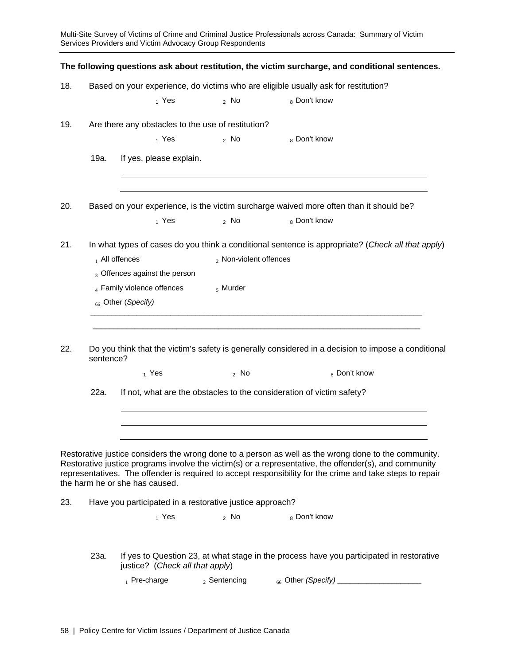Multi-Site Survey of Victims of Crime and Criminal Justice Professionals across Canada: Summary of Victim Services Providers and Victim Advocacy Group Respondents **The following questions ask about restitution, the victim surcharge, and conditional sentences.**  18. Based on your experience, do victims who are eligible usually ask for restitution?  $_1$  Yes  $_2$  No  $_8$  Don't know 19. Are there any obstacles to the use of restitution?  $_1$  Yes  $_2$  No  $_8$  Don't know 19a. If yes, please explain. 20. Based on your experience, is the victim surcharge waived more often than it should be?  $_1$  Yes  $_2$  No  $_8$  Don't know 21. In what types of cases do you think a conditional sentence is appropriate? (*Check all that apply*)  $_1$  All offences  $_2$  Non-violent offences 3 Offences against the person  $_4$  Family violence offences  $_5$  Murder <sup>66</sup>Other (*Specify)* \_\_\_\_\_\_\_\_\_\_\_\_\_\_\_\_\_\_\_\_\_\_\_\_\_\_\_\_\_\_\_\_\_\_\_\_\_\_\_\_\_\_\_\_\_\_\_\_\_\_\_\_\_\_\_\_\_\_\_\_\_\_\_\_\_\_\_\_\_\_\_\_\_\_\_\_\_\_\_  $\mathcal{L}_\text{max}$  , and the contribution of the contribution of the contribution of the contribution of the contribution of the contribution of the contribution of the contribution of the contribution of the contribution of t 22. Do you think that the victim's safety is generally considered in a decision to impose a conditional sentence?  $_1$  Yes  $_2$  No  $_8$  Don't know 22a. If not, what are the obstacles to the consideration of victim safety? Restorative justice considers the wrong done to a person as well as the wrong done to the community. Restorative justice programs involve the victim(s) or a representative, the offender(s), and community representatives. The offender is required to accept responsibility for the crime and take steps to repair the harm he or she has caused. 23. Have you participated in a restorative justice approach?  $_1$  Yes  $_2$  No  $_8$  Don't know 23a. If yes to Question 23, at what stage in the process have you participated in restorative justice? (*Check all that apply*) 1 Pre-charge 2 Sentencing 66 Other *(Specify)* \_\_\_\_\_\_\_\_\_\_\_\_\_\_\_\_\_\_\_\_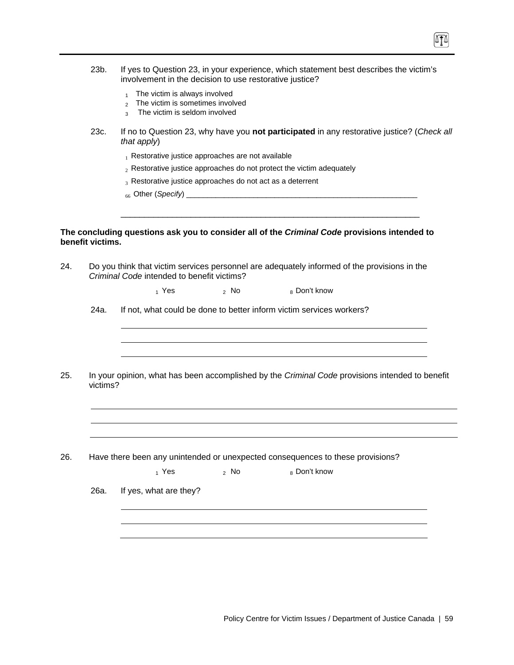- 23b. If yes to Question 23, in your experience, which statement best describes the victim's involvement in the decision to use restorative justice?
	- $1$  The victim is always involved
	- 2 The victim is sometimes involved
	- $3$  The victim is seldom involved
- 23c. If no to Question 23, why have you **not participated** in any restorative justice? (*Check all that apply*)

\_\_\_\_\_\_\_\_\_\_\_\_\_\_\_\_\_\_\_\_\_\_\_\_\_\_\_\_\_\_\_\_\_\_\_\_\_\_\_\_\_\_\_\_\_\_\_\_\_\_\_\_\_\_\_\_\_\_\_\_\_\_\_\_

- $<sub>1</sub>$  Restorative justice approaches are not available</sub>
- $2R$  Restorative justice approaches do not protect the victim adequately
- 3 Restorative justice approaches do not act as a deterrent
- <sup>66</sup>Other (*Specify*) \_\_\_\_\_\_\_\_\_\_\_\_\_\_\_\_\_\_\_\_\_\_\_\_\_\_\_\_\_\_\_\_\_\_\_\_\_\_\_\_\_\_\_\_\_\_\_\_\_\_\_\_\_\_\_

#### **The concluding questions ask you to consider all of the** *Criminal Code* **provisions intended to benefit victims.**

| 24. | Criminal Code intended to benefit victims? |  | Do you think that victim services personnel are adequately informed of the provisions in the |  |
|-----|--------------------------------------------|--|----------------------------------------------------------------------------------------------|--|
|     |                                            |  |                                                                                              |  |

 $_1$  Yes  $_2$  No  $_8$  Don't know

24a. If not, what could be done to better inform victim services workers?

25. In your opinion, what has been accomplished by the *Criminal Code* provisions intended to benefit victims?

26. Have there been any unintended or unexpected consequences to these provisions?

 $_1$  Yes  $_2$  No  $_8$  Don't know

26a. If yes, what are they?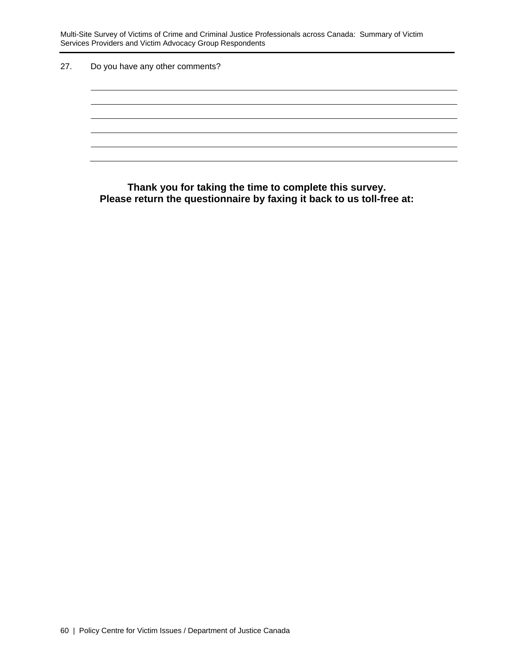Multi-Site Survey of Victims of Crime and Criminal Justice Professionals across Canada: Summary of Victim Services Providers and Victim Advocacy Group Respondents

27. Do you have any other comments?

**Thank you for taking the time to complete this survey. Please return the questionnaire by faxing it back to us toll-free at:**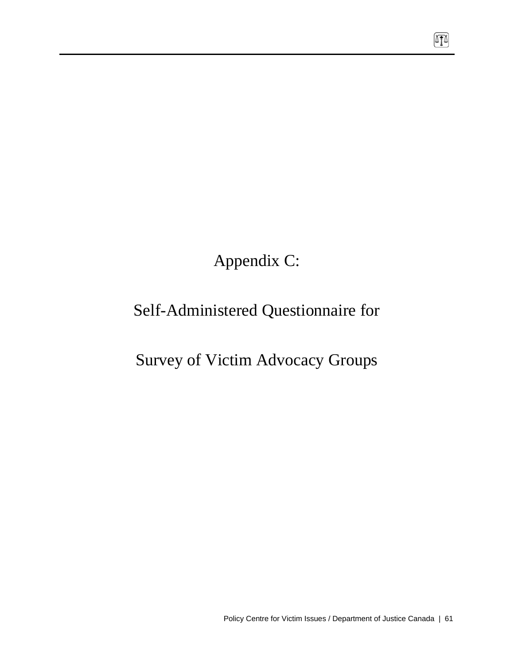Appendix C:

# Self-Administered Questionnaire for

# Survey of Victim Advocacy Groups

 $\boxed{1}$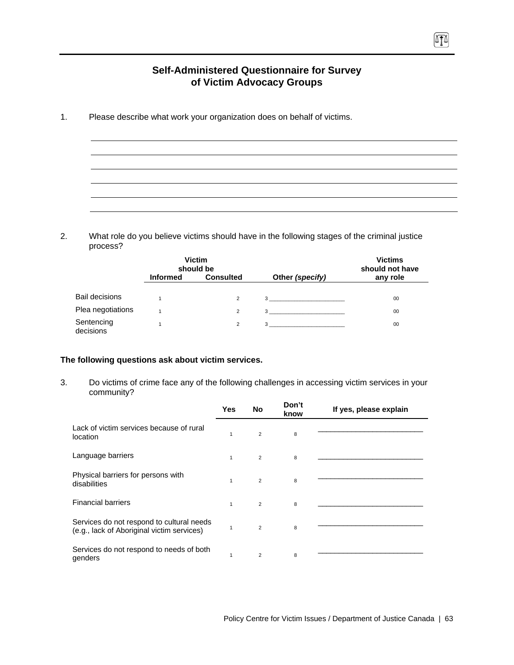### **Self-Administered Questionnaire for Survey of Victim Advocacy Groups**

ATA

1. Please describe what work your organization does on behalf of victims.

2. What role do you believe victims should have in the following stages of the criminal justice process?

|                         |                 | <b>Victim</b><br>should be |                   | <b>Victims</b><br>should not have |  |
|-------------------------|-----------------|----------------------------|-------------------|-----------------------------------|--|
|                         | <b>Informed</b> | <b>Consulted</b>           | Other (specify)   | any role                          |  |
| <b>Bail decisions</b>   |                 | 2                          | $3 \qquad \qquad$ | 00                                |  |
| Plea negotiations       |                 | 2                          | 3                 | 00                                |  |
| Sentencing<br>decisions |                 | 2                          | 3                 | 00                                |  |

#### **The following questions ask about victim services.**

3. Do victims of crime face any of the following challenges in accessing victim services in your community?

|                                                                                         | <b>Yes</b>   | No             | Don't<br>know | If yes, please explain |
|-----------------------------------------------------------------------------------------|--------------|----------------|---------------|------------------------|
| Lack of victim services because of rural<br>location                                    | $\mathbf{1}$ | $\overline{2}$ | 8             |                        |
| Language barriers                                                                       | $\mathbf{1}$ | $\overline{2}$ | 8             |                        |
| Physical barriers for persons with<br>disabilities                                      | $\mathbf{1}$ | $\overline{2}$ | 8             |                        |
| <b>Financial barriers</b>                                                               | $\mathbf{1}$ | $\overline{2}$ | 8             |                        |
| Services do not respond to cultural needs<br>(e.g., lack of Aboriginal victim services) | 1            | 2              | 8             |                        |
| Services do not respond to needs of both<br>genders                                     | 1            | $\overline{2}$ | 8             |                        |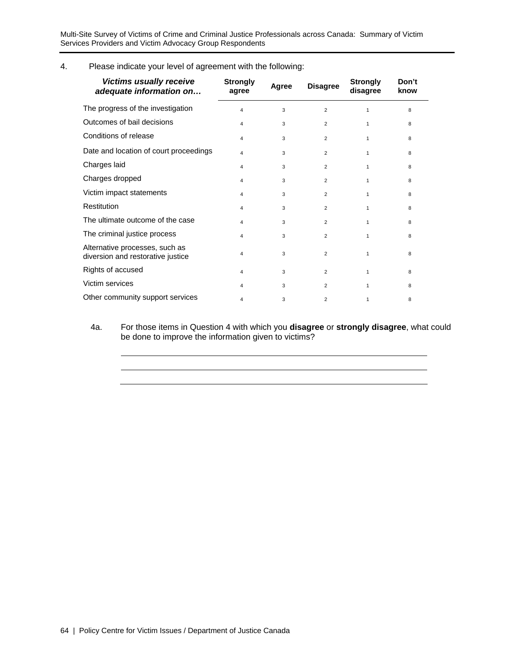Multi-Site Survey of Victims of Crime and Criminal Justice Professionals across Canada: Summary of Victim Services Providers and Victim Advocacy Group Respondents

4. Please indicate your level of agreement with the following:

| <b>Victims usually receive</b><br>adequate information on           | <b>Strongly</b><br>agree | Agree | <b>Disagree</b> | <b>Strongly</b><br>disagree | Don't<br>know |
|---------------------------------------------------------------------|--------------------------|-------|-----------------|-----------------------------|---------------|
| The progress of the investigation                                   | $\overline{\mathbf{4}}$  | 3     | $\overline{2}$  | 1                           | 8             |
| Outcomes of bail decisions                                          | $\overline{4}$           | 3     | $\overline{2}$  | $\mathbf{1}$                | 8             |
| Conditions of release                                               | $\overline{4}$           | 3     | $\overline{2}$  | $\mathbf{1}$                | 8             |
| Date and location of court proceedings                              | 4                        | 3     | 2               | $\mathbf{1}$                | 8             |
| Charges laid                                                        | 4                        | 3     | $\overline{2}$  | $\mathbf{1}$                | 8             |
| Charges dropped                                                     | $\overline{4}$           | 3     | 2               | $\mathbf{1}$                | 8             |
| Victim impact statements                                            | $\overline{4}$           | 3     | $\overline{2}$  | $\mathbf{1}$                | 8             |
| <b>Restitution</b>                                                  | $\overline{4}$           | 3     | $\overline{2}$  | $\mathbf{1}$                | 8             |
| The ultimate outcome of the case                                    | 4                        | 3     | 2               | $\mathbf{1}$                | 8             |
| The criminal justice process                                        | $\overline{\mathbf{4}}$  | 3     | $\overline{2}$  | 1                           | 8             |
| Alternative processes, such as<br>diversion and restorative justice | 4                        | 3     | $\overline{2}$  | $\mathbf{1}$                | 8             |
| Rights of accused                                                   | 4                        | 3     | $\overline{2}$  | $\mathbf{1}$                | 8             |
| Victim services                                                     | 4                        | 3     | $\overline{2}$  | $\mathbf{1}$                | 8             |
| Other community support services                                    | 4                        | 3     | 2               | 1                           | 8             |

4a. For those items in Question 4 with which you **disagree** or **strongly disagree**, what could be done to improve the information given to victims?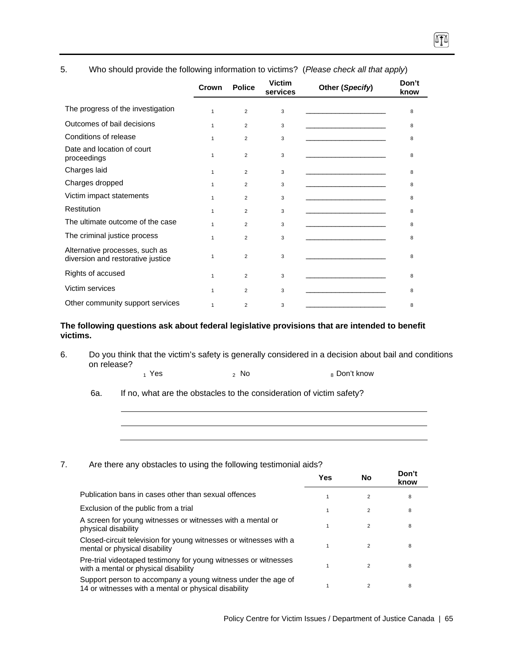|                                                                     | Crown        | <b>Police</b>  | <b>Victim</b><br>services | Other (Specify)                                                                                                                                                                                                                      | Don't<br>know |
|---------------------------------------------------------------------|--------------|----------------|---------------------------|--------------------------------------------------------------------------------------------------------------------------------------------------------------------------------------------------------------------------------------|---------------|
| The progress of the investigation                                   | 1            | 2              | 3                         | the control of the control of the control of the control of the control of                                                                                                                                                           | 8             |
| Outcomes of bail decisions                                          | $\mathbf{1}$ | $\overline{2}$ | 3                         | the control of the control of the control of the                                                                                                                                                                                     | 8             |
| Conditions of release                                               | 1            | 2              | 3                         | the control of the control of the control of                                                                                                                                                                                         | 8             |
| Date and location of court<br>proceedings                           | 1            | $\overline{2}$ | 3                         |                                                                                                                                                                                                                                      | 8             |
| Charges laid                                                        | $\mathbf{1}$ | 2              | 3                         | the control of the control of the control of the control of                                                                                                                                                                          | 8             |
| Charges dropped                                                     | $\mathbf{1}$ | $\overline{2}$ | 3                         | the control of the control of the control of                                                                                                                                                                                         | 8             |
| Victim impact statements                                            | 1            | $\overline{2}$ | 3                         | the control of the control of the control of                                                                                                                                                                                         | 8             |
| Restitution                                                         | 1            | $\overline{2}$ | 3                         | the control of the control of the control of                                                                                                                                                                                         | 8             |
| The ultimate outcome of the case                                    | 1            | $\overline{2}$ | 3                         | <u> 1989 - Johann Harry Harry Harry Harry Harry Harry Harry Harry Harry Harry Harry Harry Harry Harry Harry Harry Harry Harry Harry Harry Harry Harry Harry Harry Harry Harry Harry Harry Harry Harry Harry Harry Harry Harry Ha</u> | 8             |
| The criminal justice process                                        | 1            | $\overline{2}$ | 3                         |                                                                                                                                                                                                                                      | 8             |
| Alternative processes, such as<br>diversion and restorative justice | 1            | 2              | 3                         |                                                                                                                                                                                                                                      | 8             |
| Rights of accused                                                   | $\mathbf{1}$ | $\overline{2}$ | 3                         |                                                                                                                                                                                                                                      | 8             |
| Victim services                                                     | $\mathbf{1}$ | 2              | 3                         |                                                                                                                                                                                                                                      | 8             |
| Other community support services                                    | $\mathbf{1}$ | 2              | 3                         |                                                                                                                                                                                                                                      | 8             |

#### 5. Who should provide the following information to victims? (*Please check all that apply*)

**The following questions ask about federal legislative provisions that are intended to benefit victims.** 

- 6. Do you think that the victim's safety is generally considered in a decision about bail and conditions on release?
	- $_1$  Yes  $_2$  No  $_3$  Don't know
	- 6a. If no, what are the obstacles to the consideration of victim safety?

#### 7. Are there any obstacles to using the following testimonial aids?

|                                                                                                                      | Yes | No             | Don't<br>know |
|----------------------------------------------------------------------------------------------------------------------|-----|----------------|---------------|
| Publication bans in cases other than sexual offences                                                                 |     | $\overline{2}$ | 8             |
| Exclusion of the public from a trial                                                                                 |     | $\overline{2}$ | 8             |
| A screen for young witnesses or witnesses with a mental or<br>physical disability                                    |     | $\overline{2}$ | 8             |
| Closed-circuit television for young witnesses or witnesses with a<br>mental or physical disability                   |     | $\overline{2}$ | 8             |
| Pre-trial videotaped testimony for young witnesses or witnesses<br>with a mental or physical disability              |     | $\overline{2}$ | 8             |
| Support person to accompany a young witness under the age of<br>14 or witnesses with a mental or physical disability |     | $\mathfrak{p}$ | 8             |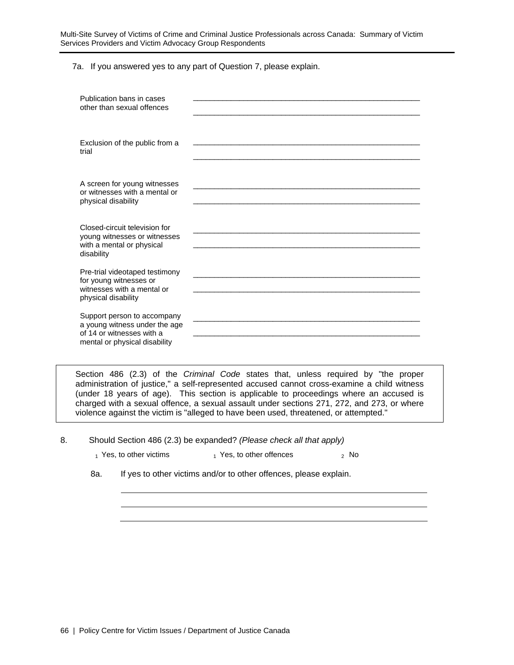Multi-Site Survey of Victims of Crime and Criminal Justice Professionals across Canada: Summary of Victim Services Providers and Victim Advocacy Group Respondents

7a. If you answered yes to any part of Question 7, please explain.

| Publication bans in cases<br>other than sexual offences                                                                    |  |
|----------------------------------------------------------------------------------------------------------------------------|--|
| Exclusion of the public from a<br>trial                                                                                    |  |
| A screen for young witnesses<br>or witnesses with a mental or<br>physical disability                                       |  |
| Closed-circuit television for<br>young witnesses or witnesses<br>with a mental or physical<br>disability                   |  |
| Pre-trial videotaped testimony<br>for young witnesses or<br>witnesses with a mental or<br>physical disability              |  |
| Support person to accompany<br>a young witness under the age<br>of 14 or witnesses with a<br>mental or physical disability |  |

Section 486 (2.3) of the *Criminal Code* states that, unless required by "the proper administration of justice," a self-represented accused cannot cross-examine a child witness (under 18 years of age). This section is applicable to proceedings where an accused is charged with a sexual offence, a sexual assault under sections 271, 272, and 273, or where violence against the victim is "alleged to have been used, threatened, or attempted."

8. Should Section 486 (2.3) be expanded? *(Please check all that apply)*

 $_1$  Yes, to other victims  $_1$  Yes, to other offences  $_2$  No

8a. If yes to other victims and/or to other offences, please explain.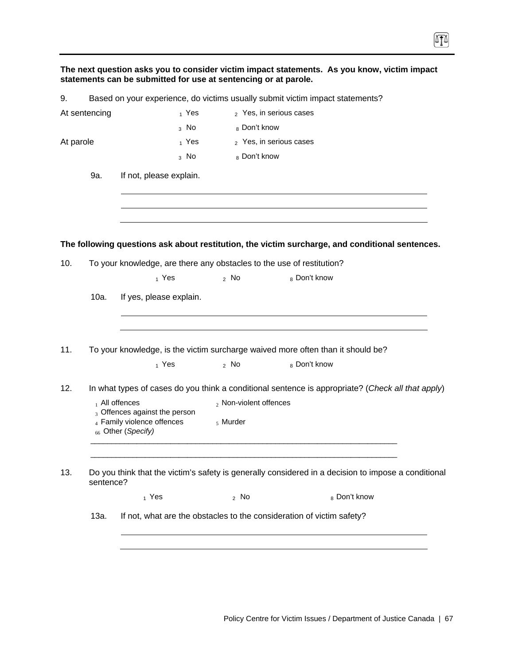|           |                                                                               | statements can be submitted for use at sentencing or at parole.                   |                           | The next question asks you to consider victim impact statements. As you know, victim impact         |  |  |  |
|-----------|-------------------------------------------------------------------------------|-----------------------------------------------------------------------------------|---------------------------|-----------------------------------------------------------------------------------------------------|--|--|--|
| 9.        |                                                                               |                                                                                   |                           | Based on your experience, do victims usually submit victim impact statements?                       |  |  |  |
|           | At sentencing                                                                 | $_1$ Yes                                                                          |                           | 2 Yes, in serious cases                                                                             |  |  |  |
|           |                                                                               | $_3$ No                                                                           | 8 Don't know              |                                                                                                     |  |  |  |
| At parole |                                                                               | $_1$ Yes                                                                          |                           | 2 Yes, in serious cases                                                                             |  |  |  |
|           |                                                                               | $3$ No                                                                            | 8 Don't know              |                                                                                                     |  |  |  |
|           | 9a.                                                                           | If not, please explain.                                                           |                           |                                                                                                     |  |  |  |
|           |                                                                               |                                                                                   |                           | The following questions ask about restitution, the victim surcharge, and conditional sentences.     |  |  |  |
| 10.       |                                                                               | To your knowledge, are there any obstacles to the use of restitution?             |                           |                                                                                                     |  |  |  |
|           |                                                                               | 1 Yes                                                                             | $2$ No                    | 8 Don't know                                                                                        |  |  |  |
|           | 10a.                                                                          | If yes, please explain.                                                           |                           |                                                                                                     |  |  |  |
| 11.       |                                                                               | $_1$ Yes                                                                          | $2$ No                    | To your knowledge, is the victim surcharge waived more often than it should be?<br>8 Don't know     |  |  |  |
| 12.       |                                                                               |                                                                                   |                           | In what types of cases do you think a conditional sentence is appropriate? (Check all that apply)   |  |  |  |
|           | $_1$ All offences                                                             |                                                                                   | $_2$ Non-violent offences |                                                                                                     |  |  |  |
|           |                                                                               | 3 Offences against the person<br>4 Family violence offences<br>66 Other (Specify) | $\frac{1}{2}$ Murder      |                                                                                                     |  |  |  |
| 13.       | sentence?                                                                     |                                                                                   |                           | Do you think that the victim's safety is generally considered in a decision to impose a conditional |  |  |  |
|           |                                                                               | $_1$ Yes                                                                          | $2$ No                    | 8 Don't know                                                                                        |  |  |  |
|           | 13a.<br>If not, what are the obstacles to the consideration of victim safety? |                                                                                   |                           |                                                                                                     |  |  |  |
|           |                                                                               |                                                                                   |                           |                                                                                                     |  |  |  |

T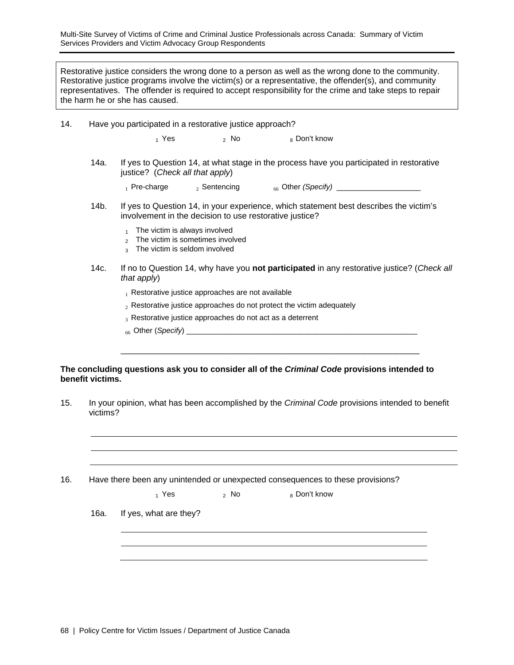Multi-Site Survey of Victims of Crime and Criminal Justice Professionals across Canada: Summary of Victim Services Providers and Victim Advocacy Group Respondents

Restorative justice considers the wrong done to a person as well as the wrong done to the community. Restorative justice programs involve the victim(s) or a representative, the offender(s), and community representatives. The offender is required to accept responsibility for the crime and take steps to repair the harm he or she has caused.

| 14. | Have you participated in a restorative justice approach?                                                                                                                                           |                                                                                                                                                   |        |                                                                                                     |  |  |  |
|-----|----------------------------------------------------------------------------------------------------------------------------------------------------------------------------------------------------|---------------------------------------------------------------------------------------------------------------------------------------------------|--------|-----------------------------------------------------------------------------------------------------|--|--|--|
|     |                                                                                                                                                                                                    | 1 Yes                                                                                                                                             | $2$ No | 8 Don't know                                                                                        |  |  |  |
|     | If yes to Question 14, at what stage in the process have you participated in restorative<br>14a.<br>justice? (Check all that apply)                                                                |                                                                                                                                                   |        |                                                                                                     |  |  |  |
|     |                                                                                                                                                                                                    |                                                                                                                                                   |        | 1 Pre-charge $\qquad$ 2 Sentencing $\qquad$ 66 Other (Specify) _______________________              |  |  |  |
|     | 14b.                                                                                                                                                                                               | If yes to Question 14, in your experience, which statement best describes the victim's<br>involvement in the decision to use restorative justice? |        |                                                                                                     |  |  |  |
|     |                                                                                                                                                                                                    |                                                                                                                                                   |        |                                                                                                     |  |  |  |
|     | 14c.                                                                                                                                                                                               | If no to Question 14, why have you not participated in any restorative justice? (Check all<br>that apply)                                         |        |                                                                                                     |  |  |  |
|     | $_1$ Restorative justice approaches are not available<br>$_2$ Restorative justice approaches do not protect the victim adequately<br>$_3$ Restorative justice approaches do not act as a deterrent |                                                                                                                                                   |        |                                                                                                     |  |  |  |
|     |                                                                                                                                                                                                    |                                                                                                                                                   |        |                                                                                                     |  |  |  |
|     |                                                                                                                                                                                                    |                                                                                                                                                   |        |                                                                                                     |  |  |  |
|     |                                                                                                                                                                                                    |                                                                                                                                                   |        |                                                                                                     |  |  |  |
|     |                                                                                                                                                                                                    |                                                                                                                                                   |        |                                                                                                     |  |  |  |
|     | benefit victims.                                                                                                                                                                                   |                                                                                                                                                   |        | The concluding questions ask you to consider all of the <i>Criminal Code</i> provisions intended to |  |  |  |
| 15. |                                                                                                                                                                                                    |                                                                                                                                                   |        | In your opinion, what has been accomplished by the Criminal Code provisions intended to benefit     |  |  |  |

victims?

16. Have there been any unintended or unexpected consequences to these provisions?

|      | $_1$ Yes               | $2$ No | 8 Don't know |
|------|------------------------|--------|--------------|
| 16a. | If yes, what are they? |        |              |
|      |                        |        |              |
|      |                        |        |              |
|      |                        |        |              |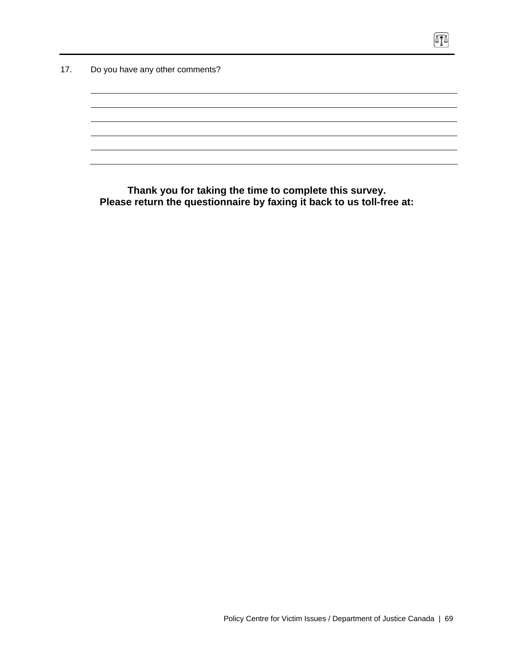17. Do you have any other comments?

**Thank you for taking the time to complete this survey. Please return the questionnaire by faxing it back to us toll-free at:**   $\boxed{\text{I}}$